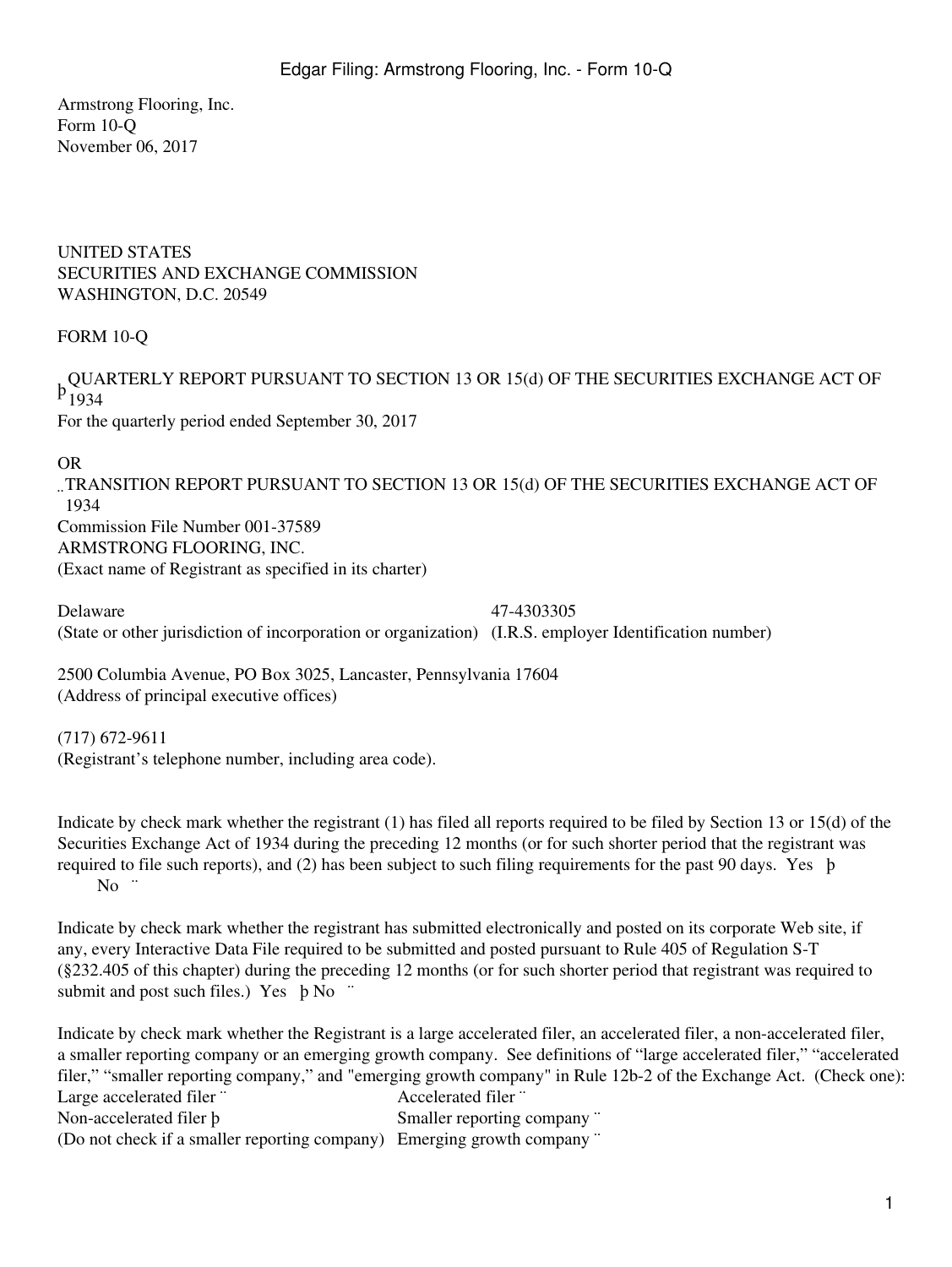Armstrong Flooring, Inc. Form 10-Q November 06, 2017

UNITED STATES SECURITIES AND EXCHANGE COMMISSION WASHINGTON, D.C. 20549

# FORM 10-Q

, QUARTERLY REPORT PURSUANT TO SECTION 13 OR 15(d) OF THE SECURITIES EXCHANGE ACT OF<br>P 1024 1934

For the quarterly period ended September 30, 2017

### OR

¨ TRANSITION REPORT PURSUANT TO SECTION 13 OR 15(d) OF THE SECURITIES EXCHANGE ACT OF 1934 Commission File Number 001-37589 ARMSTRONG FLOORING, INC. (Exact name of Registrant as specified in its charter)

Delaware 47-4303305 (State or other jurisdiction of incorporation or organization) (I.R.S. employer Identification number)

2500 Columbia Avenue, PO Box 3025, Lancaster, Pennsylvania 17604 (Address of principal executive offices)

(717) 672-9611 (Registrant's telephone number, including area code).

Indicate by check mark whether the registrant (1) has filed all reports required to be filed by Section 13 or 15(d) of the Securities Exchange Act of 1934 during the preceding 12 months (or for such shorter period that the registrant was required to file such reports), and (2) has been subject to such filing requirements for the past 90 days. Yes þ No  $\degree$ 

Indicate by check mark whether the registrant has submitted electronically and posted on its corporate Web site, if any, every Interactive Data File required to be submitted and posted pursuant to Rule 405 of Regulation S-T (§232.405 of this chapter) during the preceding 12 months (or for such shorter period that registrant was required to submit and post such files.) Yes b No "

Indicate by check mark whether the Registrant is a large accelerated filer, an accelerated filer, a non-accelerated filer, a smaller reporting company or an emerging growth company. See definitions of "large accelerated filer," "accelerated filer," "smaller reporting company," and "emerging growth company" in Rule 12b-2 of the Exchange Act. (Check one): Large accelerated filer ¨ Accelerated filer ¨ Non-accelerated filer **b** Smaller reporting company " (Do not check if a smaller reporting company) Emerging growth company ¨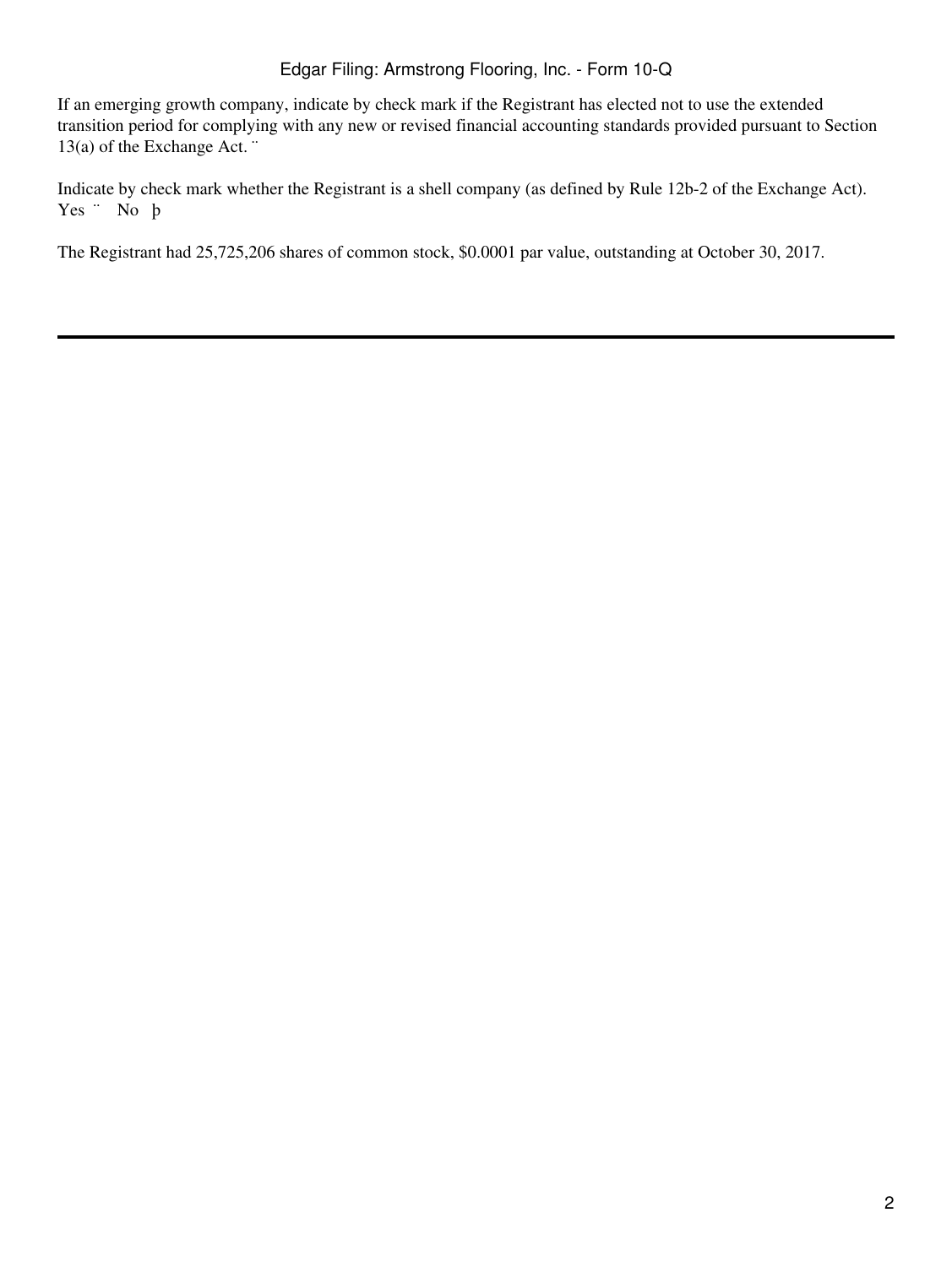If an emerging growth company, indicate by check mark if the Registrant has elected not to use the extended transition period for complying with any new or revised financial accounting standards provided pursuant to Section 13(a) of the Exchange Act. ¨

Indicate by check mark whether the Registrant is a shell company (as defined by Rule 12b-2 of the Exchange Act). Yes ¨ No þ

The Registrant had 25,725,206 shares of common stock, \$0.0001 par value, outstanding at October 30, 2017.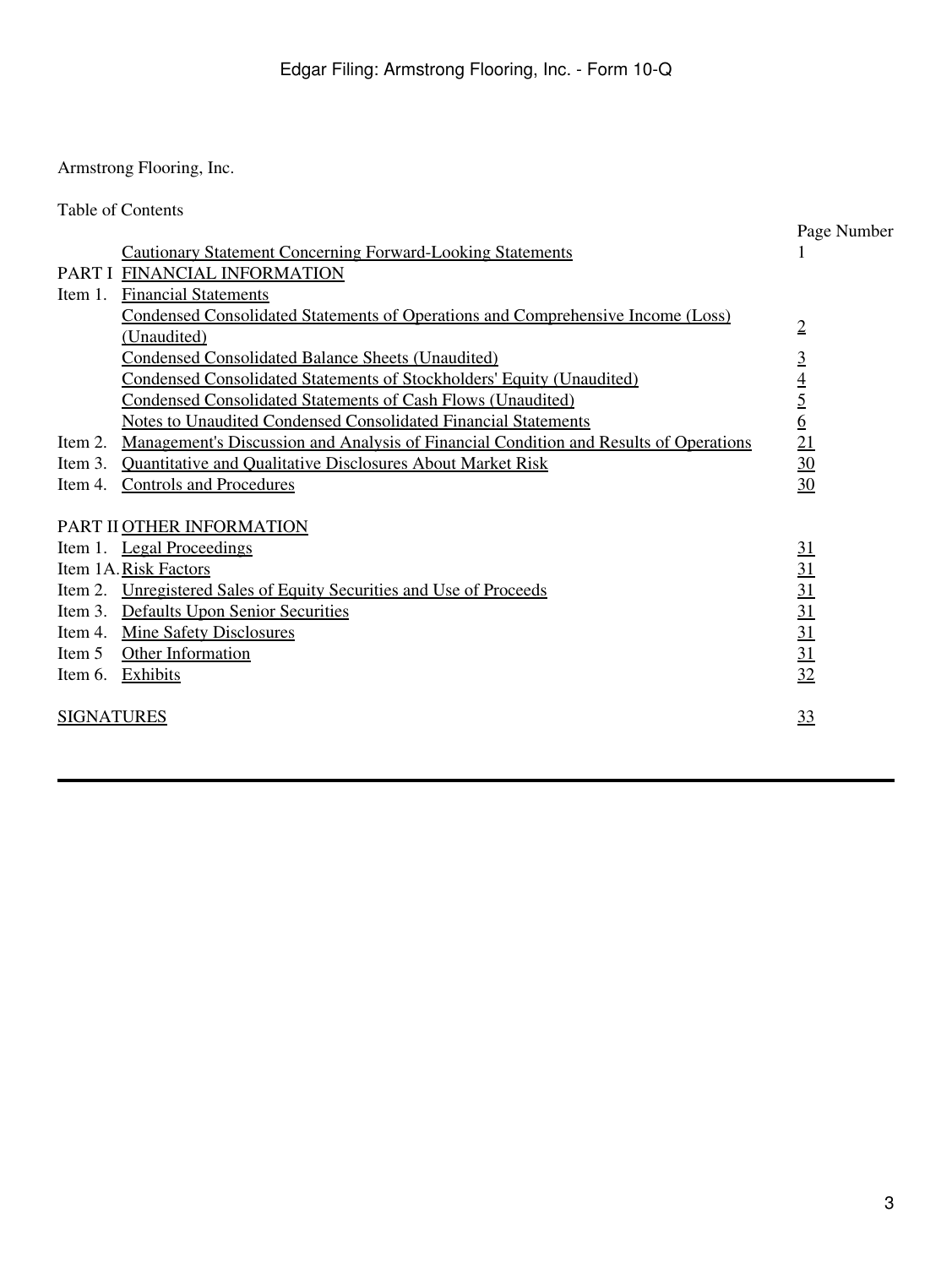Armstrong Flooring, Inc.

|                   | <b>Table of Contents</b>                                                              |                                    |
|-------------------|---------------------------------------------------------------------------------------|------------------------------------|
|                   |                                                                                       | Page Number                        |
|                   | <b>Cautionary Statement Concerning Forward-Looking Statements</b>                     | $\bf{l}$                           |
|                   | PART I FINANCIAL INFORMATION                                                          |                                    |
| Item 1.           | <b>Financial Statements</b>                                                           |                                    |
|                   | Condensed Consolidated Statements of Operations and Comprehensive Income (Loss)       |                                    |
|                   | (Unaudited)                                                                           | $\overline{2}$                     |
|                   | <b>Condensed Consolidated Balance Sheets (Unaudited)</b>                              | $\overline{3}$                     |
|                   | <b>Condensed Consolidated Statements of Stockholders' Equity (Unaudited)</b>          |                                    |
|                   | Condensed Consolidated Statements of Cash Flows (Unaudited)                           | $\frac{4}{5}$                      |
|                   | <b>Notes to Unaudited Condensed Consolidated Financial Statements</b>                 |                                    |
| Item 2.           | Management's Discussion and Analysis of Financial Condition and Results of Operations | $\overline{21}$                    |
| Item 3.           | Quantitative and Qualitative Disclosures About Market Risk                            | $\overline{30}$                    |
| Item 4.           | <b>Controls and Procedures</b>                                                        | 30                                 |
|                   | PART II OTHER INFORMATION                                                             |                                    |
|                   | Item 1. Legal Proceedings                                                             | 31                                 |
|                   | Item 1A. Risk Factors                                                                 |                                    |
|                   | Item 2. Unregistered Sales of Equity Securities and Use of Proceeds                   |                                    |
|                   | Item 3. Defaults Upon Senior Securities                                               |                                    |
|                   | Item 4. Mine Safety Disclosures                                                       | $\frac{31}{31}$<br>$\frac{31}{31}$ |
| Item 5            | Other Information                                                                     | $\overline{31}$                    |
|                   | Item 6. Exhibits                                                                      | 32                                 |
| <b>SIGNATURES</b> |                                                                                       | 33                                 |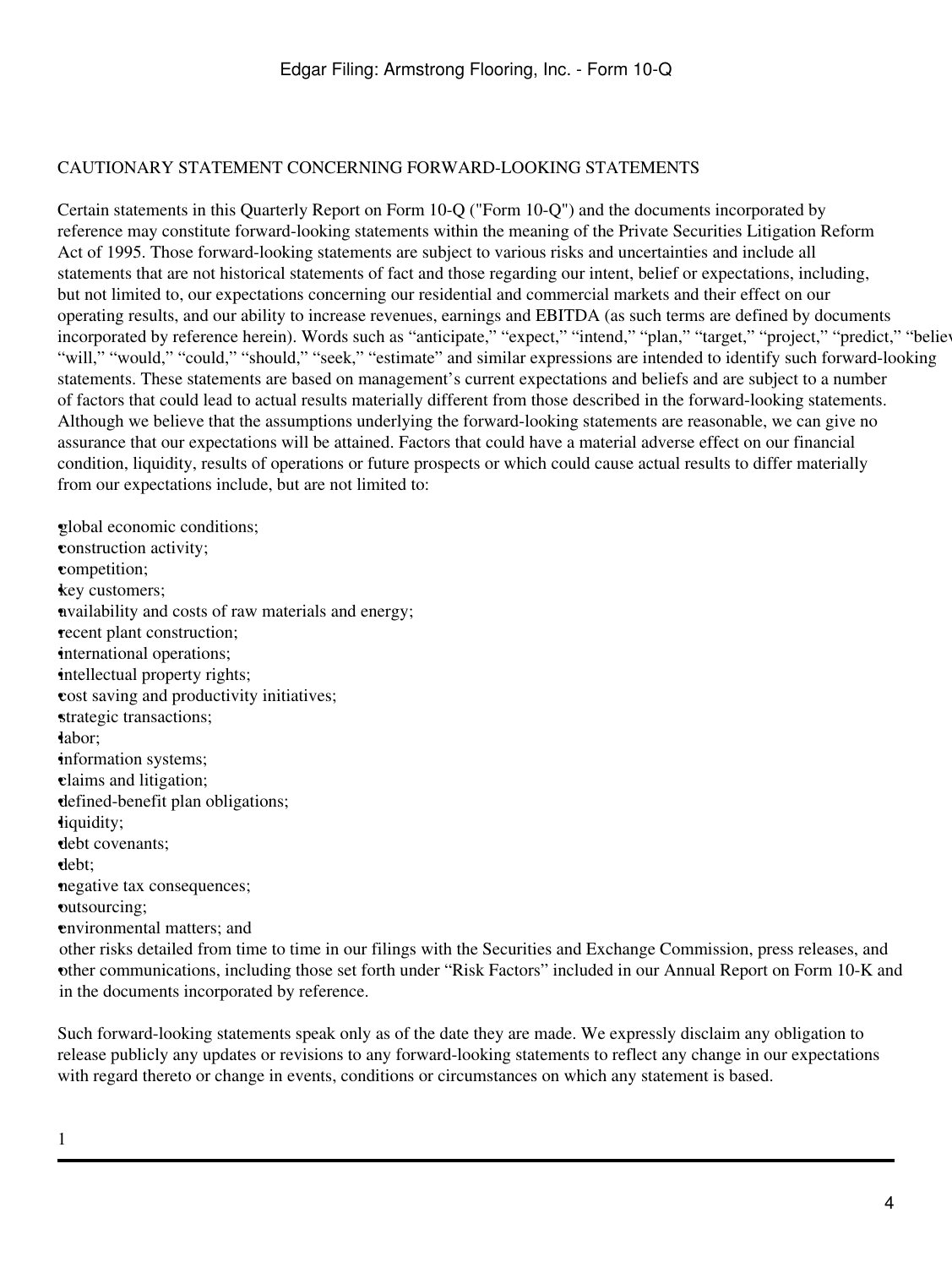## <span id="page-3-0"></span>CAUTIONARY STATEMENT CONCERNING FORWARD-LOOKING STATEMENTS

Certain statements in this Quarterly Report on Form 10-Q ("Form 10-Q") and the documents incorporated by reference may constitute forward-looking statements within the meaning of the Private Securities Litigation Reform Act of 1995. Those forward-looking statements are subject to various risks and uncertainties and include all statements that are not historical statements of fact and those regarding our intent, belief or expectations, including, but not limited to, our expectations concerning our residential and commercial markets and their effect on our operating results, and our ability to increase revenues, earnings and EBITDA (as such terms are defined by documents incorporated by reference herein). Words such as "anticipate," "expect," "intend," "plan," "target," "project," "predict," "believ "will," "would," "could," "should," "seek," "estimate" and similar expressions are intended to identify such forward-looking statements. These statements are based on management's current expectations and beliefs and are subject to a number of factors that could lead to actual results materially different from those described in the forward-looking statements. Although we believe that the assumptions underlying the forward-looking statements are reasonable, we can give no assurance that our expectations will be attained. Factors that could have a material adverse effect on our financial condition, liquidity, results of operations or future prospects or which could cause actual results to differ materially from our expectations include, but are not limited to:

•global economic conditions; •construction activity; •competition; key customers; •availability and costs of raw materials and energy; •recent plant construction; international operations; intellectual property rights; •cost saving and productivity initiatives; strategic transactions; •labor; •information systems; •claims and litigation; •defined-benefit plan obligations; •liquidity; •debt covenants; •debt; •negative tax consequences; •outsourcing; •environmental matters; and • other communications, including those set forth under "Risk Factors" included in our Annual Report on Form 10-K and other risks detailed from time to time in our filings with the Securities and Exchange Commission, press releases, and in the documents incorporated by reference.

Such forward-looking statements speak only as of the date they are made. We expressly disclaim any obligation to release publicly any updates or revisions to any forward-looking statements to reflect any change in our expectations with regard thereto or change in events, conditions or circumstances on which any statement is based.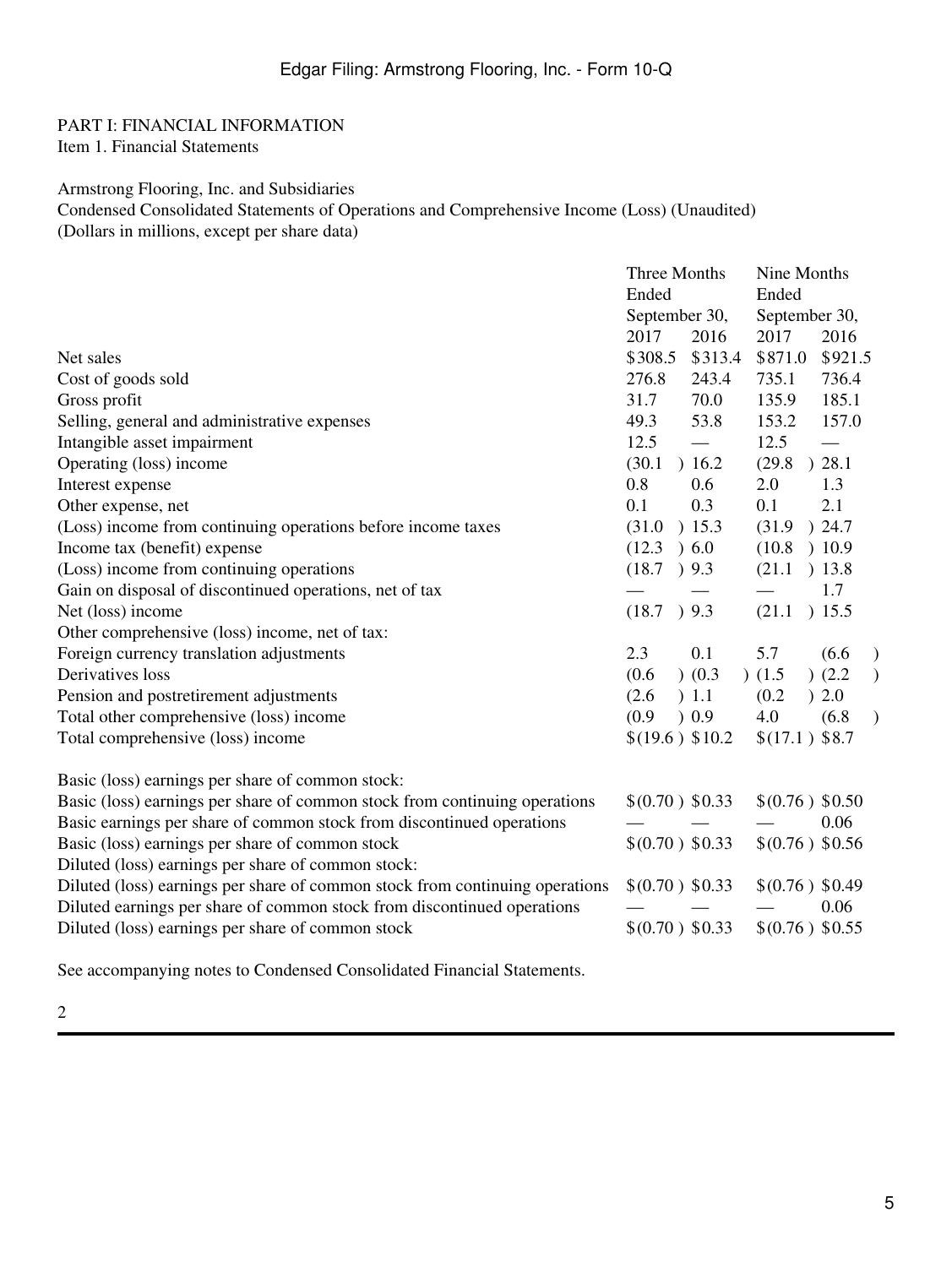#### <span id="page-4-1"></span><span id="page-4-0"></span>PART I: FINANCIAL INFORMATION Item 1. Financial Statements

# <span id="page-4-2"></span>Armstrong Flooring, Inc. and Subsidiaries

Condensed Consolidated Statements of Operations and Comprehensive Income (Loss) (Unaudited) (Dollars in millions, except per share data)

|                                                                              | Three Months      |           | Nine Months     |                 |               |
|------------------------------------------------------------------------------|-------------------|-----------|-----------------|-----------------|---------------|
|                                                                              | Ended             |           | Ended           |                 |               |
|                                                                              | September 30,     |           | September 30,   |                 |               |
|                                                                              | 2017              | 2016      | 2017            | 2016            |               |
| Net sales                                                                    | \$308.5           | \$313.4   | \$871.0         | \$921.5         |               |
| Cost of goods sold                                                           | 276.8             | 243.4     | 735.1           | 736.4           |               |
| Gross profit                                                                 | 31.7              | 70.0      | 135.9           | 185.1           |               |
| Selling, general and administrative expenses                                 | 49.3              | 53.8      | 153.2           | 157.0           |               |
| Intangible asset impairment                                                  | 12.5              |           | 12.5            |                 |               |
| Operating (loss) income                                                      | (30.1)            | 16.2      | (29.8)          | ) 28.1          |               |
| Interest expense                                                             | 0.8               | 0.6       | 2.0             | 1.3             |               |
| Other expense, net                                                           | 0.1               | 0.3       | 0.1             | 2.1             |               |
| (Loss) income from continuing operations before income taxes                 | (31.0)            | ) 15.3    | (31.9)          | ) 24.7          |               |
| Income tax (benefit) expense                                                 | (12.3)            | 0.60      | (10.8)          | ) 10.9          |               |
| (Loss) income from continuing operations                                     | (18.7) 9.3        |           | (21.1)          | ) 13.8          |               |
| Gain on disposal of discontinued operations, net of tax                      |                   |           |                 | 1.7             |               |
| Net (loss) income                                                            | $(18.7)$ 9.3      |           | (21.1)          | ) 15.5          |               |
| Other comprehensive (loss) income, net of tax:                               |                   |           |                 |                 |               |
| Foreign currency translation adjustments                                     | 2.3               | 0.1       | 5.7             | (6.6)           | $\mathcal{E}$ |
| Derivatives loss                                                             | (0.6)             | $)$ (0.3) | (1.5)           | )(2.2)          | $\mathcal{E}$ |
| Pension and postretirement adjustments                                       | (2.6)             | ) 1.1     | (0.2)           | ) 2.0           |               |
| Total other comprehensive (loss) income                                      | (0.9)             | 0.9       | 4.0             | (6.8)           | $\mathcal{E}$ |
| Total comprehensive (loss) income                                            | \$(19.6) \$10.2\$ |           | $$(17.1)$ \$8.7 |                 |               |
| Basic (loss) earnings per share of common stock:                             |                   |           |                 |                 |               |
| Basic (loss) earnings per share of common stock from continuing operations   | \$(0.70) \$0.33   |           |                 | \$(0.76) \$0.50 |               |
| Basic earnings per share of common stock from discontinued operations        |                   |           |                 | 0.06            |               |
| Basic (loss) earnings per share of common stock                              | \$(0.70) \$0.33   |           | \$(0.76) \$0.56 |                 |               |
| Diluted (loss) earnings per share of common stock:                           |                   |           |                 |                 |               |
| Diluted (loss) earnings per share of common stock from continuing operations | \$(0.70) \$0.33   |           | \$(0.76) \$0.49 |                 |               |
| Diluted earnings per share of common stock from discontinued operations      |                   |           |                 | 0.06            |               |
| Diluted (loss) earnings per share of common stock                            | \$(0.70) \$0.33   |           | \$(0.76) \$0.55 |                 |               |
|                                                                              |                   |           |                 |                 |               |

See accompanying notes to Condensed Consolidated Financial Statements.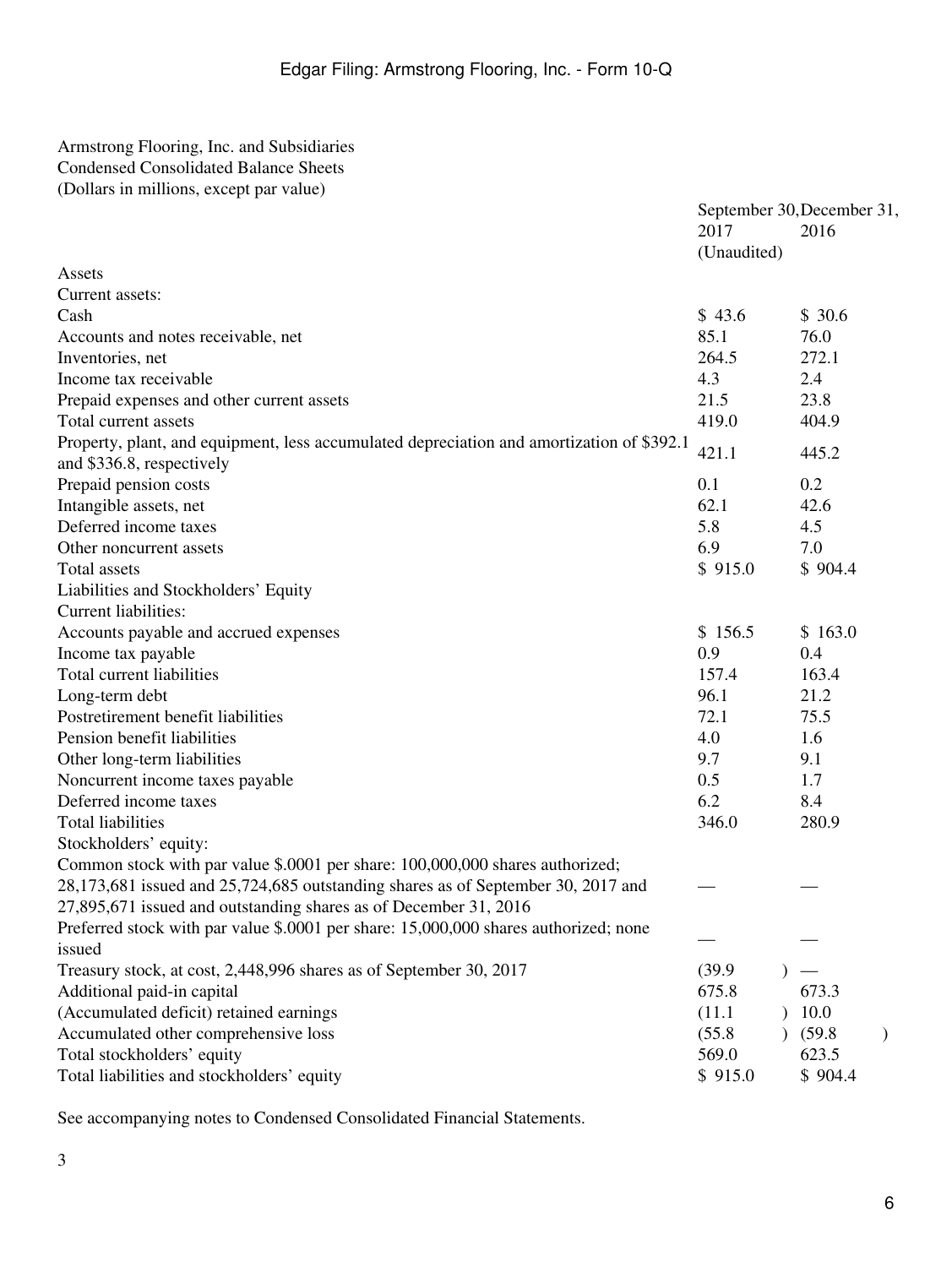# <span id="page-5-0"></span>Armstrong Flooring, Inc. and Subsidiaries Condensed Consolidated Balance Sheets (Dollars in millions, except par value)

|                                                                                                                        | September 30, December 31,<br>2017<br>(Unaudited) | 2016    |  |
|------------------------------------------------------------------------------------------------------------------------|---------------------------------------------------|---------|--|
| Assets                                                                                                                 |                                                   |         |  |
| Current assets:                                                                                                        |                                                   |         |  |
| Cash                                                                                                                   | \$43.6                                            | \$30.6  |  |
| Accounts and notes receivable, net                                                                                     | 85.1                                              | 76.0    |  |
| Inventories, net                                                                                                       | 264.5                                             | 272.1   |  |
| Income tax receivable                                                                                                  | 4.3                                               | 2.4     |  |
| Prepaid expenses and other current assets                                                                              | 21.5                                              | 23.8    |  |
| Total current assets                                                                                                   | 419.0                                             | 404.9   |  |
| Property, plant, and equipment, less accumulated depreciation and amortization of \$392.1<br>and \$336.8, respectively | 421.1                                             | 445.2   |  |
| Prepaid pension costs                                                                                                  | 0.1                                               | 0.2     |  |
| Intangible assets, net                                                                                                 | 62.1                                              | 42.6    |  |
| Deferred income taxes                                                                                                  | 5.8                                               | 4.5     |  |
| Other noncurrent assets                                                                                                | 6.9                                               | 7.0     |  |
| Total assets                                                                                                           | \$915.0                                           | \$904.4 |  |
| Liabilities and Stockholders' Equity                                                                                   |                                                   |         |  |
| <b>Current liabilities:</b>                                                                                            |                                                   |         |  |
| Accounts payable and accrued expenses                                                                                  | \$156.5                                           | \$163.0 |  |
| Income tax payable                                                                                                     | 0.9                                               | 0.4     |  |
| Total current liabilities                                                                                              | 157.4                                             | 163.4   |  |
| Long-term debt                                                                                                         | 96.1                                              | 21.2    |  |
| Postretirement benefit liabilities                                                                                     | 72.1                                              | 75.5    |  |
| Pension benefit liabilities                                                                                            | 4.0                                               | 1.6     |  |
| Other long-term liabilities                                                                                            | 9.7                                               | 9.1     |  |
| Noncurrent income taxes payable                                                                                        | 0.5                                               | 1.7     |  |
| Deferred income taxes                                                                                                  | 6.2                                               | 8.4     |  |
| <b>Total liabilities</b>                                                                                               | 346.0                                             | 280.9   |  |
| Stockholders' equity:                                                                                                  |                                                   |         |  |
| Common stock with par value \$.0001 per share: 100,000,000 shares authorized;                                          |                                                   |         |  |
| 28,173,681 issued and 25,724,685 outstanding shares as of September 30, 2017 and                                       |                                                   |         |  |
| 27,895,671 issued and outstanding shares as of December 31, 2016                                                       |                                                   |         |  |
| Preferred stock with par value \$.0001 per share: 15,000,000 shares authorized; none<br>issued                         |                                                   |         |  |
| Treasury stock, at cost, 2,448,996 shares as of September 30, 2017                                                     | (39.9)                                            |         |  |
| Additional paid-in capital                                                                                             | 675.8                                             | 673.3   |  |
| (Accumulated deficit) retained earnings                                                                                | (11.1)                                            | 10.0    |  |
| Accumulated other comprehensive loss                                                                                   | (55.8)                                            | (59.8)  |  |
| Total stockholders' equity                                                                                             | 569.0                                             | 623.5   |  |
| Total liabilities and stockholders' equity                                                                             | \$915.0                                           | \$904.4 |  |
|                                                                                                                        |                                                   |         |  |

See accompanying notes to Condensed Consolidated Financial Statements.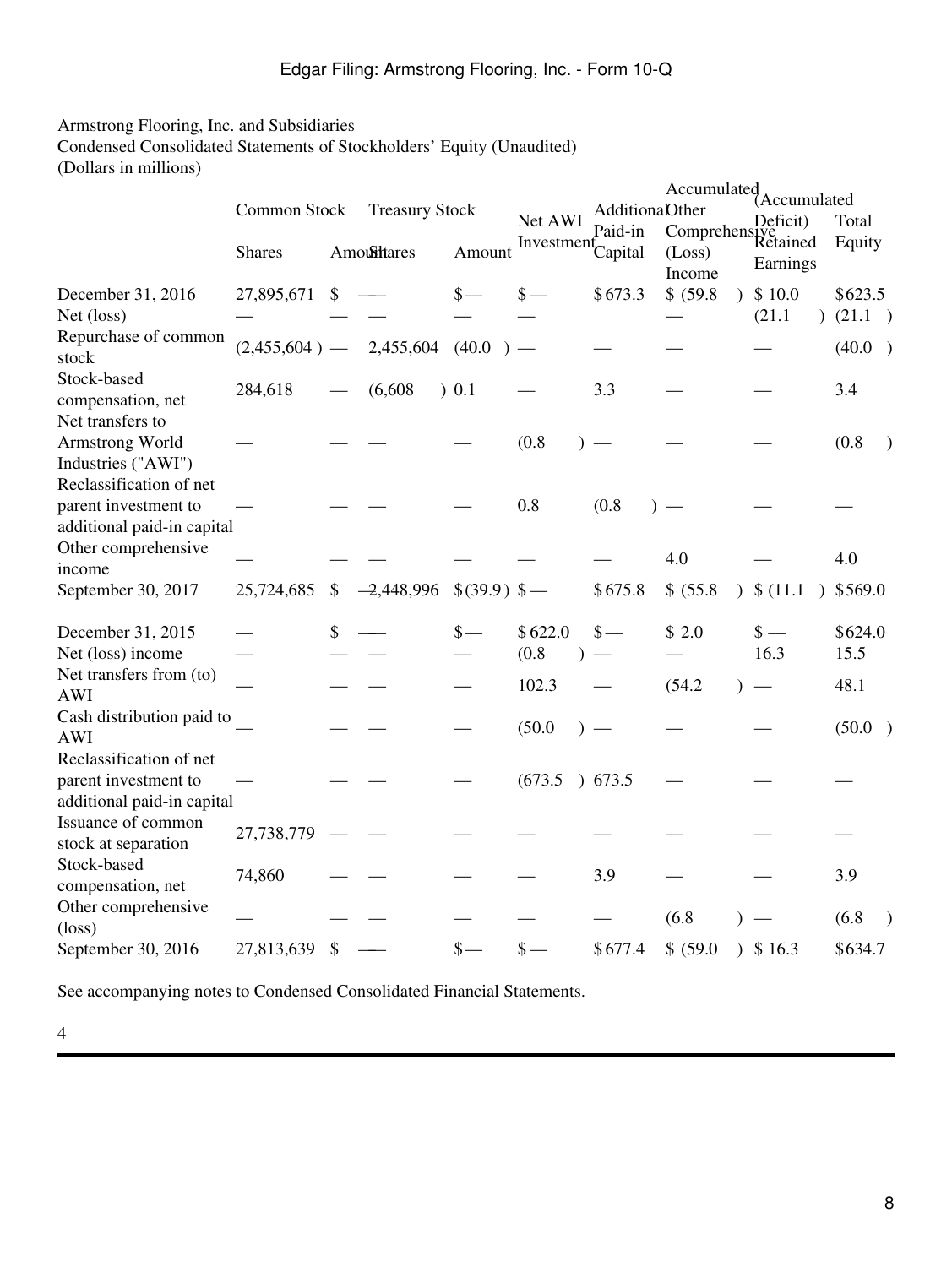# <span id="page-7-0"></span>Armstrong Flooring, Inc. and Subsidiaries

Condensed Consolidated Statements of Stockholders' Equity (Unaudited)

| (Dollars in millions) |  |  |
|-----------------------|--|--|
|                       |  |  |

|                                                                                      | Common Stock<br><b>Shares</b> | <b>Treasury Stock</b><br><b>Amoultares</b> | Amount          | Net AWI<br>Investment | <b>AdditionaDther</b><br>Paid-in<br>Capital | Accumulated<br>Comprehensive<br>Retained<br>(Loss)<br>Income | (Accumulated<br>Deficit)<br>Earnings | Total<br>Equity     |
|--------------------------------------------------------------------------------------|-------------------------------|--------------------------------------------|-----------------|-----------------------|---------------------------------------------|--------------------------------------------------------------|--------------------------------------|---------------------|
| December 31, 2016<br>Net (loss)                                                      | 27,895,671                    | \$                                         | $\frac{\ }{s-}$ | \$                    | \$673.3                                     | \$ (59.8)<br>$\lambda$                                       | \$10.0<br>(21.1)<br>$\lambda$        | \$623.5<br>(21.1)   |
| Repurchase of common<br>stock                                                        | $(2,455,604)$ —               | 2,455,604                                  | (40.0)          |                       |                                             |                                                              |                                      | (40.0)              |
| Stock-based<br>compensation, net                                                     | 284,618                       | (6,608)                                    | 0.1             |                       | 3.3                                         |                                                              |                                      | 3.4                 |
| Net transfers to<br>Armstrong World<br>Industries ("AWI")<br>Reclassification of net |                               |                                            |                 | (0.8)                 |                                             |                                                              |                                      | (0.8)               |
| parent investment to<br>additional paid-in capital                                   |                               |                                            |                 | 0.8                   | (0.8)                                       |                                                              |                                      |                     |
| Other comprehensive<br>income                                                        |                               |                                            |                 |                       |                                             | 4.0                                                          |                                      | 4.0                 |
| September 30, 2017                                                                   | 25,724,685                    | \$<br>$-2,448,996$                         | $$(39.9)$ \$-   |                       | \$675.8                                     | \$ (55.8)<br>$\lambda$                                       | \$(11.1)                             | \$569.0             |
| December 31, 2015<br>Net (loss) income                                               |                               | \$                                         | $\frac{\S}{\S}$ | \$622.0<br>(0.8)      | $\frac{\ }{s-}$                             | \$2.0                                                        | $\frac{\text{S}}{\text{}}$<br>16.3   | \$624.0<br>15.5     |
| Net transfers from (to)<br><b>AWI</b>                                                |                               |                                            |                 | 102.3                 |                                             | (54.2)                                                       |                                      | 48.1                |
| Cash distribution paid to<br><b>AWI</b>                                              |                               |                                            |                 | (50.0)                |                                             |                                                              |                                      | (50.0)<br>$\lambda$ |
| Reclassification of net<br>parent investment to<br>additional paid-in capital        |                               |                                            |                 | (673.5)               | 0.673.5                                     |                                                              |                                      |                     |
| Issuance of common<br>stock at separation                                            | 27,738,779                    |                                            |                 |                       |                                             |                                                              |                                      |                     |
| Stock-based<br>compensation, net                                                     | 74,860                        |                                            |                 |                       | 3.9                                         |                                                              |                                      | 3.9                 |
| Other comprehensive<br>$(\text{loss})$                                               |                               |                                            |                 |                       |                                             | (6.8)                                                        |                                      | (6.8)               |
| September 30, 2016                                                                   | 27,813,639                    | \$                                         | $\frac{\ }{s-}$ | \$                    | \$677.4                                     | \$ (59.0)                                                    | $3 \,$ \$ 16.3                       | \$634.7             |

See accompanying notes to Condensed Consolidated Financial Statements.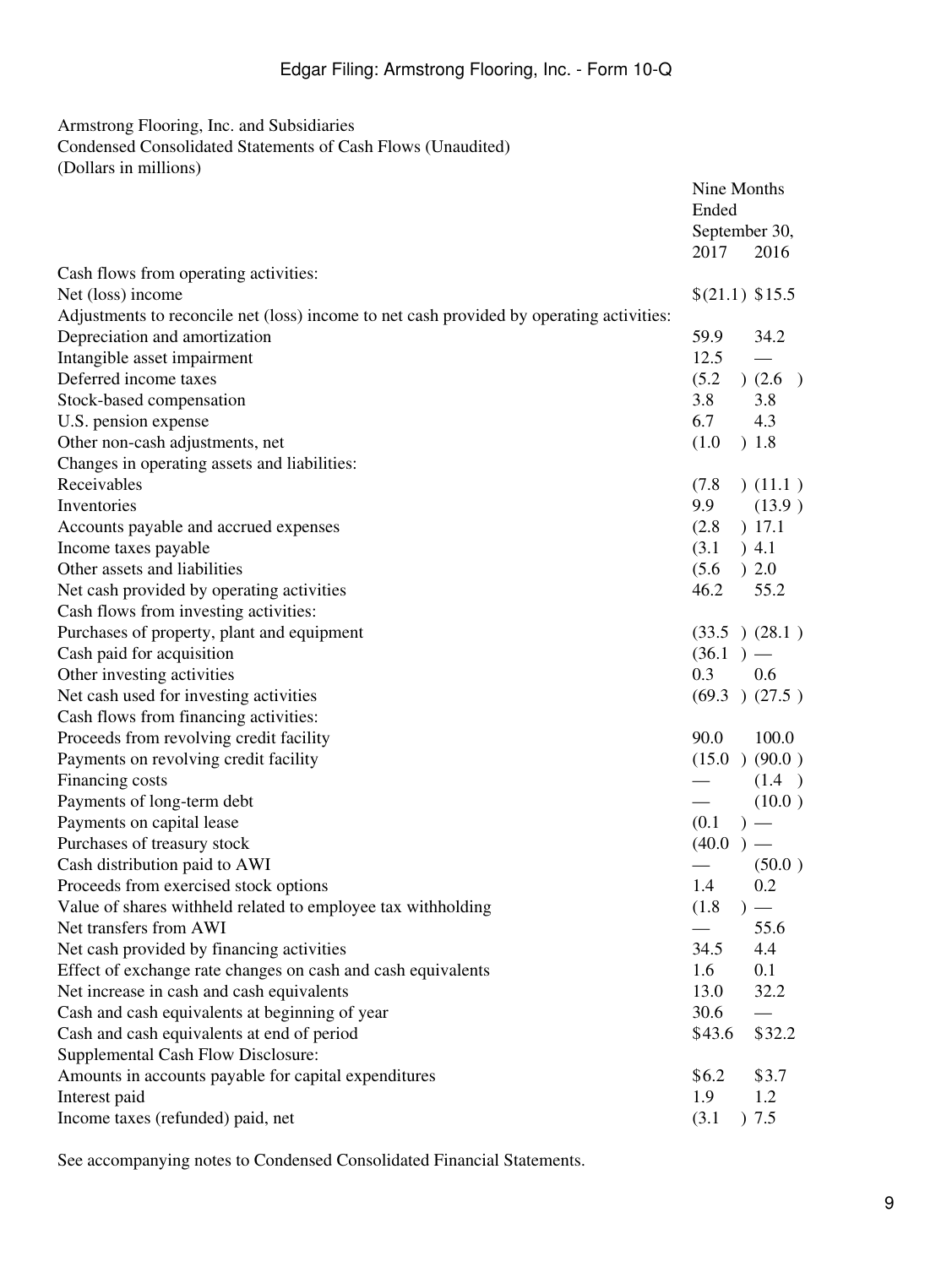# <span id="page-8-0"></span>Armstrong Flooring, Inc. and Subsidiaries

Condensed Consolidated Statements of Cash Flows (Unaudited) (Dollars in millions)

|                                                                                          | Nine Months<br>Ended<br>September 30, |
|------------------------------------------------------------------------------------------|---------------------------------------|
|                                                                                          | 2017<br>2016                          |
| Cash flows from operating activities:                                                    |                                       |
| Net (loss) income                                                                        | \$(21.1) \$15.5                       |
| Adjustments to reconcile net (loss) income to net cash provided by operating activities: |                                       |
| Depreciation and amortization                                                            | 59.9<br>34.2                          |
| Intangible asset impairment                                                              | 12.5                                  |
| Deferred income taxes                                                                    | (5.2)<br>)(2.6)                       |
| Stock-based compensation                                                                 | 3.8<br>3.8                            |
| U.S. pension expense                                                                     | 6.7<br>4.3                            |
| Other non-cash adjustments, net                                                          | ) 1.8<br>(1.0)                        |
| Changes in operating assets and liabilities:                                             |                                       |
| Receivables                                                                              | (11.1)<br>(7.8)                       |
| Inventories                                                                              | 9.9<br>(13.9)                         |
| Accounts payable and accrued expenses                                                    | ) 17.1<br>(2.8)                       |
| Income taxes payable                                                                     | ) 4.1<br>(3.1)                        |
| Other assets and liabilities                                                             | (5.6)<br>)2.0                         |
| Net cash provided by operating activities                                                | 46.2<br>55.2                          |
| Cash flows from investing activities:                                                    |                                       |
| Purchases of property, plant and equipment                                               | (33.5)(28.1)                          |
| Cash paid for acquisition                                                                | $(36.1)$ —                            |
| Other investing activities                                                               | 0.3<br>0.6                            |
| Net cash used for investing activities                                                   | $(69.3)$ $(27.5)$                     |
| Cash flows from financing activities:                                                    |                                       |
| Proceeds from revolving credit facility                                                  | 90.0<br>100.0                         |
| Payments on revolving credit facility                                                    | (15.0)(90.0)                          |
| Financing costs                                                                          | (1.4)                                 |
| Payments of long-term debt                                                               | (10.0)                                |
| Payments on capital lease                                                                | (0.1)<br>$)$ —                        |
| Purchases of treasury stock                                                              | (40.0)<br>$)$ —                       |
| Cash distribution paid to AWI                                                            | (50.0)                                |
| Proceeds from exercised stock options                                                    | 1.4<br>0.2                            |
| Value of shares withheld related to employee tax withholding                             | (1.8)                                 |
| Net transfers from AWI                                                                   | 55.6                                  |
| Net cash provided by financing activities                                                | 34.5<br>4.4                           |
| Effect of exchange rate changes on cash and cash equivalents                             | 0.1<br>1.6                            |
| Net increase in cash and cash equivalents                                                | 13.0<br>32.2                          |
| Cash and cash equivalents at beginning of year                                           | 30.6                                  |
| Cash and cash equivalents at end of period                                               | \$43.6<br>\$32.2                      |
| Supplemental Cash Flow Disclosure:                                                       |                                       |
| Amounts in accounts payable for capital expenditures                                     | \$3.7<br>\$6.2                        |
| Interest paid                                                                            | 1.9<br>1.2                            |
| Income taxes (refunded) paid, net                                                        | ) 7.5<br>(3.1)                        |
|                                                                                          |                                       |

See accompanying notes to Condensed Consolidated Financial Statements.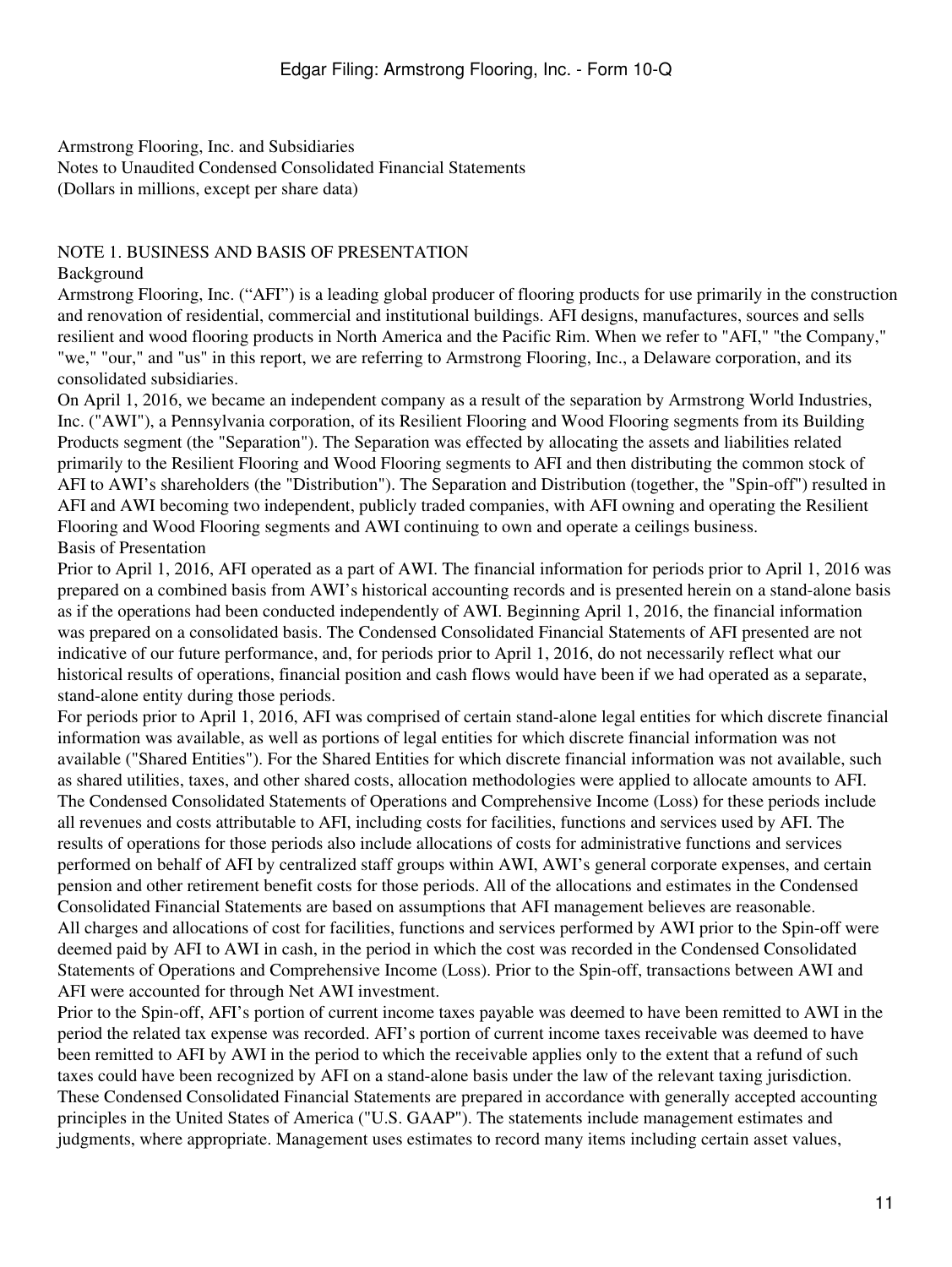### <span id="page-10-1"></span><span id="page-10-0"></span>NOTE 1. BUSINESS AND BASIS OF PRESENTATION

Background

Armstrong Flooring, Inc. ("AFI") is a leading global producer of flooring products for use primarily in the construction and renovation of residential, commercial and institutional buildings. AFI designs, manufactures, sources and sells resilient and wood flooring products in North America and the Pacific Rim. When we refer to "AFI," "the Company," "we," "our," and "us" in this report, we are referring to Armstrong Flooring, Inc., a Delaware corporation, and its consolidated subsidiaries.

On April 1, 2016, we became an independent company as a result of the separation by Armstrong World Industries, Inc. ("AWI"), a Pennsylvania corporation, of its Resilient Flooring and Wood Flooring segments from its Building Products segment (the "Separation"). The Separation was effected by allocating the assets and liabilities related primarily to the Resilient Flooring and Wood Flooring segments to AFI and then distributing the common stock of AFI to AWI's shareholders (the "Distribution"). The Separation and Distribution (together, the "Spin-off") resulted in AFI and AWI becoming two independent, publicly traded companies, with AFI owning and operating the Resilient Flooring and Wood Flooring segments and AWI continuing to own and operate a ceilings business. Basis of Presentation

Prior to April 1, 2016, AFI operated as a part of AWI. The financial information for periods prior to April 1, 2016 was prepared on a combined basis from AWI's historical accounting records and is presented herein on a stand-alone basis as if the operations had been conducted independently of AWI. Beginning April 1, 2016, the financial information was prepared on a consolidated basis. The Condensed Consolidated Financial Statements of AFI presented are not indicative of our future performance, and, for periods prior to April 1, 2016, do not necessarily reflect what our historical results of operations, financial position and cash flows would have been if we had operated as a separate, stand-alone entity during those periods.

For periods prior to April 1, 2016, AFI was comprised of certain stand-alone legal entities for which discrete financial information was available, as well as portions of legal entities for which discrete financial information was not available ("Shared Entities"). For the Shared Entities for which discrete financial information was not available, such as shared utilities, taxes, and other shared costs, allocation methodologies were applied to allocate amounts to AFI. The Condensed Consolidated Statements of Operations and Comprehensive Income (Loss) for these periods include all revenues and costs attributable to AFI, including costs for facilities, functions and services used by AFI. The results of operations for those periods also include allocations of costs for administrative functions and services performed on behalf of AFI by centralized staff groups within AWI, AWI's general corporate expenses, and certain pension and other retirement benefit costs for those periods. All of the allocations and estimates in the Condensed Consolidated Financial Statements are based on assumptions that AFI management believes are reasonable. All charges and allocations of cost for facilities, functions and services performed by AWI prior to the Spin-off were deemed paid by AFI to AWI in cash, in the period in which the cost was recorded in the Condensed Consolidated Statements of Operations and Comprehensive Income (Loss). Prior to the Spin-off, transactions between AWI and AFI were accounted for through Net AWI investment.

Prior to the Spin-off, AFI's portion of current income taxes payable was deemed to have been remitted to AWI in the period the related tax expense was recorded. AFI's portion of current income taxes receivable was deemed to have been remitted to AFI by AWI in the period to which the receivable applies only to the extent that a refund of such taxes could have been recognized by AFI on a stand-alone basis under the law of the relevant taxing jurisdiction. These Condensed Consolidated Financial Statements are prepared in accordance with generally accepted accounting principles in the United States of America ("U.S. GAAP"). The statements include management estimates and judgments, where appropriate. Management uses estimates to record many items including certain asset values,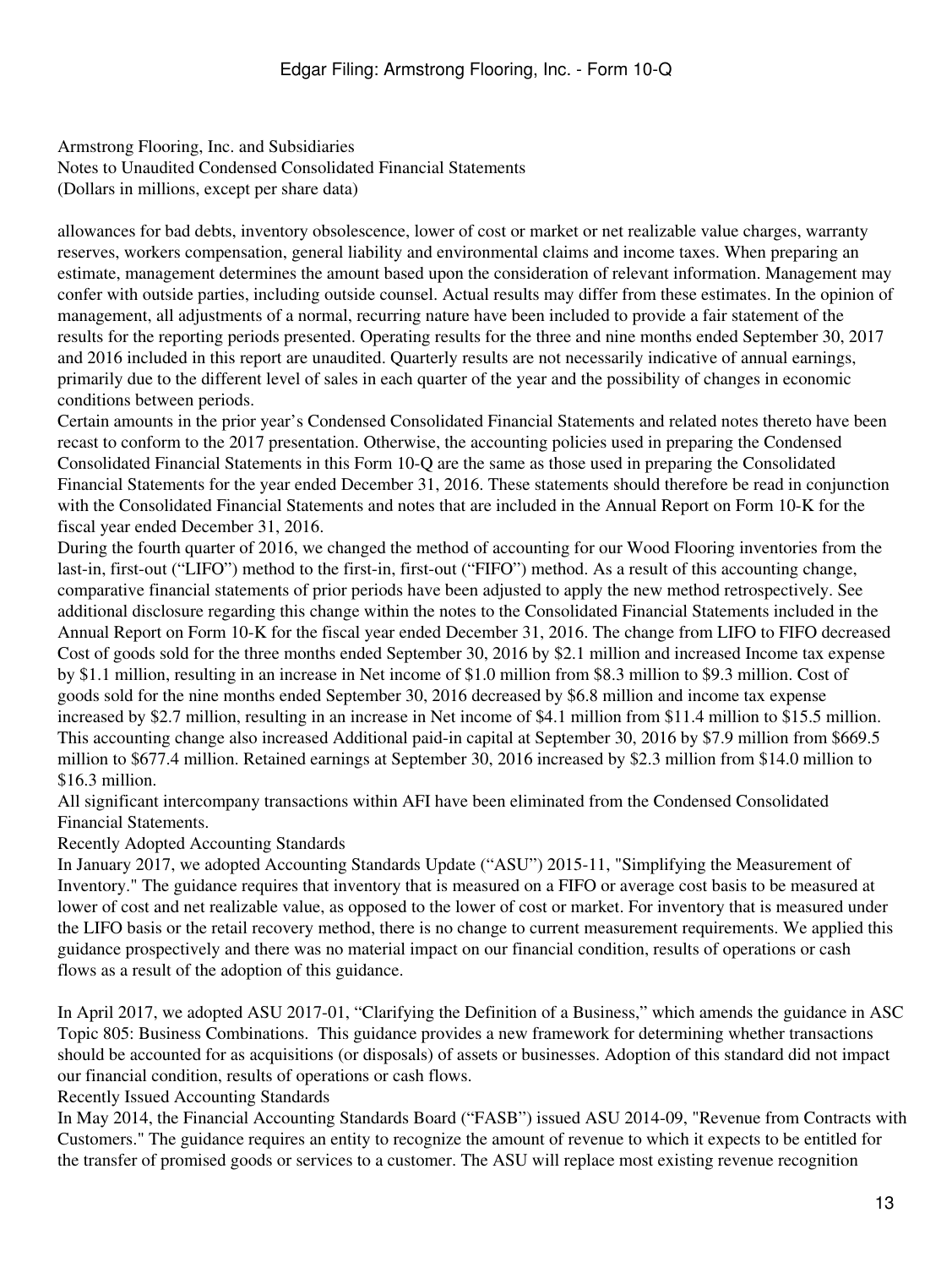allowances for bad debts, inventory obsolescence, lower of cost or market or net realizable value charges, warranty reserves, workers compensation, general liability and environmental claims and income taxes. When preparing an estimate, management determines the amount based upon the consideration of relevant information. Management may confer with outside parties, including outside counsel. Actual results may differ from these estimates. In the opinion of management, all adjustments of a normal, recurring nature have been included to provide a fair statement of the results for the reporting periods presented. Operating results for the three and nine months ended September 30, 2017 and 2016 included in this report are unaudited. Quarterly results are not necessarily indicative of annual earnings, primarily due to the different level of sales in each quarter of the year and the possibility of changes in economic conditions between periods.

Certain amounts in the prior year's Condensed Consolidated Financial Statements and related notes thereto have been recast to conform to the 2017 presentation. Otherwise, the accounting policies used in preparing the Condensed Consolidated Financial Statements in this Form 10-Q are the same as those used in preparing the Consolidated Financial Statements for the year ended December 31, 2016. These statements should therefore be read in conjunction with the Consolidated Financial Statements and notes that are included in the Annual Report on Form 10-K for the fiscal year ended December 31, 2016.

During the fourth quarter of 2016, we changed the method of accounting for our Wood Flooring inventories from the last-in, first-out ("LIFO") method to the first-in, first-out ("FIFO") method. As a result of this accounting change, comparative financial statements of prior periods have been adjusted to apply the new method retrospectively. See additional disclosure regarding this change within the notes to the Consolidated Financial Statements included in the Annual Report on Form 10-K for the fiscal year ended December 31, 2016. The change from LIFO to FIFO decreased Cost of goods sold for the three months ended September 30, 2016 by \$2.1 million and increased Income tax expense by \$1.1 million, resulting in an increase in Net income of \$1.0 million from \$8.3 million to \$9.3 million. Cost of goods sold for the nine months ended September 30, 2016 decreased by \$6.8 million and income tax expense increased by \$2.7 million, resulting in an increase in Net income of \$4.1 million from \$11.4 million to \$15.5 million. This accounting change also increased Additional paid-in capital at September 30, 2016 by \$7.9 million from \$669.5 million to \$677.4 million. Retained earnings at September 30, 2016 increased by \$2.3 million from \$14.0 million to \$16.3 million.

All significant intercompany transactions within AFI have been eliminated from the Condensed Consolidated Financial Statements.

Recently Adopted Accounting Standards

In January 2017, we adopted Accounting Standards Update ("ASU") 2015-11, "Simplifying the Measurement of Inventory." The guidance requires that inventory that is measured on a FIFO or average cost basis to be measured at lower of cost and net realizable value, as opposed to the lower of cost or market. For inventory that is measured under the LIFO basis or the retail recovery method, there is no change to current measurement requirements. We applied this guidance prospectively and there was no material impact on our financial condition, results of operations or cash flows as a result of the adoption of this guidance.

In April 2017, we adopted ASU 2017-01, "Clarifying the Definition of a Business," which amends the guidance in ASC Topic 805: Business Combinations. This guidance provides a new framework for determining whether transactions should be accounted for as acquisitions (or disposals) of assets or businesses. Adoption of this standard did not impact our financial condition, results of operations or cash flows.

Recently Issued Accounting Standards

In May 2014, the Financial Accounting Standards Board ("FASB") issued ASU 2014-09, "Revenue from Contracts with Customers." The guidance requires an entity to recognize the amount of revenue to which it expects to be entitled for the transfer of promised goods or services to a customer. The ASU will replace most existing revenue recognition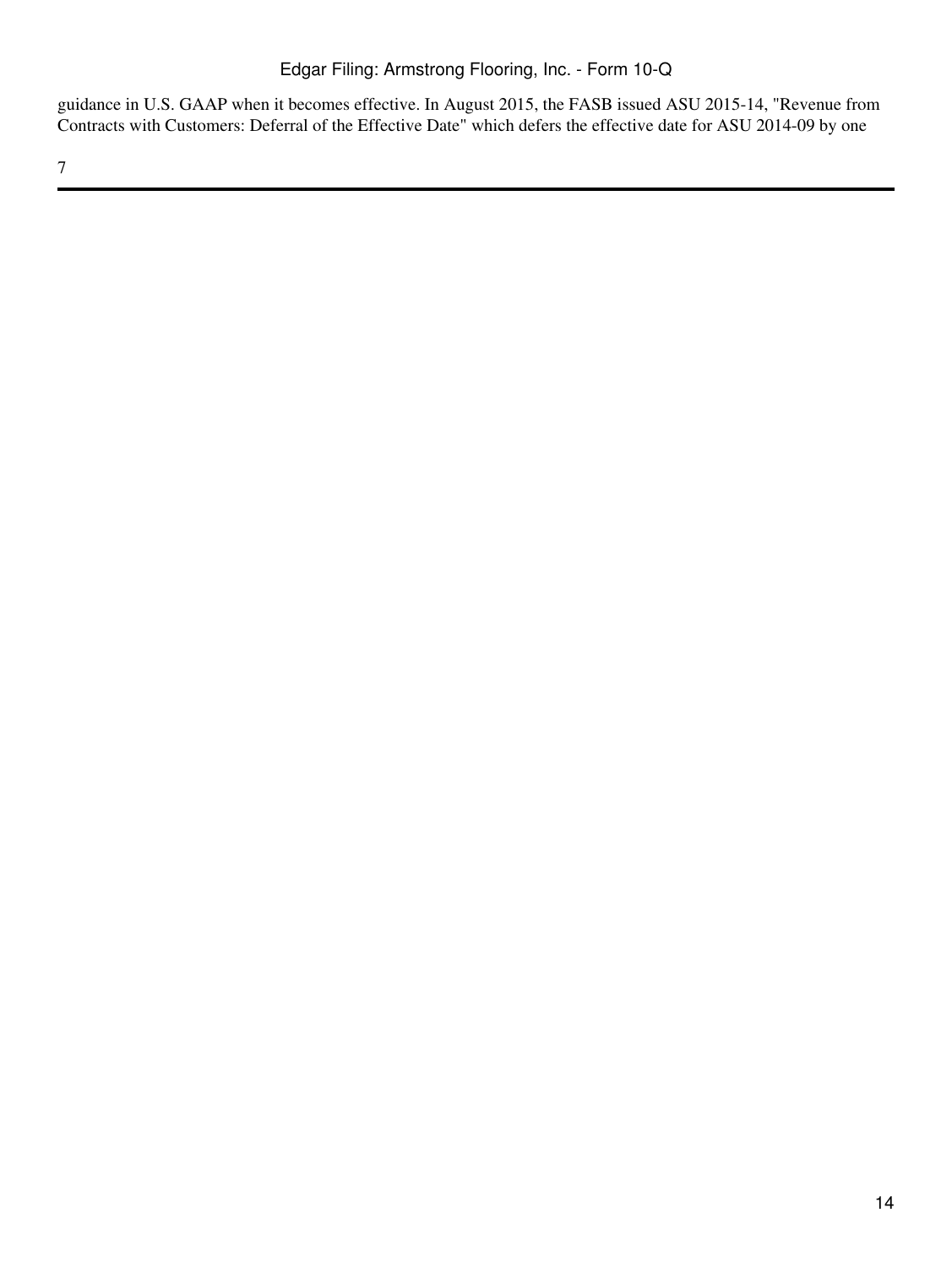guidance in U.S. GAAP when it becomes effective. In August 2015, the FASB issued ASU 2015-14, "Revenue from Contracts with Customers: Deferral of the Effective Date" which defers the effective date for ASU 2014-09 by one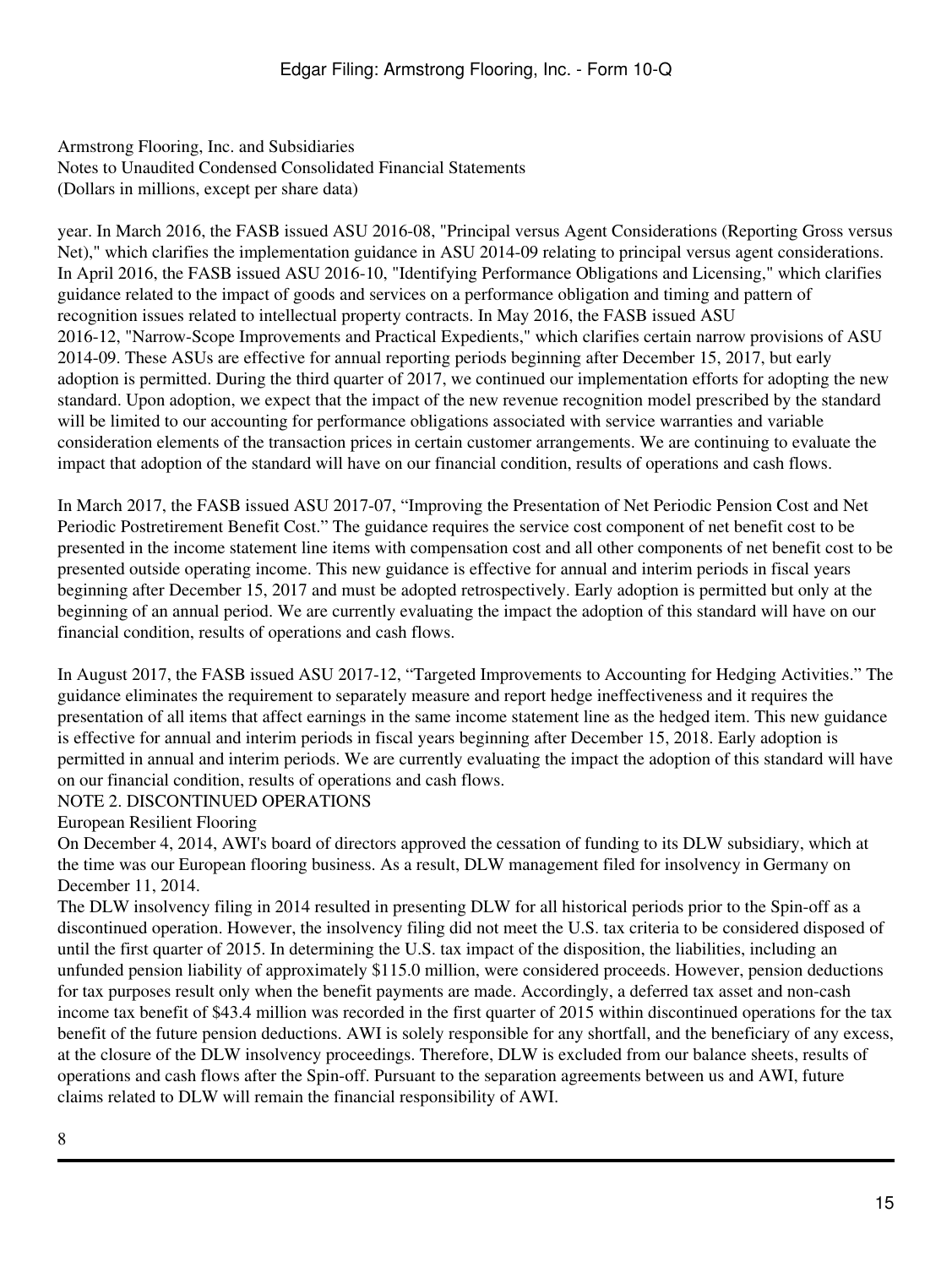year. In March 2016, the FASB issued ASU 2016-08, "Principal versus Agent Considerations (Reporting Gross versus Net)," which clarifies the implementation guidance in ASU 2014-09 relating to principal versus agent considerations. In April 2016, the FASB issued ASU 2016-10, "Identifying Performance Obligations and Licensing," which clarifies guidance related to the impact of goods and services on a performance obligation and timing and pattern of recognition issues related to intellectual property contracts. In May 2016, the FASB issued ASU 2016-12, "Narrow-Scope Improvements and Practical Expedients," which clarifies certain narrow provisions of ASU 2014-09. These ASUs are effective for annual reporting periods beginning after December 15, 2017, but early adoption is permitted. During the third quarter of 2017, we continued our implementation efforts for adopting the new standard. Upon adoption, we expect that the impact of the new revenue recognition model prescribed by the standard will be limited to our accounting for performance obligations associated with service warranties and variable consideration elements of the transaction prices in certain customer arrangements. We are continuing to evaluate the impact that adoption of the standard will have on our financial condition, results of operations and cash flows.

In March 2017, the FASB issued ASU 2017-07, "Improving the Presentation of Net Periodic Pension Cost and Net Periodic Postretirement Benefit Cost." The guidance requires the service cost component of net benefit cost to be presented in the income statement line items with compensation cost and all other components of net benefit cost to be presented outside operating income. This new guidance is effective for annual and interim periods in fiscal years beginning after December 15, 2017 and must be adopted retrospectively. Early adoption is permitted but only at the beginning of an annual period. We are currently evaluating the impact the adoption of this standard will have on our financial condition, results of operations and cash flows.

In August 2017, the FASB issued ASU 2017-12, "Targeted Improvements to Accounting for Hedging Activities." The guidance eliminates the requirement to separately measure and report hedge ineffectiveness and it requires the presentation of all items that affect earnings in the same income statement line as the hedged item. This new guidance is effective for annual and interim periods in fiscal years beginning after December 15, 2018. Early adoption is permitted in annual and interim periods. We are currently evaluating the impact the adoption of this standard will have on our financial condition, results of operations and cash flows.

#### NOTE 2. DISCONTINUED OPERATIONS

European Resilient Flooring

On December 4, 2014, AWI's board of directors approved the cessation of funding to its DLW subsidiary, which at the time was our European flooring business. As a result, DLW management filed for insolvency in Germany on December 11, 2014.

The DLW insolvency filing in 2014 resulted in presenting DLW for all historical periods prior to the Spin-off as a discontinued operation. However, the insolvency filing did not meet the U.S. tax criteria to be considered disposed of until the first quarter of 2015. In determining the U.S. tax impact of the disposition, the liabilities, including an unfunded pension liability of approximately \$115.0 million, were considered proceeds. However, pension deductions for tax purposes result only when the benefit payments are made. Accordingly, a deferred tax asset and non-cash income tax benefit of \$43.4 million was recorded in the first quarter of 2015 within discontinued operations for the tax benefit of the future pension deductions. AWI is solely responsible for any shortfall, and the beneficiary of any excess, at the closure of the DLW insolvency proceedings. Therefore, DLW is excluded from our balance sheets, results of operations and cash flows after the Spin-off. Pursuant to the separation agreements between us and AWI, future claims related to DLW will remain the financial responsibility of AWI.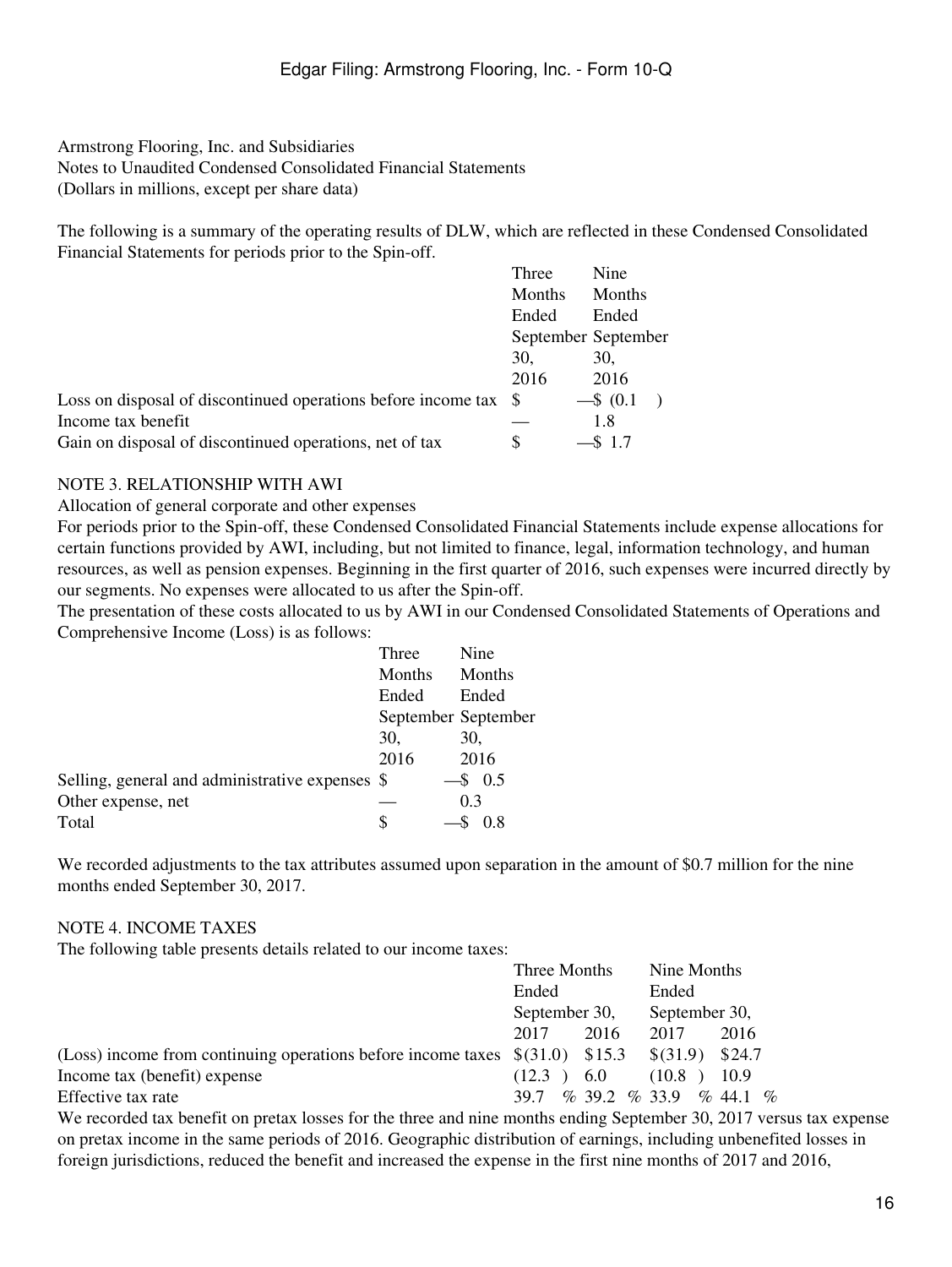The following is a summary of the operating results of DLW, which are reflected in these Condensed Consolidated Financial Statements for periods prior to the Spin-off. Nine

|                                                               | Three  | Nine                |
|---------------------------------------------------------------|--------|---------------------|
|                                                               | Months | Months              |
|                                                               | Ended  | Ended               |
|                                                               |        | September September |
|                                                               | 30.    | 30.                 |
|                                                               | 2016   | 2016                |
| Loss on disposal of discontinued operations before income tax | - S    | $-$ \$ (0.1)        |
| Income tax benefit                                            |        | 1.8                 |
| Gain on disposal of discontinued operations, net of tax       | S      | $-$ \$ 1.7          |

#### NOTE 3. RELATIONSHIP WITH AWI

Allocation of general corporate and other expenses

For periods prior to the Spin-off, these Condensed Consolidated Financial Statements include expense allocations for certain functions provided by AWI, including, but not limited to finance, legal, information technology, and human resources, as well as pension expenses. Beginning in the first quarter of 2016, such expenses were incurred directly by our segments. No expenses were allocated to us after the Spin-off.

The presentation of these costs allocated to us by AWI in our Condensed Consolidated Statements of Operations and Comprehensive Income (Loss) is as follows:

|                                                 | Three  | Nine                |
|-------------------------------------------------|--------|---------------------|
|                                                 | Months | Months              |
|                                                 | Ended  | Ended               |
|                                                 |        | September September |
|                                                 | 30.    | 30,                 |
|                                                 | 2016   | 2016                |
| Selling, general and administrative expenses \$ |        | $\$$ 0.5            |
| Other expense, net                              |        | 0.3                 |
| Total                                           | S      | 0.8                 |

We recorded adjustments to the tax attributes assumed upon separation in the amount of \$0.7 million for the nine months ended September 30, 2017.

### NOTE 4. INCOME TAXES

The following table presents details related to our income taxes:

|                                                                                   | Three Months  |      | Nine Months                        |        |
|-----------------------------------------------------------------------------------|---------------|------|------------------------------------|--------|
|                                                                                   | Ended         |      | Ended                              |        |
|                                                                                   | September 30, |      | September 30,                      |        |
|                                                                                   | 2017          | 2016 | 2017                               | 2016   |
| (Loss) income from continuing operations before income taxes $\$(31.0)$ \ \\$15.3 |               |      | \$(31.9)                           | \$24.7 |
| Income tax (benefit) expense                                                      | (12.3)        | 6.0  | (10.8)                             | 10.9   |
| Effective tax rate                                                                | 39.7          |      | $\%$ 39.2 $\%$ 33.9 $\%$ 44.1 $\%$ |        |

We recorded tax benefit on pretax losses for the three and nine months ending September 30, 2017 versus tax expense on pretax income in the same periods of 2016. Geographic distribution of earnings, including unbenefited losses in foreign jurisdictions, reduced the benefit and increased the expense in the first nine months of 2017 and 2016,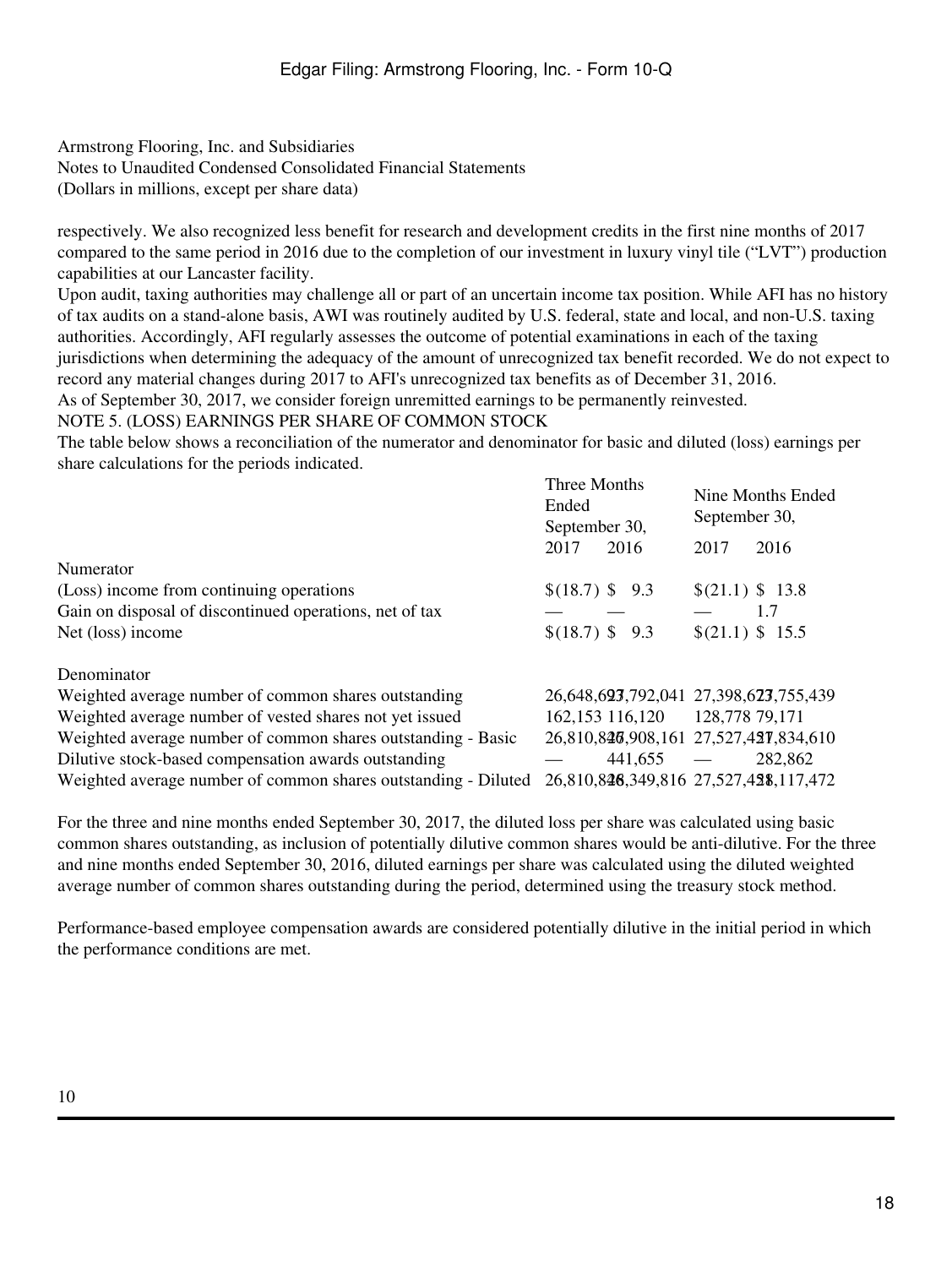Armstrong Flooring, Inc. and Subsidiaries

Notes to Unaudited Condensed Consolidated Financial Statements

(Dollars in millions, except per share data)

respectively. We also recognized less benefit for research and development credits in the first nine months of 2017 compared to the same period in 2016 due to the completion of our investment in luxury vinyl tile ("LVT") production capabilities at our Lancaster facility.

Upon audit, taxing authorities may challenge all or part of an uncertain income tax position. While AFI has no history of tax audits on a stand-alone basis, AWI was routinely audited by U.S. federal, state and local, and non-U.S. taxing authorities. Accordingly, AFI regularly assesses the outcome of potential examinations in each of the taxing jurisdictions when determining the adequacy of the amount of unrecognized tax benefit recorded. We do not expect to record any material changes during 2017 to AFI's unrecognized tax benefits as of December 31, 2016.

As of September 30, 2017, we consider foreign unremitted earnings to be permanently reinvested.

### NOTE 5. (LOSS) EARNINGS PER SHARE OF COMMON STOCK

The table below shows a reconciliation of the numerator and denominator for basic and diluted (loss) earnings per share calculations for the periods indicated.

|                                                                | Three Months<br>Ended<br>September 30, | Nine Months Ended<br>September 30,    |
|----------------------------------------------------------------|----------------------------------------|---------------------------------------|
|                                                                | 2017<br>2016                           | 2016<br>2017                          |
| Numerator                                                      |                                        |                                       |
| (Loss) income from continuing operations                       | $$(18.7)$ \$ 9.3                       | \$(21.1) \$13.8                       |
| Gain on disposal of discontinued operations, net of tax        |                                        | 1.7                                   |
| Net (loss) income                                              | $$(18.7)$ \$ 9.3                       | \$(21.1) \$ 15.5                      |
| Denominator                                                    |                                        |                                       |
| Weighted average number of common shares outstanding           |                                        | 26,648,623,792,041 27,398,623,755,439 |
| Weighted average number of vested shares not yet issued        | 162,153 116,120                        | 128,778 79,171                        |
| Weighted average number of common shares outstanding - Basic   |                                        | 26,810,826,908,161 27,527,427,834,610 |
| Dilutive stock-based compensation awards outstanding           | 441,655                                | 282,862                               |
| Weighted average number of common shares outstanding - Diluted |                                        | 26,810,826,349,816 27,527,428,117,472 |

For the three and nine months ended September 30, 2017, the diluted loss per share was calculated using basic common shares outstanding, as inclusion of potentially dilutive common shares would be anti-dilutive. For the three and nine months ended September 30, 2016, diluted earnings per share was calculated using the diluted weighted average number of common shares outstanding during the period, determined using the treasury stock method.

Performance-based employee compensation awards are considered potentially dilutive in the initial period in which the performance conditions are met.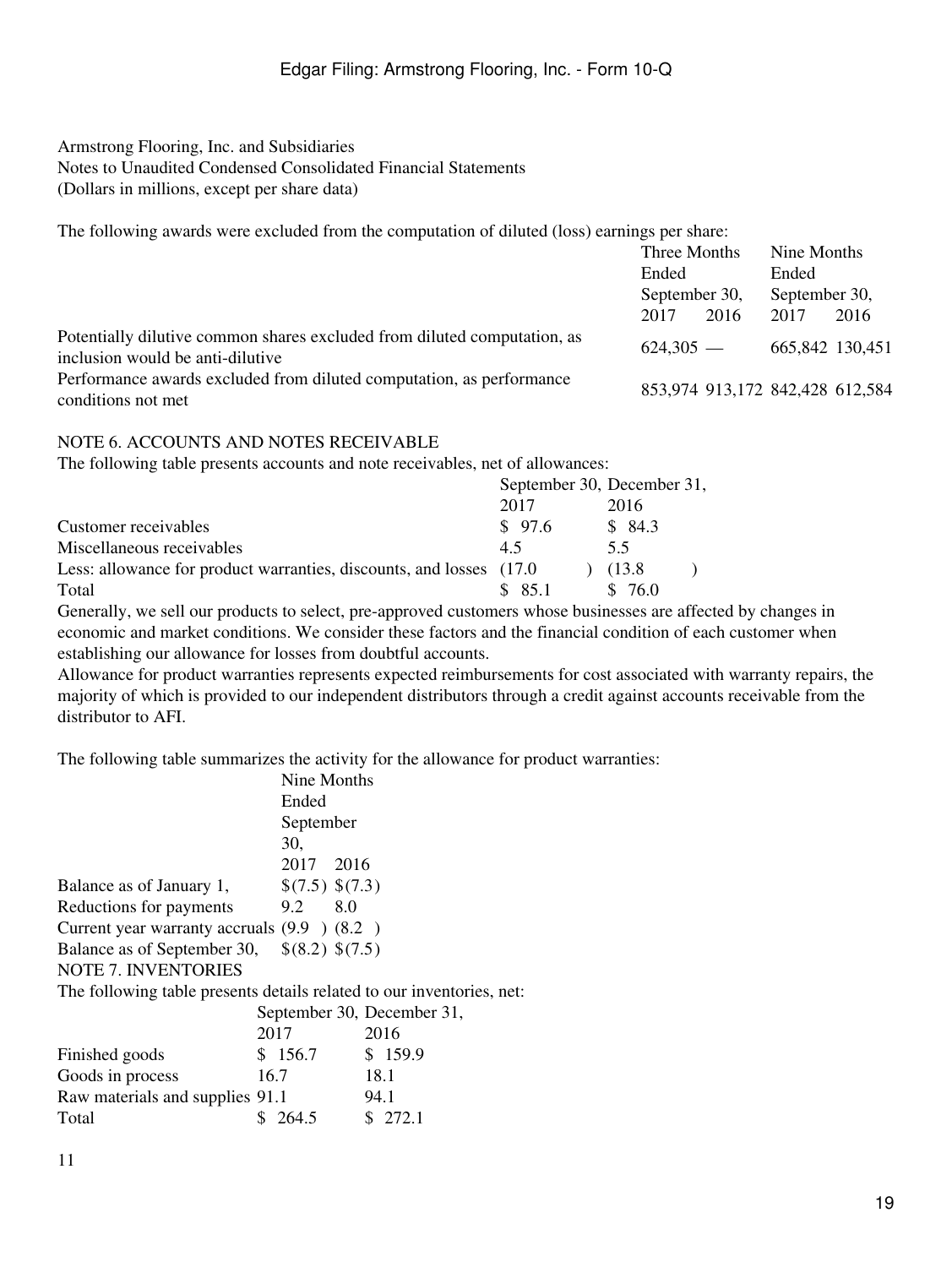The following awards were excluded from the computation of diluted (loss) earnings per share:

|                                                                                                              | Three Months  |      | Nine Months                     |      |
|--------------------------------------------------------------------------------------------------------------|---------------|------|---------------------------------|------|
|                                                                                                              | Ended         |      | Ended                           |      |
|                                                                                                              | September 30, |      | September 30,                   |      |
|                                                                                                              | 2017          | 2016 | 2017                            | 2016 |
| Potentially dilutive common shares excluded from diluted computation, as<br>inclusion would be anti-dilutive | $624.305 -$   |      | 665,842 130,451                 |      |
| Performance awards excluded from diluted computation, as performance<br>conditions not met                   |               |      | 853,974 913,172 842,428 612,584 |      |

### NOTE 6. ACCOUNTS AND NOTES RECEIVABLE

The following table presents accounts and note receivables, net of allowances:

|                                                                      |        | September 30, December 31, |
|----------------------------------------------------------------------|--------|----------------------------|
|                                                                      | 2017   | 2016                       |
| Customer receivables                                                 | \$97.6 | \$84.3                     |
| Miscellaneous receivables                                            | 45     | 5.5                        |
| Less: allowance for product warranties, discounts, and losses (17.0) |        | (13.8)                     |
| Total                                                                | \$85.1 | \$ 76.0                    |

Generally, we sell our products to select, pre-approved customers whose businesses are affected by changes in economic and market conditions. We consider these factors and the financial condition of each customer when establishing our allowance for losses from doubtful accounts.

Allowance for product warranties represents expected reimbursements for cost associated with warranty repairs, the majority of which is provided to our independent distributors through a credit against accounts receivable from the distributor to AFI.

The following table summarizes the activity for the allowance for product warranties:

|                                                                       |      | Nine Months     |                            |
|-----------------------------------------------------------------------|------|-----------------|----------------------------|
|                                                                       |      | Ended           |                            |
|                                                                       |      | September       |                            |
|                                                                       |      | 30.             |                            |
|                                                                       |      | 2017 2016       |                            |
| Balance as of January 1,                                              |      | \$(7.5) \$(7.3) |                            |
| Reductions for payments                                               |      | 9.2 8.0         |                            |
| Current year warranty accruals $(9.9 \t) (8.2)$                       |      |                 |                            |
| Balance as of September 30,                                           |      | \$(8.2) \$(7.5) |                            |
| <b>NOTE 7. INVENTORIES</b>                                            |      |                 |                            |
| The following table presents details related to our inventories, net: |      |                 |                            |
|                                                                       |      |                 | September 30, December 31, |
|                                                                       | 2017 |                 | 2016                       |
| Finished goods                                                        |      | \$156.7         | \$159.9                    |
| Goods in process                                                      |      | 16.7            | 18.1                       |
| Raw materials and supplies 91.1                                       |      |                 | 94.1                       |
| Total                                                                 |      | 264.5           | \$272.1                    |
|                                                                       |      |                 |                            |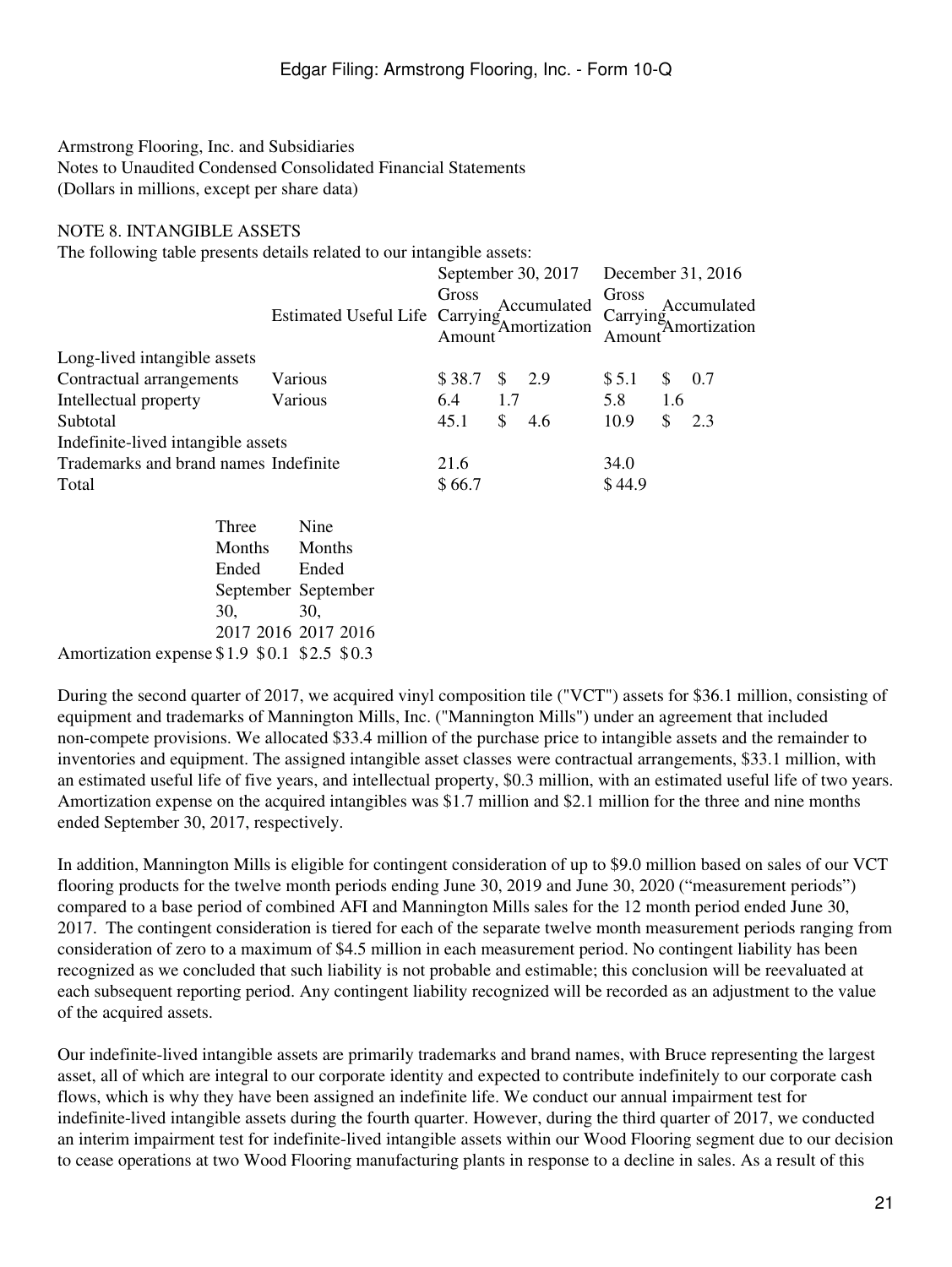#### NOTE 8. INTANGIBLE ASSETS

The following table presents details related to our intangible assets:

|                                       |                                |                 |     | September 30, 2017           | December 31, 2016 |     |                                         |  |
|---------------------------------------|--------------------------------|-----------------|-----|------------------------------|-------------------|-----|-----------------------------------------|--|
|                                       | Estimated Useful Life Carrying | Gross<br>Amount |     | Accumulated<br>'Amortization | Gross<br>Amount   |     | Accumulated<br>Carrying<br>Amortization |  |
| Long-lived intangible assets          |                                |                 |     |                              |                   |     |                                         |  |
| Contractual arrangements              | Various                        | \$38.7          |     | $\frac{1}{2}$ 2.9            | \$5.1             | S.  | 0.7                                     |  |
| Intellectual property                 | Various                        | 6.4             | 1.7 |                              | 5.8               | 1.6 |                                         |  |
| Subtotal                              |                                | 45.1            | \$  | 4.6                          | 10.9              | \$  | 2.3                                     |  |
| Indefinite-lived intangible assets    |                                |                 |     |                              |                   |     |                                         |  |
| Trademarks and brand names Indefinite |                                | 21.6            |     |                              | 34.0              |     |                                         |  |
| Total                                 |                                | \$66.7          |     |                              | \$44.9            |     |                                         |  |
| Three                                 | Nine                           |                 |     |                              |                   |     |                                         |  |
| Monthe                                | Monthe                         |                 |     |                              |                   |     |                                         |  |

|                                              | Months Months       |       |
|----------------------------------------------|---------------------|-------|
|                                              | Ended               | Ended |
|                                              | September September |       |
|                                              | 30.                 | 30.   |
|                                              | 2017 2016 2017 2016 |       |
| Amortization expense \$1.9 \$0.1 \$2.5 \$0.3 |                     |       |

During the second quarter of 2017, we acquired vinyl composition tile ("VCT") assets for \$36.1 million, consisting of equipment and trademarks of Mannington Mills, Inc. ("Mannington Mills") under an agreement that included non-compete provisions. We allocated \$33.4 million of the purchase price to intangible assets and the remainder to inventories and equipment. The assigned intangible asset classes were contractual arrangements, \$33.1 million, with an estimated useful life of five years, and intellectual property, \$0.3 million, with an estimated useful life of two years. Amortization expense on the acquired intangibles was \$1.7 million and \$2.1 million for the three and nine months ended September 30, 2017, respectively.

In addition, Mannington Mills is eligible for contingent consideration of up to \$9.0 million based on sales of our VCT flooring products for the twelve month periods ending June 30, 2019 and June 30, 2020 ("measurement periods") compared to a base period of combined AFI and Mannington Mills sales for the 12 month period ended June 30, 2017. The contingent consideration is tiered for each of the separate twelve month measurement periods ranging from consideration of zero to a maximum of \$4.5 million in each measurement period. No contingent liability has been recognized as we concluded that such liability is not probable and estimable; this conclusion will be reevaluated at each subsequent reporting period. Any contingent liability recognized will be recorded as an adjustment to the value of the acquired assets.

Our indefinite-lived intangible assets are primarily trademarks and brand names, with Bruce representing the largest asset, all of which are integral to our corporate identity and expected to contribute indefinitely to our corporate cash flows, which is why they have been assigned an indefinite life. We conduct our annual impairment test for indefinite-lived intangible assets during the fourth quarter. However, during the third quarter of 2017, we conducted an interim impairment test for indefinite-lived intangible assets within our Wood Flooring segment due to our decision to cease operations at two Wood Flooring manufacturing plants in response to a decline in sales. As a result of this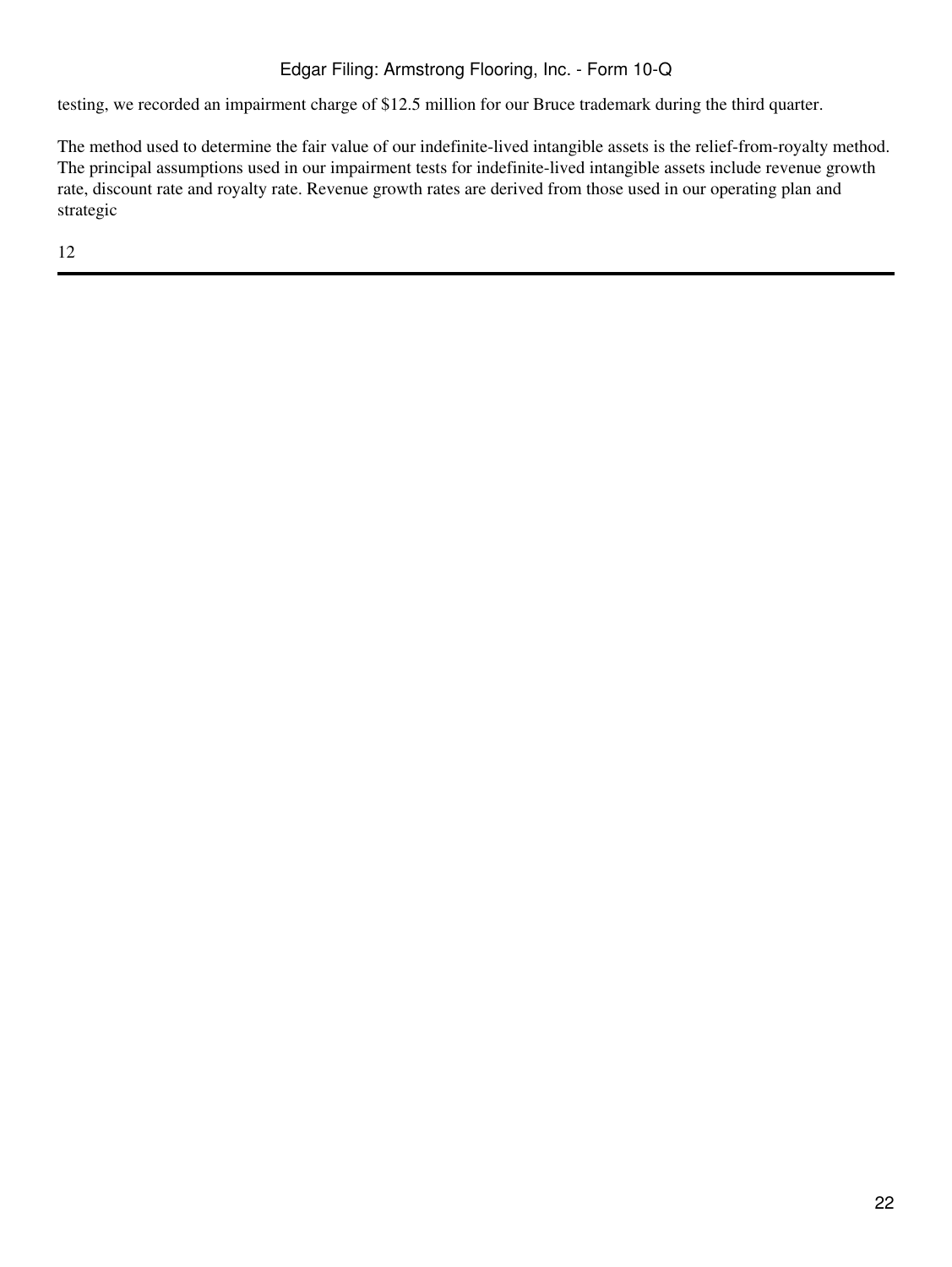testing, we recorded an impairment charge of \$12.5 million for our Bruce trademark during the third quarter.

The method used to determine the fair value of our indefinite-lived intangible assets is the relief-from-royalty method. The principal assumptions used in our impairment tests for indefinite-lived intangible assets include revenue growth rate, discount rate and royalty rate. Revenue growth rates are derived from those used in our operating plan and strategic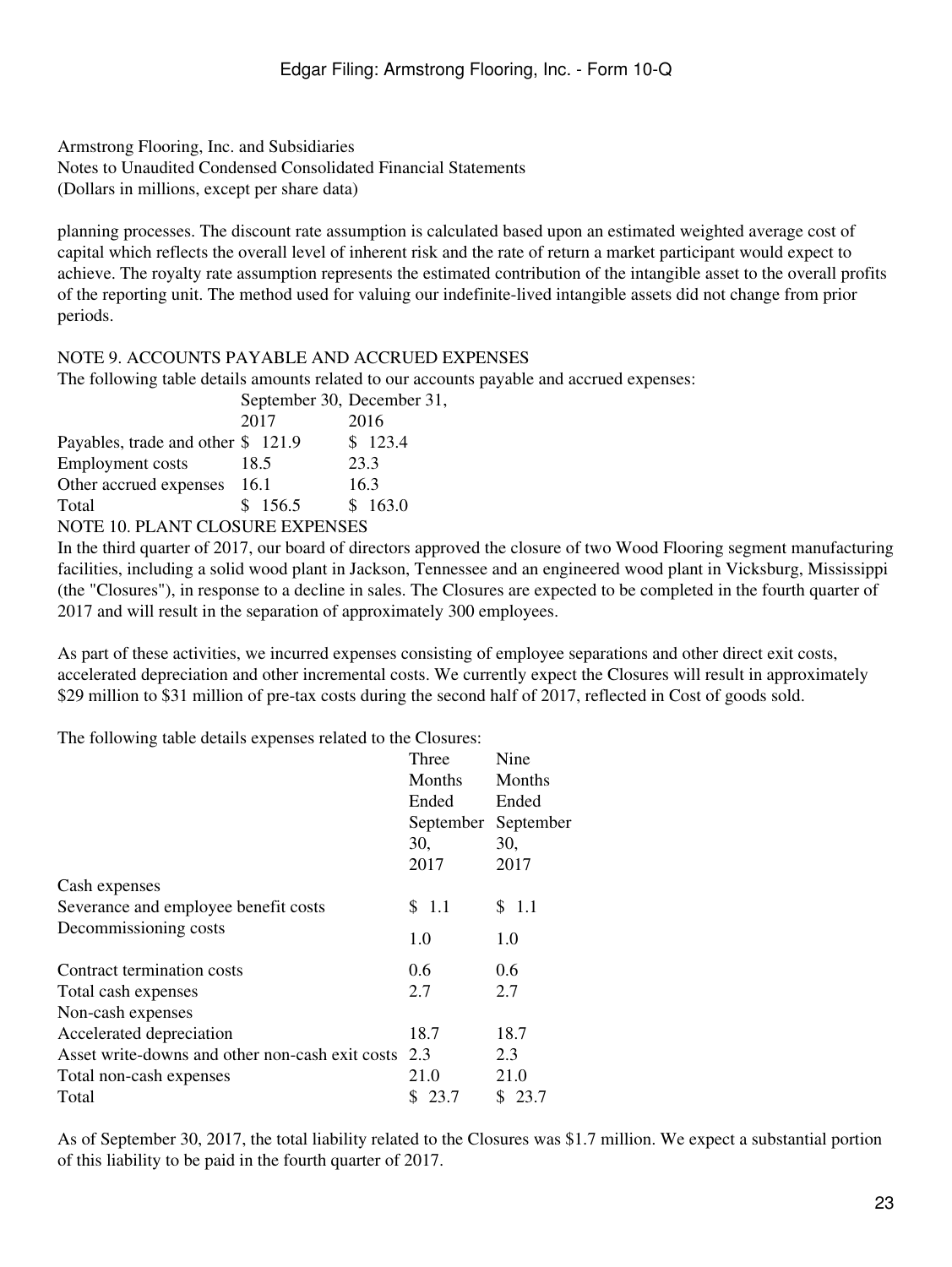planning processes. The discount rate assumption is calculated based upon an estimated weighted average cost of capital which reflects the overall level of inherent risk and the rate of return a market participant would expect to achieve. The royalty rate assumption represents the estimated contribution of the intangible asset to the overall profits of the reporting unit. The method used for valuing our indefinite-lived intangible assets did not change from prior periods.

 $31$ .

### NOTE 9. ACCOUNTS PAYABLE AND ACCRUED EXPENSES

The following table details amounts related to our accounts payable and accrued expenses:

|                                        | September 30, December |         |
|----------------------------------------|------------------------|---------|
|                                        | 2017                   | 2016    |
| Payables, trade and other \$121.9      |                        | \$123.4 |
| <b>Employment</b> costs                | 18.5                   | 23.3    |
| Other accrued expenses                 | -16.1                  | 16.3    |
| Total                                  | \$156.5                | \$163.0 |
| <b>NOTE 10. PLANT CLOSURE EXPENSES</b> |                        |         |

In the third quarter of 2017, our board of directors approved the closure of two Wood Flooring segment manufacturing facilities, including a solid wood plant in Jackson, Tennessee and an engineered wood plant in Vicksburg, Mississippi (the "Closures"), in response to a decline in sales. The Closures are expected to be completed in the fourth quarter of 2017 and will result in the separation of approximately 300 employees.

As part of these activities, we incurred expenses consisting of employee separations and other direct exit costs, accelerated depreciation and other incremental costs. We currently expect the Closures will result in approximately \$29 million to \$31 million of pre-tax costs during the second half of 2017, reflected in Cost of goods sold.

The following table details expenses related to the Closures:

|                                                 | Three         | Nine      |
|-------------------------------------------------|---------------|-----------|
|                                                 | Months        | Months    |
|                                                 | Ended         | Ended     |
|                                                 | September     | September |
|                                                 | 30,           | 30,       |
|                                                 | 2017          | 2017      |
| Cash expenses                                   |               |           |
| Severance and employee benefit costs            | \$1.1         | \$ 1.1    |
| Decommissioning costs                           | 1.0           | 1.0       |
| Contract termination costs                      | $0.6^{\circ}$ | 0.6       |
| Total cash expenses                             | 2.7           | 2.7       |
| Non-cash expenses                               |               |           |
| Accelerated depreciation                        | 18.7          | 18.7      |
| Asset write-downs and other non-cash exit costs | 2.3           | 2.3       |
| Total non-cash expenses                         | 21.0          | 21.0      |
| Total                                           | \$23.7        | \$23.7    |

As of September 30, 2017, the total liability related to the Closures was \$1.7 million. We expect a substantial portion of this liability to be paid in the fourth quarter of 2017.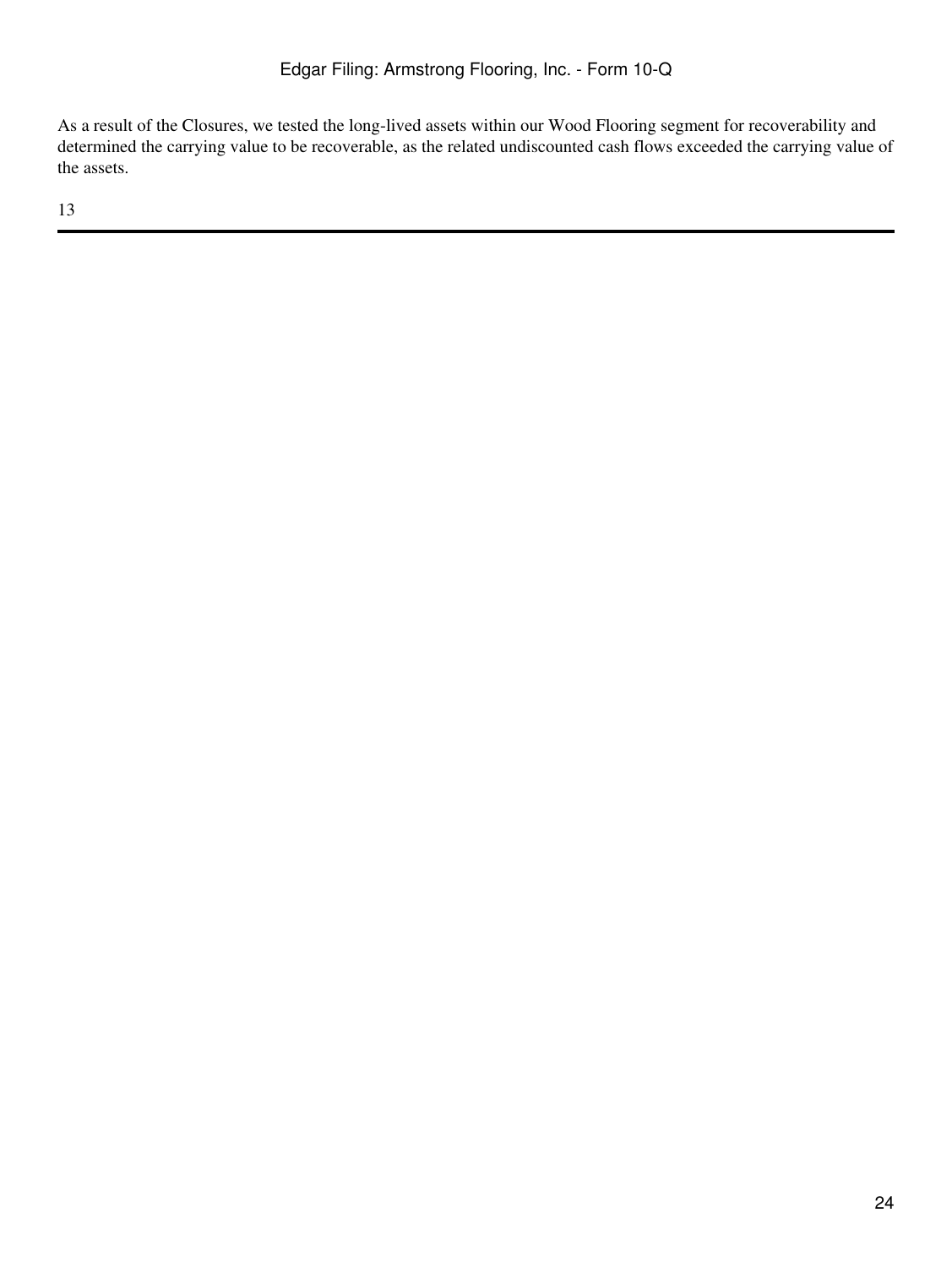As a result of the Closures, we tested the long-lived assets within our Wood Flooring segment for recoverability and determined the carrying value to be recoverable, as the related undiscounted cash flows exceeded the carrying value of the assets.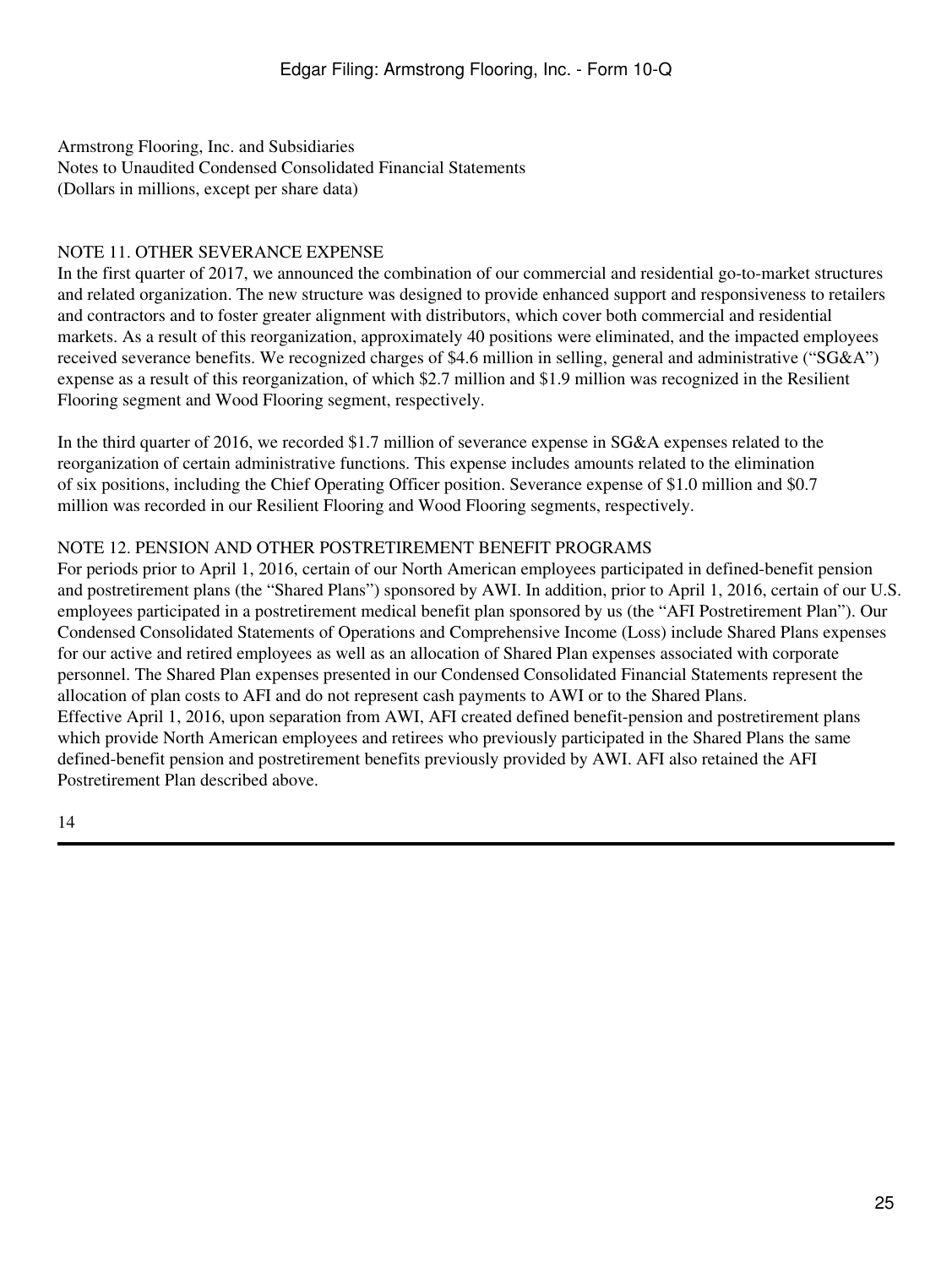# NOTE 11. OTHER SEVERANCE EXPENSE

In the first quarter of 2017, we announced the combination of our commercial and residential go-to-market structures and related organization. The new structure was designed to provide enhanced support and responsiveness to retailers and contractors and to foster greater alignment with distributors, which cover both commercial and residential markets. As a result of this reorganization, approximately 40 positions were eliminated, and the impacted employees received severance benefits. We recognized charges of \$4.6 million in selling, general and administrative ("SG&A") expense as a result of this reorganization, of which \$2.7 million and \$1.9 million was recognized in the Resilient Flooring segment and Wood Flooring segment, respectively.

In the third quarter of 2016, we recorded \$1.7 million of severance expense in SG&A expenses related to the reorganization of certain administrative functions. This expense includes amounts related to the elimination of six positions, including the Chief Operating Officer position. Severance expense of \$1.0 million and \$0.7 million was recorded in our Resilient Flooring and Wood Flooring segments, respectively.

## NOTE 12. PENSION AND OTHER POSTRETIREMENT BENEFIT PROGRAMS

For periods prior to April 1, 2016, certain of our North American employees participated in defined-benefit pension and postretirement plans (the "Shared Plans") sponsored by AWI. In addition, prior to April 1, 2016, certain of our U.S. employees participated in a postretirement medical benefit plan sponsored by us (the "AFI Postretirement Plan"). Our Condensed Consolidated Statements of Operations and Comprehensive Income (Loss) include Shared Plans expenses for our active and retired employees as well as an allocation of Shared Plan expenses associated with corporate personnel. The Shared Plan expenses presented in our Condensed Consolidated Financial Statements represent the allocation of plan costs to AFI and do not represent cash payments to AWI or to the Shared Plans. Effective April 1, 2016, upon separation from AWI, AFI created defined benefit-pension and postretirement plans which provide North American employees and retirees who previously participated in the Shared Plans the same defined-benefit pension and postretirement benefits previously provided by AWI. AFI also retained the AFI Postretirement Plan described above.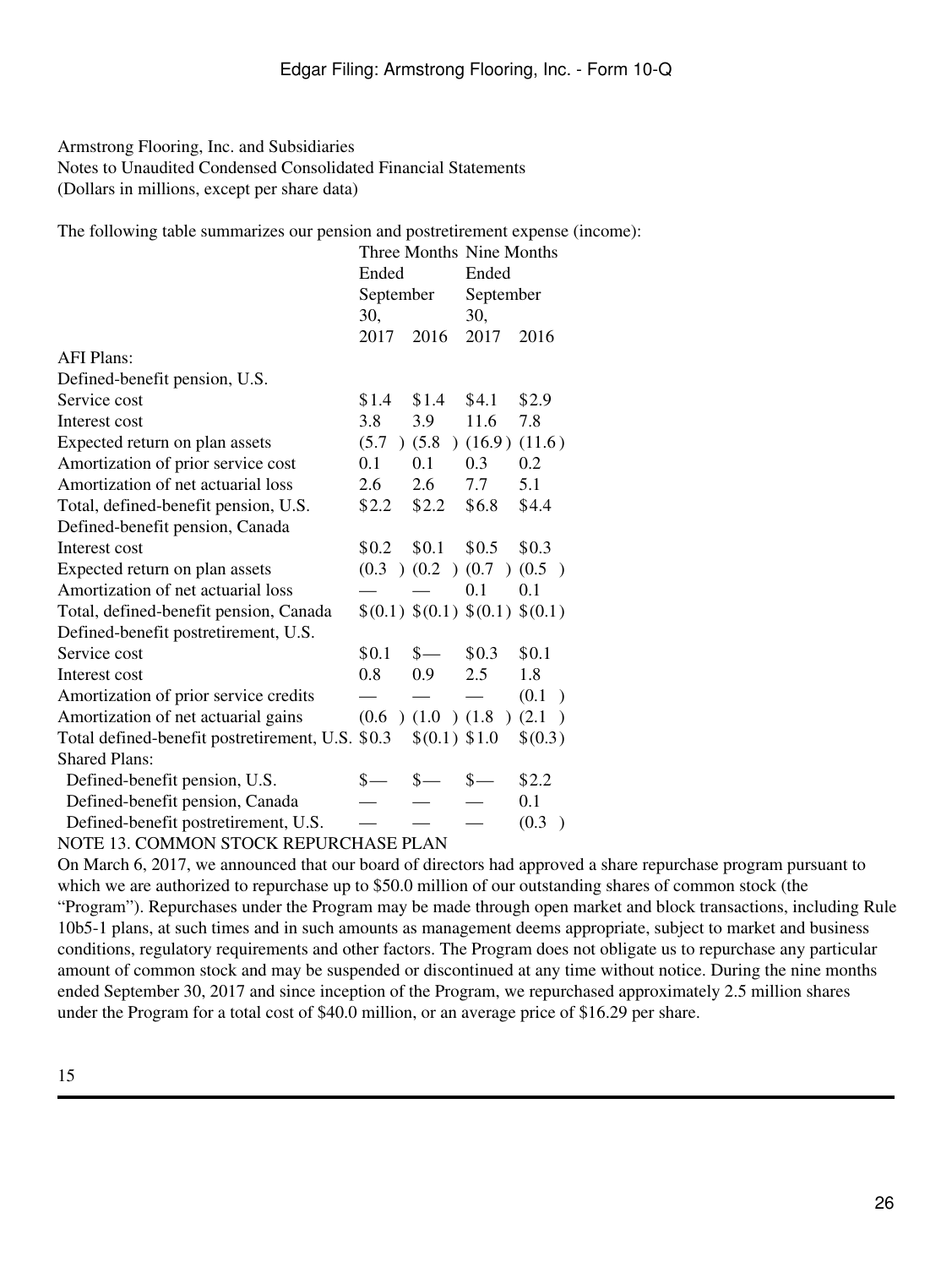The following table summarizes our pension and postretirement expense (income):

| Ended |                                                  | Ended         |                                                                                                                                                                                 |  |
|-------|--------------------------------------------------|---------------|---------------------------------------------------------------------------------------------------------------------------------------------------------------------------------|--|
|       |                                                  | September     |                                                                                                                                                                                 |  |
| 30,   |                                                  | 30,           |                                                                                                                                                                                 |  |
| 2017  | 2016                                             | 2017          | 2016                                                                                                                                                                            |  |
|       |                                                  |               |                                                                                                                                                                                 |  |
|       |                                                  |               |                                                                                                                                                                                 |  |
| \$1.4 | \$1.4                                            | \$4.1         | \$2.9                                                                                                                                                                           |  |
| 3.8   | 3.9                                              | 11.6          | 7.8                                                                                                                                                                             |  |
| (5.7) |                                                  |               |                                                                                                                                                                                 |  |
| 0.1   | 0.1                                              | 0.3           | 0.2                                                                                                                                                                             |  |
| 2.6   | 2.6                                              | 7.7           | 5.1                                                                                                                                                                             |  |
| \$2.2 | \$2.2                                            | \$6.8         | \$4.4                                                                                                                                                                           |  |
|       |                                                  |               |                                                                                                                                                                                 |  |
| \$0.2 | \$0.1                                            | \$0.5         | \$0.3\$                                                                                                                                                                         |  |
|       |                                                  |               | (0.5)                                                                                                                                                                           |  |
|       |                                                  | 0.1           | 0.1                                                                                                                                                                             |  |
|       |                                                  |               |                                                                                                                                                                                 |  |
|       |                                                  |               |                                                                                                                                                                                 |  |
| \$0.1 | $s-$                                             | \$0.3         | \$0.1                                                                                                                                                                           |  |
| 0.8   | 0.9                                              | 2.5           | 1.8                                                                                                                                                                             |  |
|       |                                                  |               | (0.1)<br>$\rightarrow$                                                                                                                                                          |  |
|       |                                                  |               | $\rightarrow$                                                                                                                                                                   |  |
|       |                                                  |               | \$(0.3)                                                                                                                                                                         |  |
|       |                                                  |               |                                                                                                                                                                                 |  |
| \$-   | $_{s-}$                                          | $\frac{1}{2}$ | \$2.2                                                                                                                                                                           |  |
|       |                                                  |               | 0.1                                                                                                                                                                             |  |
|       |                                                  |               | (0.3)                                                                                                                                                                           |  |
|       | Total defined-benefit postretirement, U.S. \$0.3 | September     | Three Months Nine Months<br>$(5.8)$ $(16.9)$ $(11.6)$<br>$(0.3)$ $(0.2)$ $(0.7)$<br>\$(0.1) \$(0.1) \$(0.1) \$(0.1) \$(0.1)<br>$(0.6)$ $(1.0)$ $(1.8)$ $(2.1)$<br>\$(0.1) \$1.0 |  |

### NOTE 13. COMMON STOCK REPURCHASE PLAN

On March 6, 2017, we announced that our board of directors had approved a share repurchase program pursuant to which we are authorized to repurchase up to \$50.0 million of our outstanding shares of common stock (the "Program"). Repurchases under the Program may be made through open market and block transactions, including Rule 10b5-1 plans, at such times and in such amounts as management deems appropriate, subject to market and business conditions, regulatory requirements and other factors. The Program does not obligate us to repurchase any particular amount of common stock and may be suspended or discontinued at any time without notice. During the nine months ended September 30, 2017 and since inception of the Program, we repurchased approximately 2.5 million shares under the Program for a total cost of \$40.0 million, or an average price of \$16.29 per share.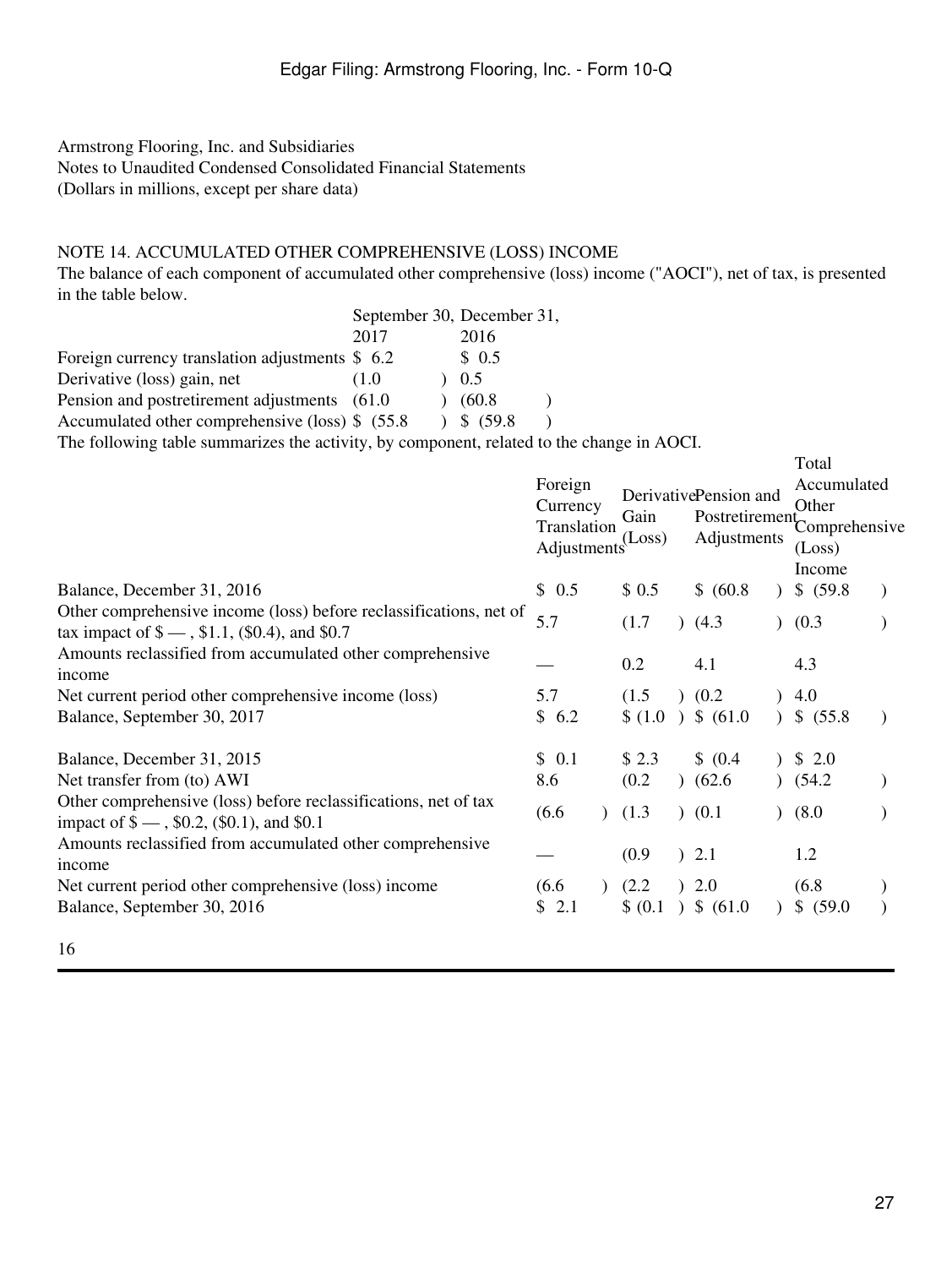# NOTE 14. ACCUMULATED OTHER COMPREHENSIVE (LOSS) INCOME

The balance of each component of accumulated other comprehensive (loss) income ("AOCI"), net of tax, is presented in the table below.

|                                                  | September 30, December 31, |           |
|--------------------------------------------------|----------------------------|-----------|
|                                                  | 2017                       | 2016      |
| Foreign currency translation adjustments $$6.2$  |                            | \$0.5     |
| Derivative (loss) gain, net                      | (1.0)                      | 0.5       |
| Pension and postretirement adjustments (61.0)    |                            | (60.8)    |
| Accumulated other comprehensive (loss) \$ (55.8) |                            | \$~(59.8) |
|                                                  |                            |           |

The following table summarizes the activity, by component, related to the change in AOCI.

|                                                                                                                        | Foreign<br>Currency<br>Translation<br>Adjustments <sup>(Loss)</sup> | Gain              | DerivativePension and<br>Adjustments | Total<br>Accumulated<br>Other<br>Postretirement Comprehensive<br>(Loss) |  |
|------------------------------------------------------------------------------------------------------------------------|---------------------------------------------------------------------|-------------------|--------------------------------------|-------------------------------------------------------------------------|--|
| Balance, December 31, 2016                                                                                             | \$0.5                                                               | \$0.5             | \$ (60.8)                            | Income<br>\$ (59.8)                                                     |  |
| Other comprehensive income (loss) before reclassifications, net of<br>tax impact of $\$$ — , \$1.1, (\$0.4), and \$0.7 | 5.7                                                                 | (1.7)             | (4.3)                                | (0.3)                                                                   |  |
| Amounts reclassified from accumulated other comprehensive<br>income                                                    |                                                                     | 0.2               | 4.1                                  | 4.3                                                                     |  |
| Net current period other comprehensive income (loss)<br>Balance, September 30, 2017                                    | 5.7<br>\$6.2                                                        | (1.5)             | (0.2)<br>$(1.0)$ \$ $(61.0)$         | 4.0<br>\$ (55.8)                                                        |  |
| Balance, December 31, 2015<br>Net transfer from (to) AWI                                                               | \$0.1<br>8.6                                                        | \$2.3<br>(0.2)    | \$ (0.4)<br>(62.6)                   | \$2.0<br>(54.2)                                                         |  |
| Other comprehensive (loss) before reclassifications, net of tax<br>impact of $\ell =$ , \$0.2, (\$0.1), and \$0.1      | (6.6)                                                               | (1.3)             | $)$ (0.1)                            | (8.0)                                                                   |  |
| Amounts reclassified from accumulated other comprehensive<br>income                                                    |                                                                     | (0.9)             | ) 2.1                                | 1.2                                                                     |  |
| Net current period other comprehensive (loss) income<br>Balance, September 30, 2016                                    | (6.6)<br>2.1<br>\$                                                  | (2.2)<br>\$ (0.1) | 2.0<br>$)$ \$ (61.0)                 | (6.8)<br>\$ (59.0)                                                      |  |
| 16                                                                                                                     |                                                                     |                   |                                      |                                                                         |  |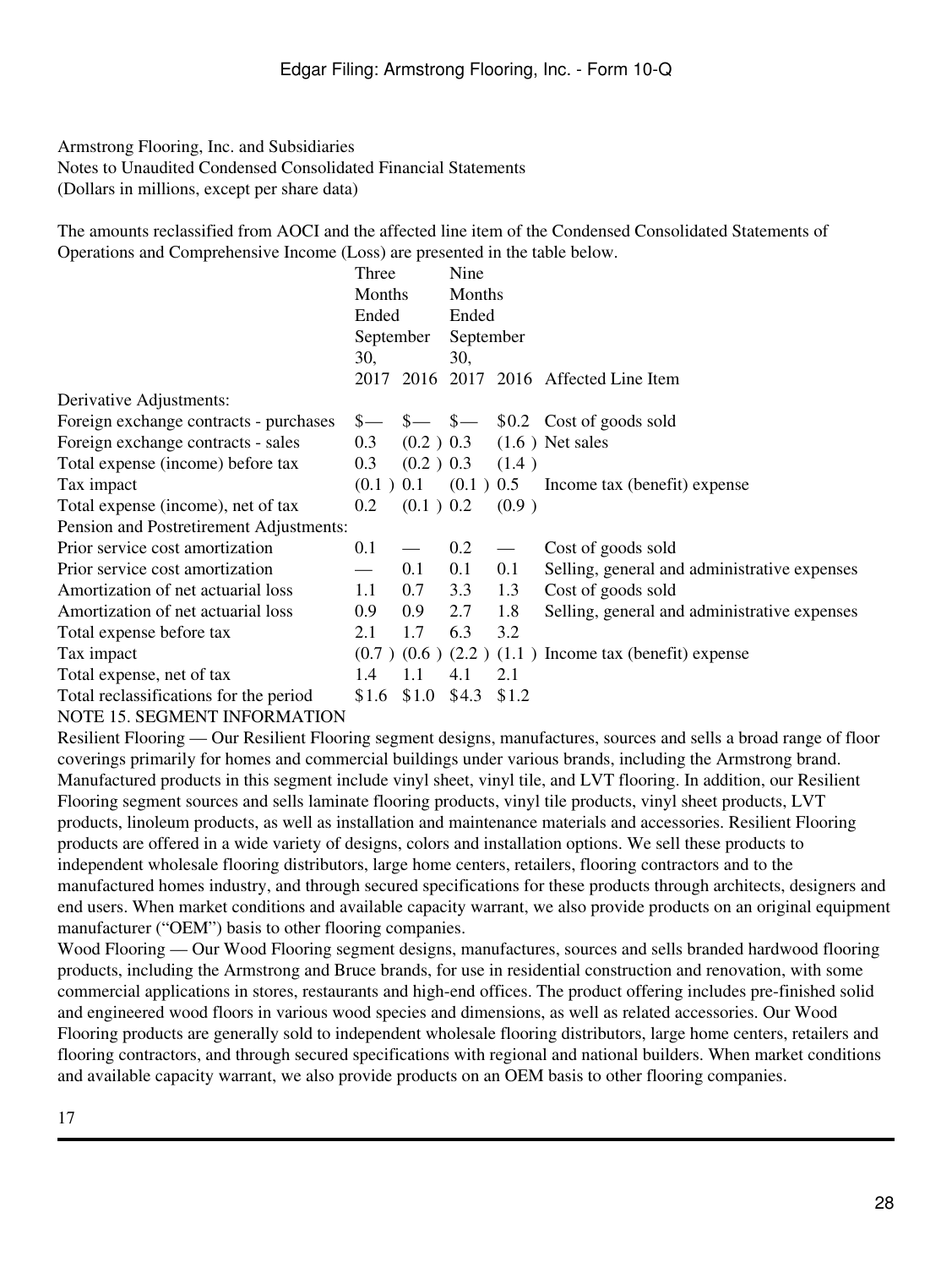The amounts reclassified from AOCI and the affected line item of the Condensed Consolidated Statements of Operations and Comprehensive Income (Loss) are presented in the table below.

|                                         | Three  |                     | Nine      |                          |                                                                                                                                                                                                                                                                                                                     |
|-----------------------------------------|--------|---------------------|-----------|--------------------------|---------------------------------------------------------------------------------------------------------------------------------------------------------------------------------------------------------------------------------------------------------------------------------------------------------------------|
|                                         | Months |                     | Months    |                          |                                                                                                                                                                                                                                                                                                                     |
|                                         | Ended  |                     | Ended     |                          |                                                                                                                                                                                                                                                                                                                     |
|                                         |        | September           | September |                          |                                                                                                                                                                                                                                                                                                                     |
|                                         | 30,    |                     | 30,       |                          |                                                                                                                                                                                                                                                                                                                     |
|                                         |        |                     |           |                          | 2017 2016 2017 2016 Affected Line Item                                                                                                                                                                                                                                                                              |
| Derivative Adjustments:                 |        |                     |           |                          |                                                                                                                                                                                                                                                                                                                     |
| Foreign exchange contracts - purchases  |        |                     |           |                          | $\frac{1}{2}$ $\frac{1}{2}$ $\frac{1}{2}$ $\frac{1}{2}$ $\frac{1}{2}$ $\frac{1}{2}$ $\frac{1}{2}$ $\frac{1}{2}$ $\frac{1}{2}$ $\frac{1}{2}$ $\frac{1}{2}$ $\frac{1}{2}$ $\frac{1}{2}$ $\frac{1}{2}$ $\frac{1}{2}$ $\frac{1}{2}$ $\frac{1}{2}$ $\frac{1}{2}$ $\frac{1}{2}$ $\frac{1}{2}$ $\frac{1}{2}$ $\frac{1}{2}$ |
| Foreign exchange contracts - sales      | 0.3    |                     |           |                          | $(0.2)$ 0.3 $(1.6)$ Net sales                                                                                                                                                                                                                                                                                       |
| Total expense (income) before tax       | 0.3    | $(0.2)$ 0.3 $(1.4)$ |           |                          |                                                                                                                                                                                                                                                                                                                     |
| Tax impact                              |        |                     |           |                          | $(0.1)$ 0.1 $(0.1)$ 0.5 Income tax (benefit) expense                                                                                                                                                                                                                                                                |
| Total expense (income), net of tax      | 0.2    | (0.1) 0.2           |           | (0.9)                    |                                                                                                                                                                                                                                                                                                                     |
| Pension and Postretirement Adjustments: |        |                     |           |                          |                                                                                                                                                                                                                                                                                                                     |
| Prior service cost amortization         | 0.1    |                     | 0.2       | $\overline{\phantom{m}}$ | Cost of goods sold                                                                                                                                                                                                                                                                                                  |
| Prior service cost amortization         |        | 0.1                 | 0.1       | 0.1                      | Selling, general and administrative expenses                                                                                                                                                                                                                                                                        |
| Amortization of net actuarial loss      | 1.1    | 0.7                 | 3.3       | 1.3                      | Cost of goods sold                                                                                                                                                                                                                                                                                                  |
| Amortization of net actuarial loss      | 0.9    | 0.9                 | 2.7       | 1.8                      | Selling, general and administrative expenses                                                                                                                                                                                                                                                                        |
| Total expense before tax                | 2.1    | 1.7                 | 6.3       | 3.2                      |                                                                                                                                                                                                                                                                                                                     |
| Tax impact                              |        |                     |           |                          | $(0.7)$ $(0.6)$ $(2.2)$ $(1.1)$ Income tax (benefit) expense                                                                                                                                                                                                                                                        |
| Total expense, net of tax               | 1.4    | 1.1                 | 4.1       | 2.1                      |                                                                                                                                                                                                                                                                                                                     |
| Total reclassifications for the period  | \$1.6  | \$1.0               | \$4.3     | \$1.2                    |                                                                                                                                                                                                                                                                                                                     |
| MOTE 15 SECULEMENT DIFORMATION          |        |                     |           |                          |                                                                                                                                                                                                                                                                                                                     |

NOTE 15. SEGMENT INFORMATION

Resilient Flooring — Our Resilient Flooring segment designs, manufactures, sources and sells a broad range of floor coverings primarily for homes and commercial buildings under various brands, including the Armstrong brand. Manufactured products in this segment include vinyl sheet, vinyl tile, and LVT flooring. In addition, our Resilient Flooring segment sources and sells laminate flooring products, vinyl tile products, vinyl sheet products, LVT products, linoleum products, as well as installation and maintenance materials and accessories. Resilient Flooring products are offered in a wide variety of designs, colors and installation options. We sell these products to independent wholesale flooring distributors, large home centers, retailers, flooring contractors and to the manufactured homes industry, and through secured specifications for these products through architects, designers and end users. When market conditions and available capacity warrant, we also provide products on an original equipment manufacturer ("OEM") basis to other flooring companies.

Wood Flooring — Our Wood Flooring segment designs, manufactures, sources and sells branded hardwood flooring products, including the Armstrong and Bruce brands, for use in residential construction and renovation, with some commercial applications in stores, restaurants and high-end offices. The product offering includes pre-finished solid and engineered wood floors in various wood species and dimensions, as well as related accessories. Our Wood Flooring products are generally sold to independent wholesale flooring distributors, large home centers, retailers and flooring contractors, and through secured specifications with regional and national builders. When market conditions and available capacity warrant, we also provide products on an OEM basis to other flooring companies.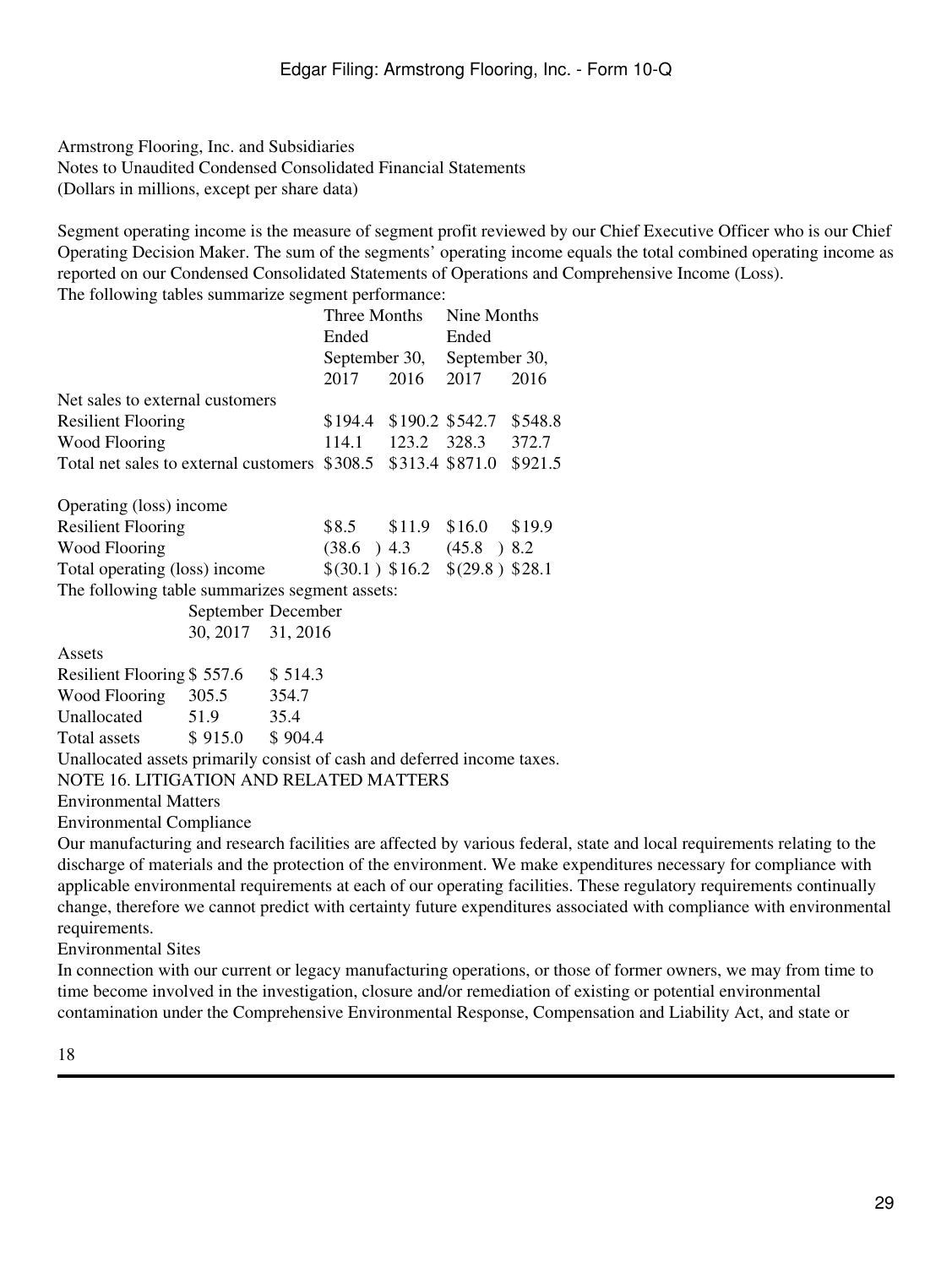Segment operating income is the measure of segment profit reviewed by our Chief Executive Officer who is our Chief Operating Decision Maker. The sum of the segments' operating income equals the total combined operating income as reported on our Condensed Consolidated Statements of Operations and Comprehensive Income (Loss). The following tables summarize segment performance:

|                                 |       |                                                                                    | Nine Months                                                    |                                                                                                                                                                                                                                                                                                                                                                                                         |  |
|---------------------------------|-------|------------------------------------------------------------------------------------|----------------------------------------------------------------|---------------------------------------------------------------------------------------------------------------------------------------------------------------------------------------------------------------------------------------------------------------------------------------------------------------------------------------------------------------------------------------------------------|--|
|                                 | Ended |                                                                                    | Ended                                                          |                                                                                                                                                                                                                                                                                                                                                                                                         |  |
|                                 |       |                                                                                    |                                                                |                                                                                                                                                                                                                                                                                                                                                                                                         |  |
|                                 | 2017  |                                                                                    |                                                                | 2016                                                                                                                                                                                                                                                                                                                                                                                                    |  |
| Net sales to external customers |       |                                                                                    |                                                                |                                                                                                                                                                                                                                                                                                                                                                                                         |  |
|                                 |       |                                                                                    |                                                                |                                                                                                                                                                                                                                                                                                                                                                                                         |  |
|                                 |       |                                                                                    |                                                                |                                                                                                                                                                                                                                                                                                                                                                                                         |  |
|                                 |       |                                                                                    |                                                                |                                                                                                                                                                                                                                                                                                                                                                                                         |  |
|                                 |       |                                                                                    |                                                                |                                                                                                                                                                                                                                                                                                                                                                                                         |  |
|                                 |       |                                                                                    |                                                                |                                                                                                                                                                                                                                                                                                                                                                                                         |  |
|                                 |       |                                                                                    |                                                                |                                                                                                                                                                                                                                                                                                                                                                                                         |  |
|                                 |       |                                                                                    |                                                                |                                                                                                                                                                                                                                                                                                                                                                                                         |  |
|                                 |       |                                                                                    |                                                                |                                                                                                                                                                                                                                                                                                                                                                                                         |  |
|                                 |       |                                                                                    |                                                                |                                                                                                                                                                                                                                                                                                                                                                                                         |  |
|                                 |       |                                                                                    |                                                                |                                                                                                                                                                                                                                                                                                                                                                                                         |  |
|                                 |       |                                                                                    |                                                                |                                                                                                                                                                                                                                                                                                                                                                                                         |  |
|                                 |       |                                                                                    |                                                                |                                                                                                                                                                                                                                                                                                                                                                                                         |  |
| Wood Flooring 305.5 354.7       |       |                                                                                    |                                                                |                                                                                                                                                                                                                                                                                                                                                                                                         |  |
| 51.9 35.4                       |       |                                                                                    |                                                                |                                                                                                                                                                                                                                                                                                                                                                                                         |  |
|                                 |       |                                                                                    |                                                                |                                                                                                                                                                                                                                                                                                                                                                                                         |  |
|                                 |       |                                                                                    |                                                                |                                                                                                                                                                                                                                                                                                                                                                                                         |  |
|                                 |       |                                                                                    |                                                                |                                                                                                                                                                                                                                                                                                                                                                                                         |  |
|                                 |       |                                                                                    |                                                                |                                                                                                                                                                                                                                                                                                                                                                                                         |  |
|                                 |       | September December<br>30, 2017 31, 2016<br>\$514.3<br>Total assets \$915.0 \$904.4 | Three Months<br>The following table summarizes segment assets: | September 30, September 30,<br>2016<br>2017<br>$$194.4$ \$190.2 \$542.7 \$548.8<br>114.1 123.2 328.3 372.7<br>Total net sales to external customers \$308.5 \$313.4 \$871.0 \$921.5<br>\$8.5 \$11.9 \$16.0 \$19.9<br>$(38.6)$ 4.3 $(45.8)$ 8.2<br>\$(30.1) \$16.2 \$(29.8) \$28.1<br>Unallocated assets primarily consist of cash and deferred income taxes.<br>NOTE 16. LITIGATION AND RELATED MATTERS |  |

Environmental Compliance

Our manufacturing and research facilities are affected by various federal, state and local requirements relating to the discharge of materials and the protection of the environment. We make expenditures necessary for compliance with applicable environmental requirements at each of our operating facilities. These regulatory requirements continually change, therefore we cannot predict with certainty future expenditures associated with compliance with environmental requirements.

Environmental Sites

In connection with our current or legacy manufacturing operations, or those of former owners, we may from time to time become involved in the investigation, closure and/or remediation of existing or potential environmental contamination under the Comprehensive Environmental Response, Compensation and Liability Act, and state or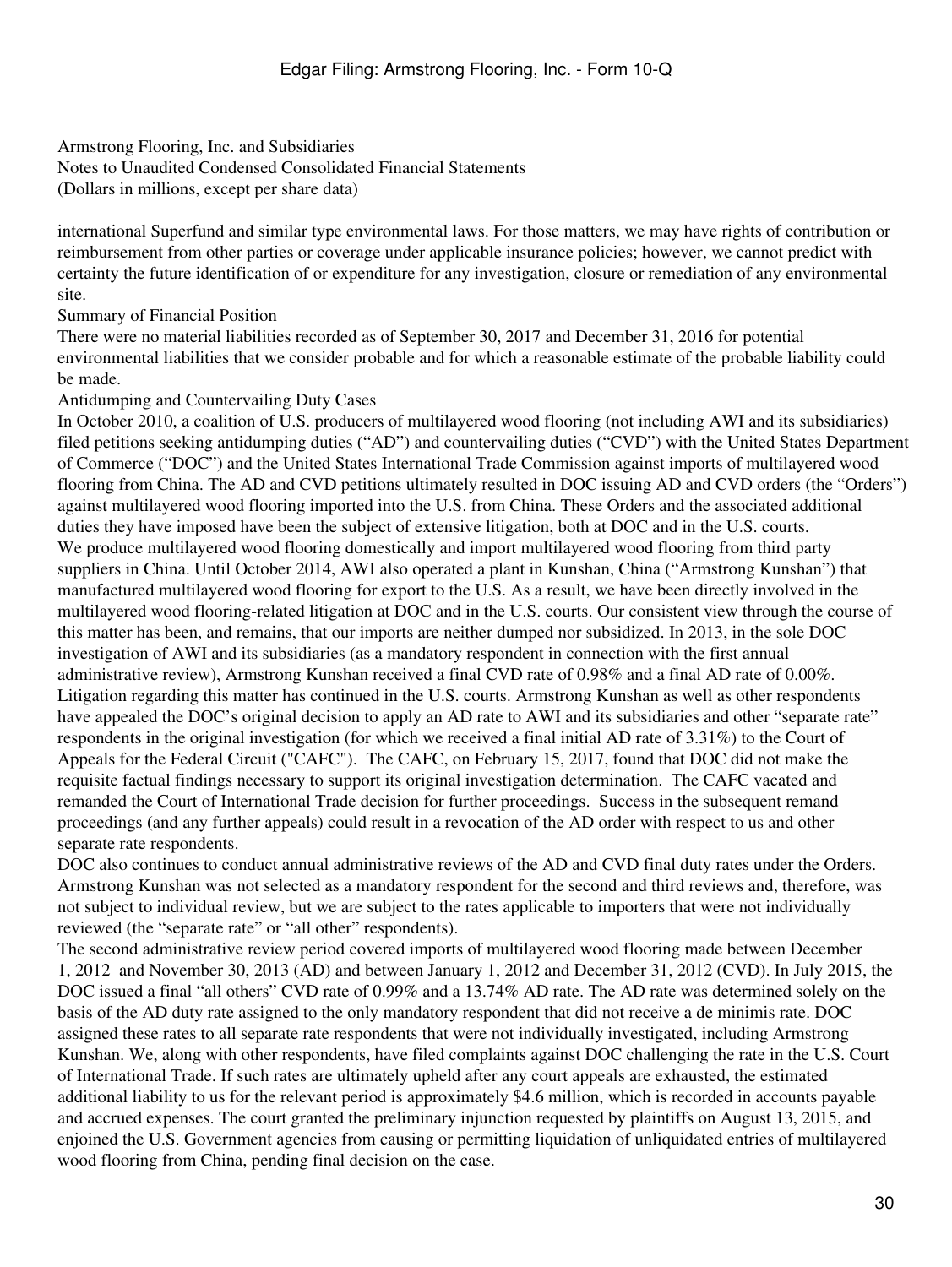Armstrong Flooring, Inc. and Subsidiaries

Notes to Unaudited Condensed Consolidated Financial Statements (Dollars in millions, except per share data)

international Superfund and similar type environmental laws. For those matters, we may have rights of contribution or reimbursement from other parties or coverage under applicable insurance policies; however, we cannot predict with certainty the future identification of or expenditure for any investigation, closure or remediation of any environmental site.

Summary of Financial Position

There were no material liabilities recorded as of September 30, 2017 and December 31, 2016 for potential environmental liabilities that we consider probable and for which a reasonable estimate of the probable liability could be made.

### Antidumping and Countervailing Duty Cases

In October 2010, a coalition of U.S. producers of multilayered wood flooring (not including AWI and its subsidiaries) filed petitions seeking antidumping duties ("AD") and countervailing duties ("CVD") with the United States Department of Commerce ("DOC") and the United States International Trade Commission against imports of multilayered wood flooring from China. The AD and CVD petitions ultimately resulted in DOC issuing AD and CVD orders (the "Orders") against multilayered wood flooring imported into the U.S. from China. These Orders and the associated additional duties they have imposed have been the subject of extensive litigation, both at DOC and in the U.S. courts. We produce multilayered wood flooring domestically and import multilayered wood flooring from third party suppliers in China. Until October 2014, AWI also operated a plant in Kunshan, China ("Armstrong Kunshan") that manufactured multilayered wood flooring for export to the U.S. As a result, we have been directly involved in the multilayered wood flooring-related litigation at DOC and in the U.S. courts. Our consistent view through the course of this matter has been, and remains, that our imports are neither dumped nor subsidized. In 2013, in the sole DOC investigation of AWI and its subsidiaries (as a mandatory respondent in connection with the first annual administrative review), Armstrong Kunshan received a final CVD rate of 0.98% and a final AD rate of 0.00%. Litigation regarding this matter has continued in the U.S. courts. Armstrong Kunshan as well as other respondents have appealed the DOC's original decision to apply an AD rate to AWI and its subsidiaries and other "separate rate" respondents in the original investigation (for which we received a final initial AD rate of 3.31%) to the Court of Appeals for the Federal Circuit ("CAFC"). The CAFC, on February 15, 2017, found that DOC did not make the requisite factual findings necessary to support its original investigation determination. The CAFC vacated and remanded the Court of International Trade decision for further proceedings. Success in the subsequent remand proceedings (and any further appeals) could result in a revocation of the AD order with respect to us and other separate rate respondents.

DOC also continues to conduct annual administrative reviews of the AD and CVD final duty rates under the Orders. Armstrong Kunshan was not selected as a mandatory respondent for the second and third reviews and, therefore, was not subject to individual review, but we are subject to the rates applicable to importers that were not individually reviewed (the "separate rate" or "all other" respondents).

The second administrative review period covered imports of multilayered wood flooring made between December 1, 2012 and November 30, 2013 (AD) and between January 1, 2012 and December 31, 2012 (CVD). In July 2015, the DOC issued a final "all others" CVD rate of 0.99% and a 13.74% AD rate. The AD rate was determined solely on the basis of the AD duty rate assigned to the only mandatory respondent that did not receive a de minimis rate. DOC assigned these rates to all separate rate respondents that were not individually investigated, including Armstrong Kunshan. We, along with other respondents, have filed complaints against DOC challenging the rate in the U.S. Court of International Trade. If such rates are ultimately upheld after any court appeals are exhausted, the estimated additional liability to us for the relevant period is approximately \$4.6 million, which is recorded in accounts payable and accrued expenses. The court granted the preliminary injunction requested by plaintiffs on August 13, 2015, and enjoined the U.S. Government agencies from causing or permitting liquidation of unliquidated entries of multilayered wood flooring from China, pending final decision on the case.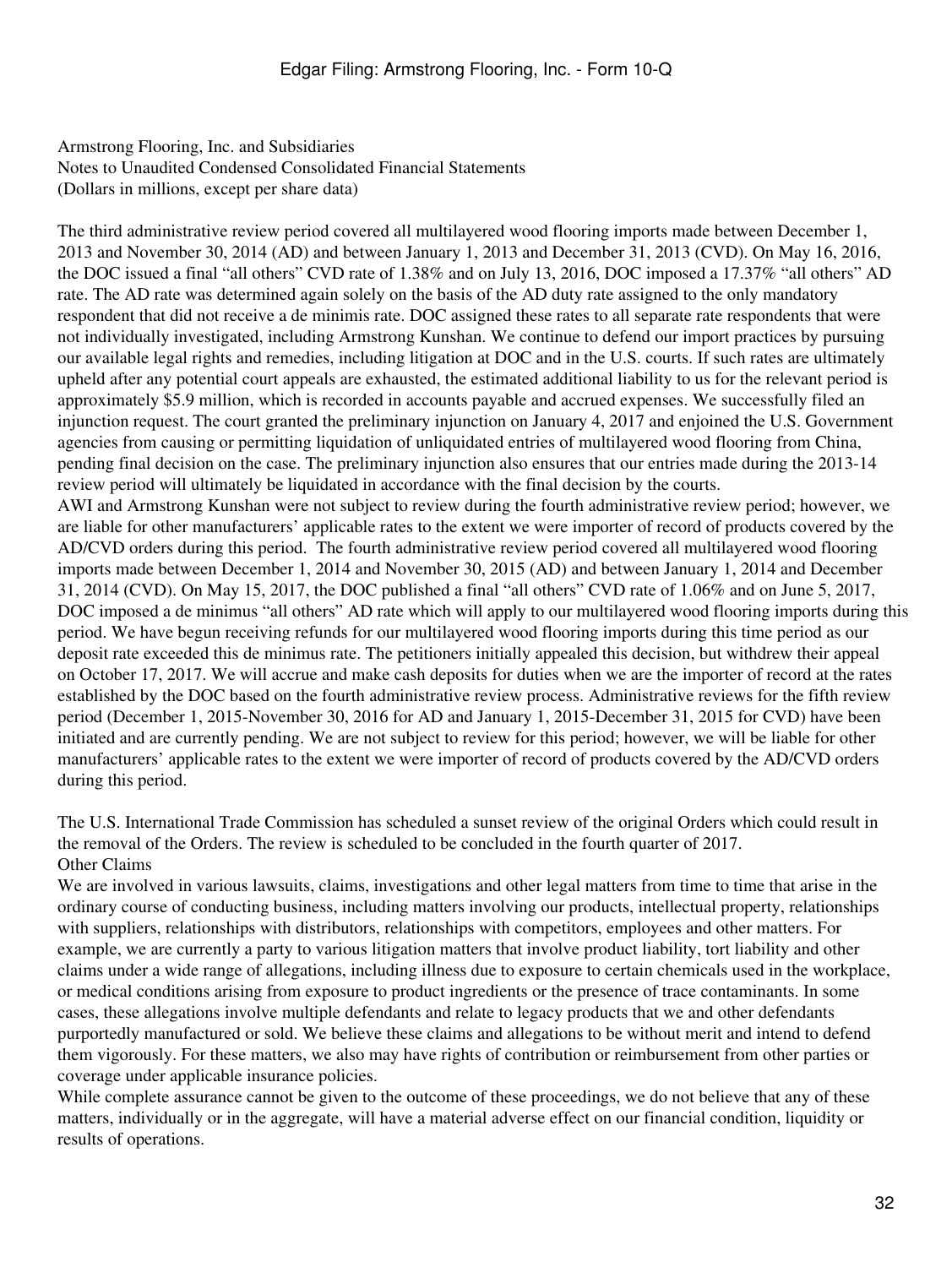The third administrative review period covered all multilayered wood flooring imports made between December 1, 2013 and November 30, 2014 (AD) and between January 1, 2013 and December 31, 2013 (CVD). On May 16, 2016, the DOC issued a final "all others" CVD rate of 1.38% and on July 13, 2016, DOC imposed a 17.37% "all others" AD rate. The AD rate was determined again solely on the basis of the AD duty rate assigned to the only mandatory respondent that did not receive a de minimis rate. DOC assigned these rates to all separate rate respondents that were not individually investigated, including Armstrong Kunshan. We continue to defend our import practices by pursuing our available legal rights and remedies, including litigation at DOC and in the U.S. courts. If such rates are ultimately upheld after any potential court appeals are exhausted, the estimated additional liability to us for the relevant period is approximately \$5.9 million, which is recorded in accounts payable and accrued expenses. We successfully filed an injunction request. The court granted the preliminary injunction on January 4, 2017 and enjoined the U.S. Government agencies from causing or permitting liquidation of unliquidated entries of multilayered wood flooring from China, pending final decision on the case. The preliminary injunction also ensures that our entries made during the 2013-14 review period will ultimately be liquidated in accordance with the final decision by the courts. AWI and Armstrong Kunshan were not subject to review during the fourth administrative review period; however, we are liable for other manufacturers' applicable rates to the extent we were importer of record of products covered by the AD/CVD orders during this period. The fourth administrative review period covered all multilayered wood flooring imports made between December 1, 2014 and November 30, 2015 (AD) and between January 1, 2014 and December 31, 2014 (CVD). On May 15, 2017, the DOC published a final "all others" CVD rate of 1.06% and on June 5, 2017, DOC imposed a de minimus "all others" AD rate which will apply to our multilayered wood flooring imports during this period. We have begun receiving refunds for our multilayered wood flooring imports during this time period as our deposit rate exceeded this de minimus rate. The petitioners initially appealed this decision, but withdrew their appeal on October 17, 2017. We will accrue and make cash deposits for duties when we are the importer of record at the rates established by the DOC based on the fourth administrative review process. Administrative reviews for the fifth review period (December 1, 2015-November 30, 2016 for AD and January 1, 2015-December 31, 2015 for CVD) have been initiated and are currently pending. We are not subject to review for this period; however, we will be liable for other manufacturers' applicable rates to the extent we were importer of record of products covered by the AD/CVD orders during this period.

The U.S. International Trade Commission has scheduled a sunset review of the original Orders which could result in the removal of the Orders. The review is scheduled to be concluded in the fourth quarter of 2017. Other Claims

We are involved in various lawsuits, claims, investigations and other legal matters from time to time that arise in the ordinary course of conducting business, including matters involving our products, intellectual property, relationships with suppliers, relationships with distributors, relationships with competitors, employees and other matters. For example, we are currently a party to various litigation matters that involve product liability, tort liability and other claims under a wide range of allegations, including illness due to exposure to certain chemicals used in the workplace, or medical conditions arising from exposure to product ingredients or the presence of trace contaminants. In some cases, these allegations involve multiple defendants and relate to legacy products that we and other defendants purportedly manufactured or sold. We believe these claims and allegations to be without merit and intend to defend them vigorously. For these matters, we also may have rights of contribution or reimbursement from other parties or coverage under applicable insurance policies.

While complete assurance cannot be given to the outcome of these proceedings, we do not believe that any of these matters, individually or in the aggregate, will have a material adverse effect on our financial condition, liquidity or results of operations.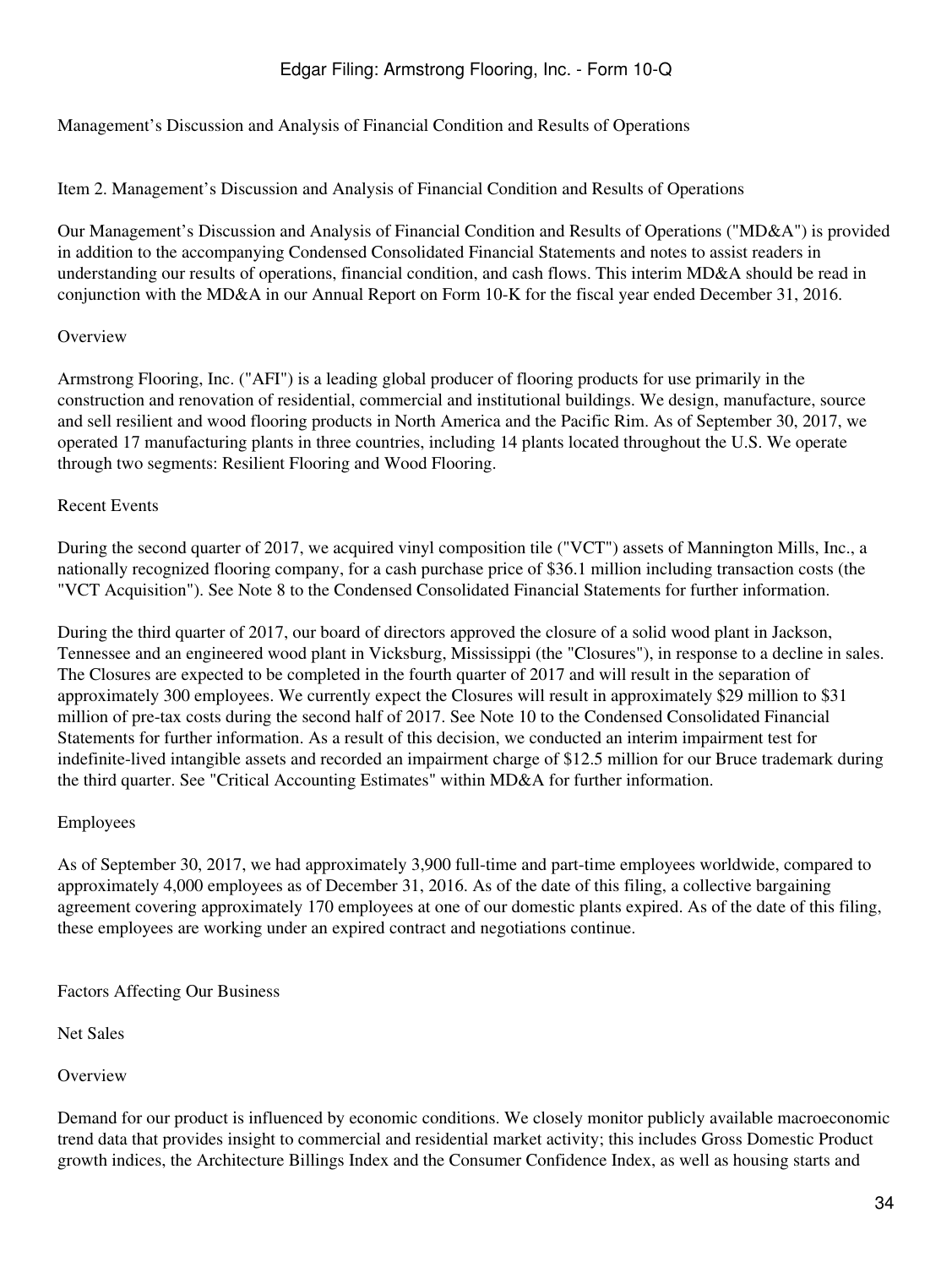<span id="page-33-0"></span>Management's Discussion and Analysis of Financial Condition and Results of Operations

Item 2. Management's Discussion and Analysis of Financial Condition and Results of Operations

Our Management's Discussion and Analysis of Financial Condition and Results of Operations ("MD&A") is provided in addition to the accompanying Condensed Consolidated Financial Statements and notes to assist readers in understanding our results of operations, financial condition, and cash flows. This interim MD&A should be read in conjunction with the MD&A in our Annual Report on Form 10-K for the fiscal year ended December 31, 2016.

### **Overview**

Armstrong Flooring, Inc. ("AFI") is a leading global producer of flooring products for use primarily in the construction and renovation of residential, commercial and institutional buildings. We design, manufacture, source and sell resilient and wood flooring products in North America and the Pacific Rim. As of September 30, 2017, we operated 17 manufacturing plants in three countries, including 14 plants located throughout the U.S. We operate through two segments: Resilient Flooring and Wood Flooring.

### Recent Events

During the second quarter of 2017, we acquired vinyl composition tile ("VCT") assets of Mannington Mills, Inc., a nationally recognized flooring company, for a cash purchase price of \$36.1 million including transaction costs (the "VCT Acquisition"). See Note 8 to the Condensed Consolidated Financial Statements for further information.

During the third quarter of 2017, our board of directors approved the closure of a solid wood plant in Jackson, Tennessee and an engineered wood plant in Vicksburg, Mississippi (the "Closures"), in response to a decline in sales. The Closures are expected to be completed in the fourth quarter of 2017 and will result in the separation of approximately 300 employees. We currently expect the Closures will result in approximately \$29 million to \$31 million of pre-tax costs during the second half of 2017. See Note 10 to the Condensed Consolidated Financial Statements for further information. As a result of this decision, we conducted an interim impairment test for indefinite-lived intangible assets and recorded an impairment charge of \$12.5 million for our Bruce trademark during the third quarter. See "Critical Accounting Estimates" within MD&A for further information.

#### Employees

As of September 30, 2017, we had approximately 3,900 full-time and part-time employees worldwide, compared to approximately 4,000 employees as of December 31, 2016. As of the date of this filing, a collective bargaining agreement covering approximately 170 employees at one of our domestic plants expired. As of the date of this filing, these employees are working under an expired contract and negotiations continue.

Factors Affecting Our Business

Net Sales

**Overview** 

Demand for our product is influenced by economic conditions. We closely monitor publicly available macroeconomic trend data that provides insight to commercial and residential market activity; this includes Gross Domestic Product growth indices, the Architecture Billings Index and the Consumer Confidence Index, as well as housing starts and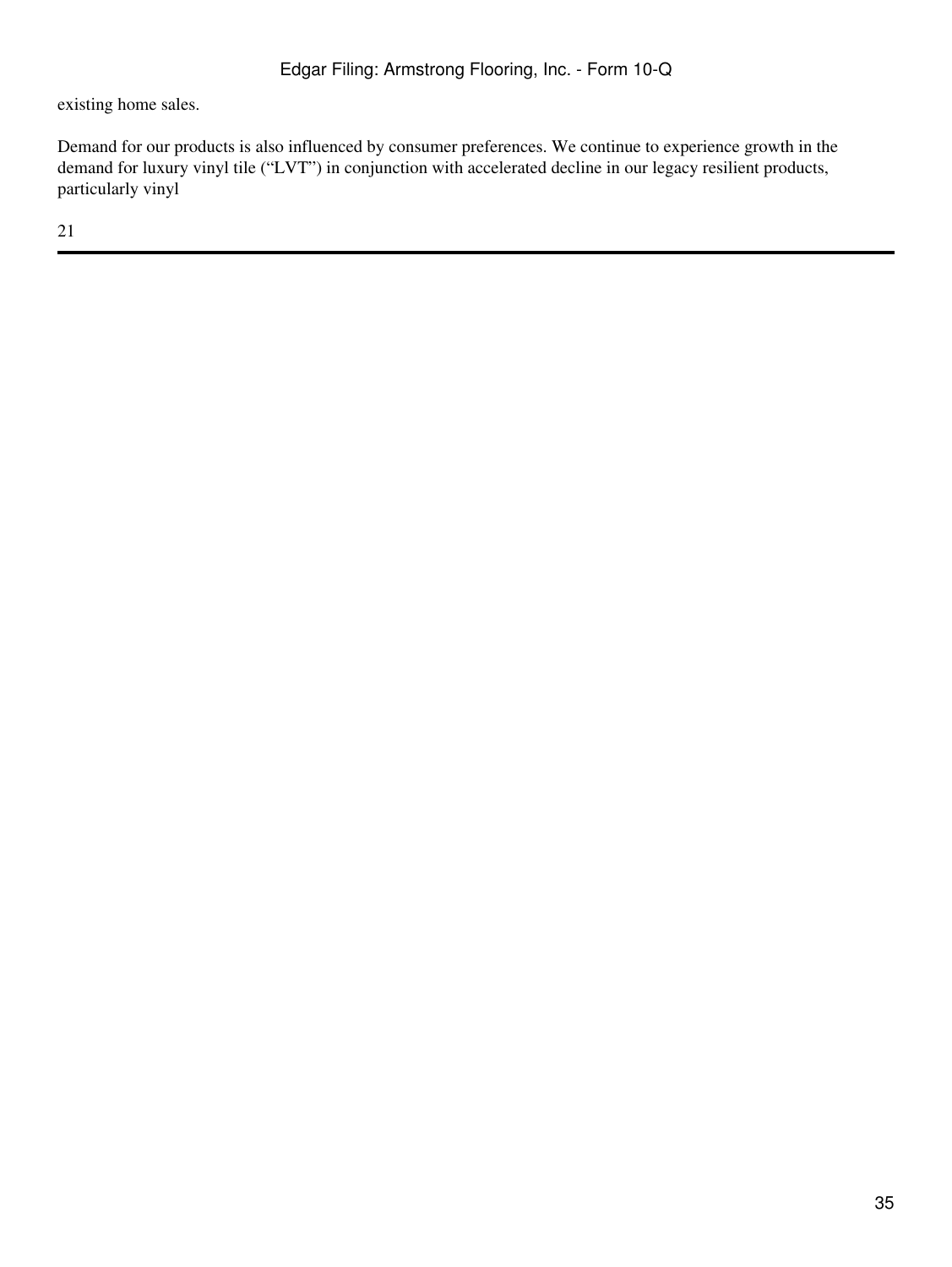existing home sales.

Demand for our products is also influenced by consumer preferences. We continue to experience growth in the demand for luxury vinyl tile ("LVT") in conjunction with accelerated decline in our legacy resilient products, particularly vinyl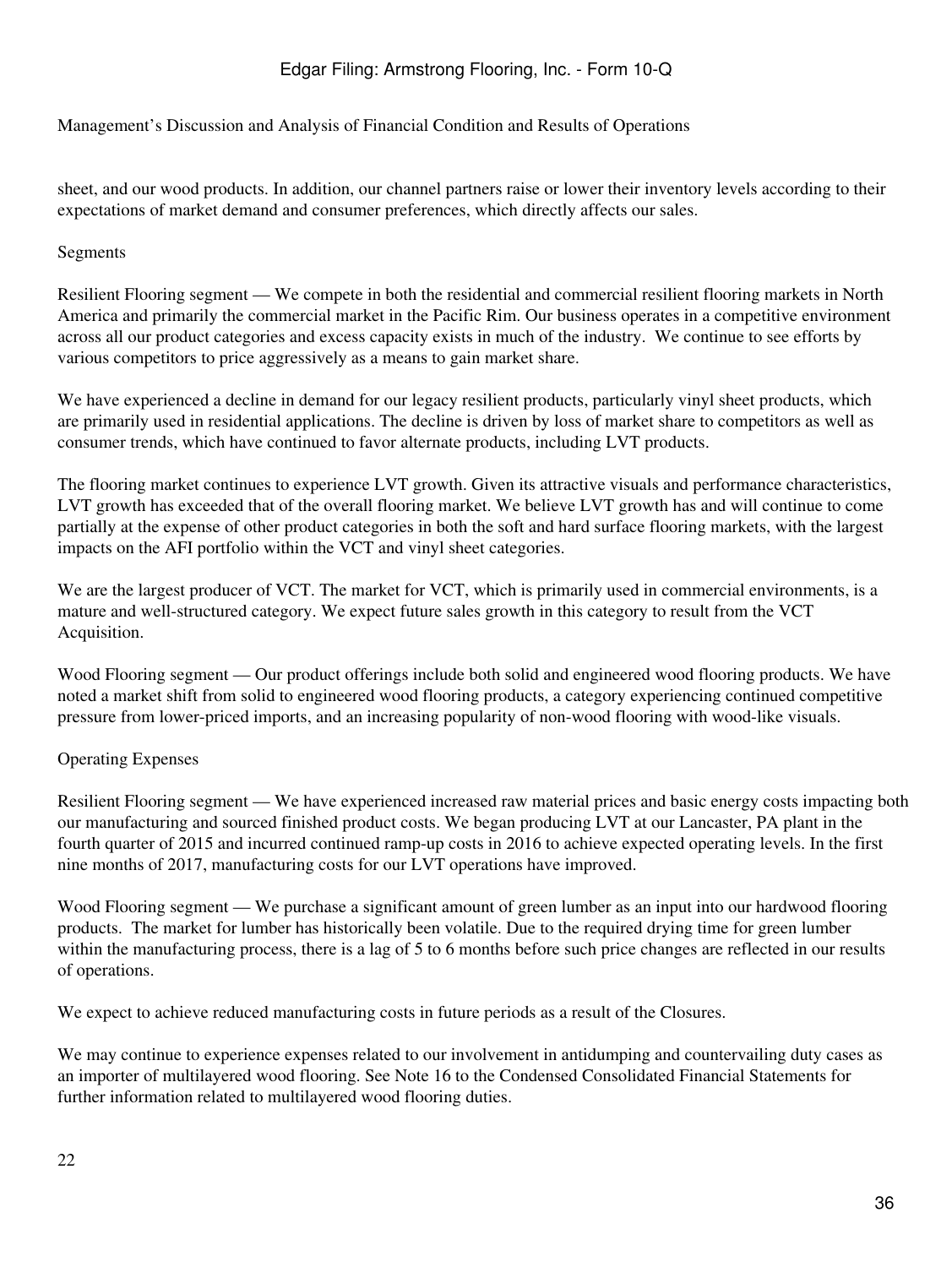Management's Discussion and Analysis of Financial Condition and Results of Operations

sheet, and our wood products. In addition, our channel partners raise or lower their inventory levels according to their expectations of market demand and consumer preferences, which directly affects our sales.

## Segments

Resilient Flooring segment — We compete in both the residential and commercial resilient flooring markets in North America and primarily the commercial market in the Pacific Rim. Our business operates in a competitive environment across all our product categories and excess capacity exists in much of the industry. We continue to see efforts by various competitors to price aggressively as a means to gain market share.

We have experienced a decline in demand for our legacy resilient products, particularly vinyl sheet products, which are primarily used in residential applications. The decline is driven by loss of market share to competitors as well as consumer trends, which have continued to favor alternate products, including LVT products.

The flooring market continues to experience LVT growth. Given its attractive visuals and performance characteristics, LVT growth has exceeded that of the overall flooring market. We believe LVT growth has and will continue to come partially at the expense of other product categories in both the soft and hard surface flooring markets, with the largest impacts on the AFI portfolio within the VCT and vinyl sheet categories.

We are the largest producer of VCT. The market for VCT, which is primarily used in commercial environments, is a mature and well-structured category. We expect future sales growth in this category to result from the VCT Acquisition.

Wood Flooring segment — Our product offerings include both solid and engineered wood flooring products. We have noted a market shift from solid to engineered wood flooring products, a category experiencing continued competitive pressure from lower-priced imports, and an increasing popularity of non-wood flooring with wood-like visuals.

## Operating Expenses

Resilient Flooring segment — We have experienced increased raw material prices and basic energy costs impacting both our manufacturing and sourced finished product costs. We began producing LVT at our Lancaster, PA plant in the fourth quarter of 2015 and incurred continued ramp-up costs in 2016 to achieve expected operating levels. In the first nine months of 2017, manufacturing costs for our LVT operations have improved.

Wood Flooring segment — We purchase a significant amount of green lumber as an input into our hardwood flooring products. The market for lumber has historically been volatile. Due to the required drying time for green lumber within the manufacturing process, there is a lag of 5 to 6 months before such price changes are reflected in our results of operations.

We expect to achieve reduced manufacturing costs in future periods as a result of the Closures.

We may continue to experience expenses related to our involvement in antidumping and countervailing duty cases as an importer of multilayered wood flooring. See Note 16 to the Condensed Consolidated Financial Statements for further information related to multilayered wood flooring duties.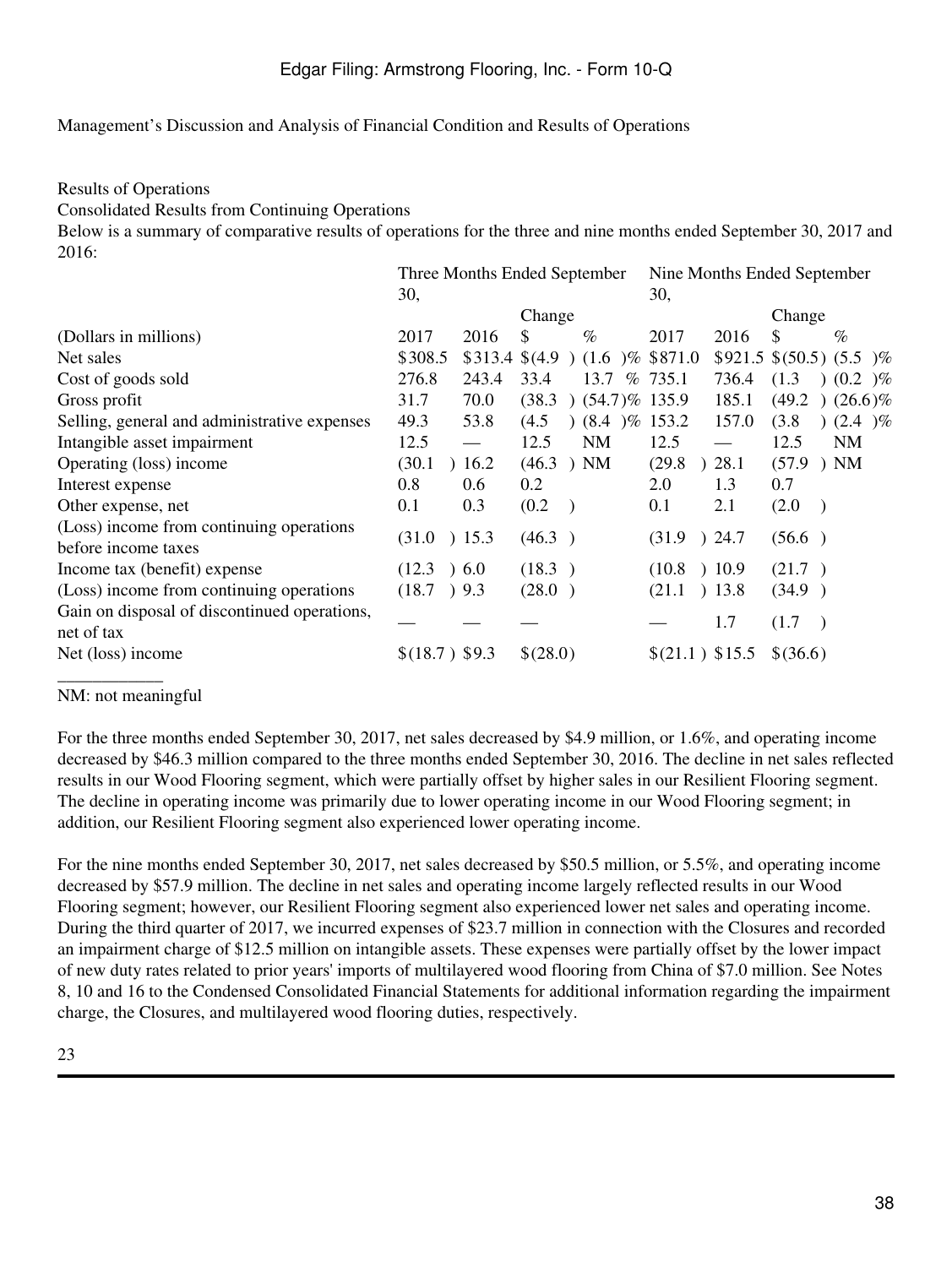Results of Operations

Consolidated Results from Continuing Operations

Below is a summary of comparative results of operations for the three and nine months ended September 30, 2017 and 2016:

|                                                                 |                     |       | Three Months Ended September                                      | Nine Months Ended September      |                                   |  |  |
|-----------------------------------------------------------------|---------------------|-------|-------------------------------------------------------------------|----------------------------------|-----------------------------------|--|--|
|                                                                 | 30,                 |       |                                                                   | 30,                              |                                   |  |  |
|                                                                 |                     |       | Change                                                            |                                  | Change                            |  |  |
| (Dollars in millions)                                           | 2017                | 2016  | \$<br>$\%$                                                        | 2017<br>2016                     | \$<br>$\%$                        |  |  |
| Net sales                                                       | \$308.5             |       | $$313.4 \text{ } $(4.9 \text{)} \text{ } (1.6 \text{)}\% \$871.0$ |                                  | $$921.5 \$(50.5) \$(5.5)$ \%      |  |  |
| Cost of goods sold                                              | 276.8               | 243.4 | 33.4<br>13.7                                                      | % 735.1<br>736.4                 | (1.3)<br>$(0.2) \%$               |  |  |
| Gross profit                                                    | 31.7                | 70.0  | $(54.7)\%$ 135.9<br>(38.3)                                        | 185.1                            | (49.2)<br>$(26.6)\%$              |  |  |
| Selling, general and administrative expenses                    | 49.3                | 53.8  | $(8.4 \, )\%$ 153.2<br>(4.5)                                      | 157.0                            | (3.8)<br>$(2.4)$ %                |  |  |
| Intangible asset impairment                                     | 12.5                |       | <b>NM</b><br>12.5                                                 | 12.5<br>$\overline{\phantom{0}}$ | 12.5<br><b>NM</b>                 |  |  |
| Operating (loss) income                                         | (30.1)              | 16.2  | (46.3)<br>) NM                                                    | (29.8)<br>28.1                   | $(57.9)$ NM                       |  |  |
| Interest expense                                                | 0.8                 | 0.6   | 0.2                                                               | 1.3<br>2.0                       | 0.7                               |  |  |
| Other expense, net                                              | 0.1                 | 0.3   | (0.2)                                                             | 0.1<br>2.1                       | (2.0)<br>$\rightarrow$            |  |  |
| (Loss) income from continuing operations<br>before income taxes | (31.0)              | 15.3  | (46.3)                                                            | ) 24.7<br>(31.9)                 | (56.6)                            |  |  |
| Income tax (benefit) expense                                    | (12.3)<br>$\lambda$ | 6.0   | (18.3)                                                            | (10.8) 10.9                      | (21.7)                            |  |  |
| (Loss) income from continuing operations                        | (18.7)              | ) 9.3 | (28.0)                                                            | ) 13.8<br>(21.1)                 | (34.9)                            |  |  |
| Gain on disposal of discontinued operations,<br>net of tax      |                     |       |                                                                   | 1.7                              | (1.7)<br>$\overline{\phantom{a}}$ |  |  |
| Net (loss) income                                               | \$(18.7) \$9.3      |       | \$(28.0)                                                          | \$(21.1) \$15.5                  | \$(36.6)                          |  |  |

NM: not meaningful

For the three months ended September 30, 2017, net sales decreased by \$4.9 million, or 1.6%, and operating income decreased by \$46.3 million compared to the three months ended September 30, 2016. The decline in net sales reflected results in our Wood Flooring segment, which were partially offset by higher sales in our Resilient Flooring segment. The decline in operating income was primarily due to lower operating income in our Wood Flooring segment; in addition, our Resilient Flooring segment also experienced lower operating income.

For the nine months ended September 30, 2017, net sales decreased by \$50.5 million, or 5.5%, and operating income decreased by \$57.9 million. The decline in net sales and operating income largely reflected results in our Wood Flooring segment; however, our Resilient Flooring segment also experienced lower net sales and operating income. During the third quarter of 2017, we incurred expenses of \$23.7 million in connection with the Closures and recorded an impairment charge of \$12.5 million on intangible assets. These expenses were partially offset by the lower impact of new duty rates related to prior years' imports of multilayered wood flooring from China of \$7.0 million. See Notes 8, 10 and 16 to the Condensed Consolidated Financial Statements for additional information regarding the impairment charge, the Closures, and multilayered wood flooring duties, respectively.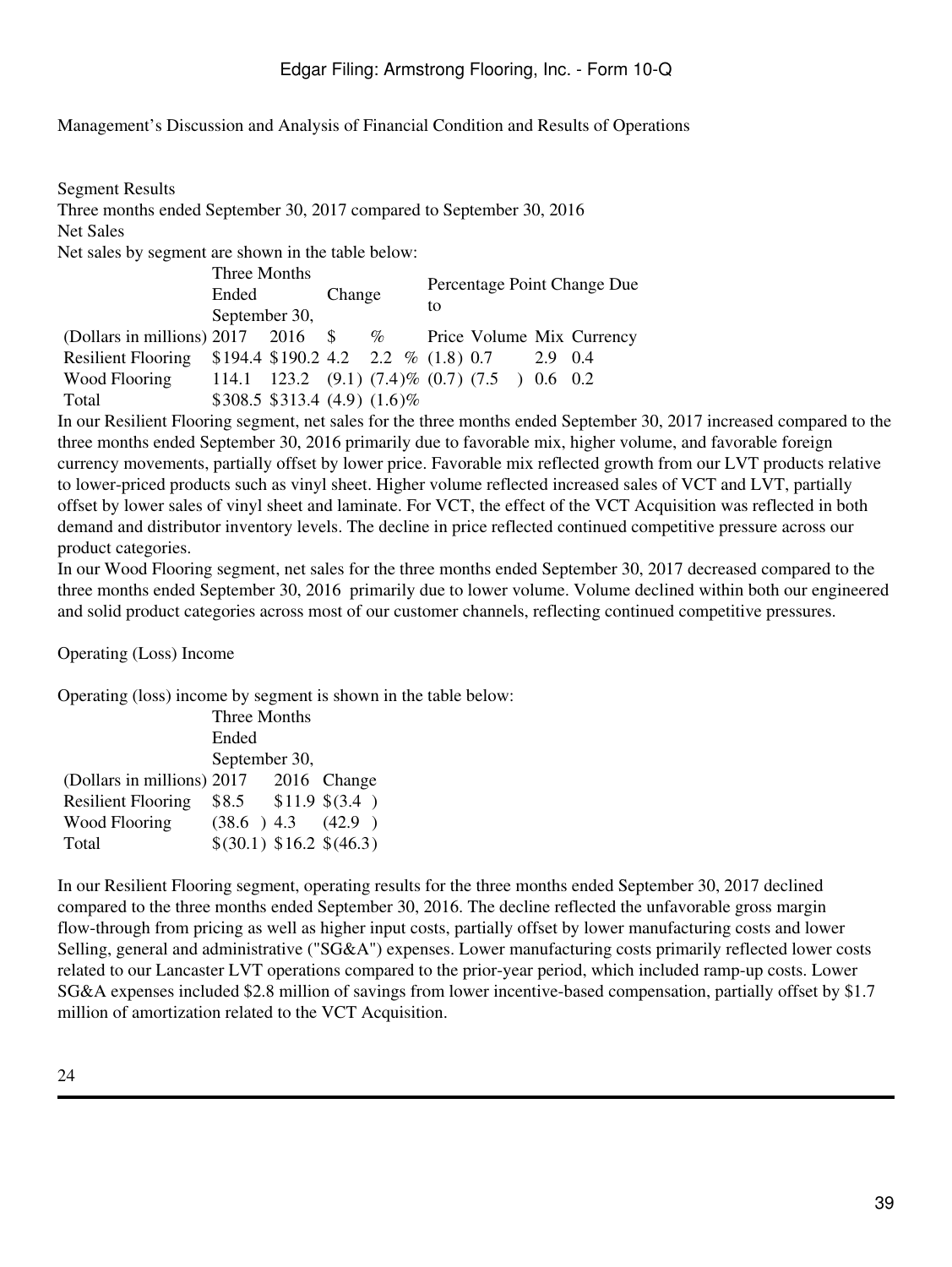Segment Results Three months ended September 30, 2017 compared to September 30, 2016 Net Sales Net sales by segment are shown in the table below: Three Months Ended September 30, Change Percentage Point Change Due to (Dollars in millions) 2017 2016 \$ % Price Volume Mix Currency Resilient Flooring \$194.4 \$190.2 4.2 2.2 % (1.8) 0.7 2.9 0.4 Wood Flooring 114.1 123.2 (9.1) (7.4)% (0.7) (7.5 ) 0.6 0.2 Total \$308.5 \$313.4 (4.9) (1.6)%

In our Resilient Flooring segment, net sales for the three months ended September 30, 2017 increased compared to the three months ended September 30, 2016 primarily due to favorable mix, higher volume, and favorable foreign currency movements, partially offset by lower price. Favorable mix reflected growth from our LVT products relative to lower-priced products such as vinyl sheet. Higher volume reflected increased sales of VCT and LVT, partially offset by lower sales of vinyl sheet and laminate. For VCT, the effect of the VCT Acquisition was reflected in both demand and distributor inventory levels. The decline in price reflected continued competitive pressure across our product categories.

In our Wood Flooring segment, net sales for the three months ended September 30, 2017 decreased compared to the three months ended September 30, 2016 primarily due to lower volume. Volume declined within both our engineered and solid product categories across most of our customer channels, reflecting continued competitive pressures.

Operating (Loss) Income

Operating (loss) income by segment is shown in the table below:

|                            | Three Months                   |  |             |  |  |  |
|----------------------------|--------------------------------|--|-------------|--|--|--|
|                            | Ended                          |  |             |  |  |  |
|                            | September 30,                  |  |             |  |  |  |
| (Dollars in millions) 2017 |                                |  | 2016 Change |  |  |  |
| <b>Resilient Flooring</b>  | $$8.5$ $$11.9 \text{ $(3.4)$}$ |  |             |  |  |  |
| <b>Wood Flooring</b>       | $(38.6)$ 4.3 $(42.9)$          |  |             |  |  |  |
| Total                      | \$(30.1) \$16.2 \$(46.3)       |  |             |  |  |  |

In our Resilient Flooring segment, operating results for the three months ended September 30, 2017 declined compared to the three months ended September 30, 2016. The decline reflected the unfavorable gross margin flow-through from pricing as well as higher input costs, partially offset by lower manufacturing costs and lower Selling, general and administrative ("SG&A") expenses. Lower manufacturing costs primarily reflected lower costs related to our Lancaster LVT operations compared to the prior-year period, which included ramp-up costs. Lower SG&A expenses included \$2.8 million of savings from lower incentive-based compensation, partially offset by \$1.7 million of amortization related to the VCT Acquisition.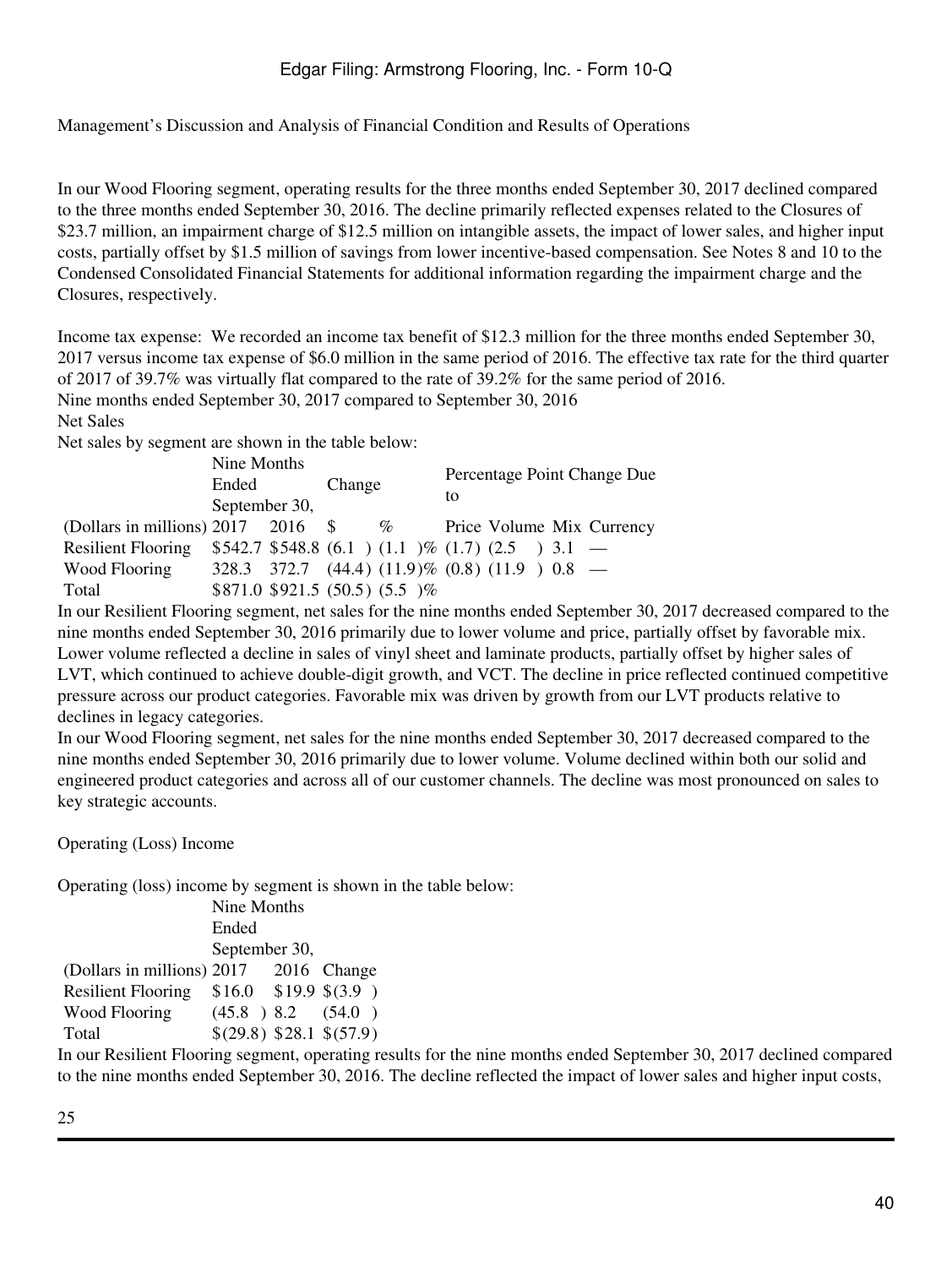In our Wood Flooring segment, operating results for the three months ended September 30, 2017 declined compared to the three months ended September 30, 2016. The decline primarily reflected expenses related to the Closures of \$23.7 million, an impairment charge of \$12.5 million on intangible assets, the impact of lower sales, and higher input costs, partially offset by \$1.5 million of savings from lower incentive-based compensation. See Notes 8 and 10 to the Condensed Consolidated Financial Statements for additional information regarding the impairment charge and the Closures, respectively.

Income tax expense: We recorded an income tax benefit of \$12.3 million for the three months ended September 30, 2017 versus income tax expense of \$6.0 million in the same period of 2016. The effective tax rate for the third quarter of 2017 of 39.7% was virtually flat compared to the rate of 39.2% for the same period of 2016. Nine months ended September 30, 2017 compared to September 30, 2016

Net Sales

Net sales by segment are shown in the table below:

|                                      | Nine Months   |  |        | Percentage Point Change Due                                  |    |  |  |  |                           |
|--------------------------------------|---------------|--|--------|--------------------------------------------------------------|----|--|--|--|---------------------------|
|                                      | Ended         |  | Change |                                                              |    |  |  |  |                           |
|                                      | September 30, |  |        |                                                              | to |  |  |  |                           |
| (Dollars in millions) $2017$ 2016 \$ |               |  |        | $\%$                                                         |    |  |  |  | Price Volume Mix Currency |
| <b>Resilient Flooring</b>            |               |  |        | $$542.7$548.8(6.1)(1.1)%(1.7)(2.5)3.1$ -                     |    |  |  |  |                           |
| Wood Flooring                        |               |  |        | $328.3$ $372.7$ $(44.4)$ $(11.9)\%$ $(0.8)$ $(11.9)$ $0.8$ - |    |  |  |  |                           |
| Total                                |               |  |        | $$871.0 $921.5 (50.5) (5.5) \%$                              |    |  |  |  |                           |

In our Resilient Flooring segment, net sales for the nine months ended September 30, 2017 decreased compared to the nine months ended September 30, 2016 primarily due to lower volume and price, partially offset by favorable mix. Lower volume reflected a decline in sales of vinyl sheet and laminate products, partially offset by higher sales of LVT, which continued to achieve double-digit growth, and VCT. The decline in price reflected continued competitive pressure across our product categories. Favorable mix was driven by growth from our LVT products relative to declines in legacy categories.

In our Wood Flooring segment, net sales for the nine months ended September 30, 2017 decreased compared to the nine months ended September 30, 2016 primarily due to lower volume. Volume declined within both our solid and engineered product categories and across all of our customer channels. The decline was most pronounced on sales to key strategic accounts.

Operating (Loss) Income

Operating (loss) income by segment is shown in the table below:

|                            | Nine Months              |  |             |  |
|----------------------------|--------------------------|--|-------------|--|
|                            | Ended                    |  |             |  |
|                            | September 30,            |  |             |  |
| (Dollars in millions) 2017 |                          |  | 2016 Change |  |
| <b>Resilient Flooring</b>  | $$16.0$ \$19.9 \$(3.9)   |  |             |  |
| <b>Wood Flooring</b>       | $(45.8)$ 8.2 $(54.0)$    |  |             |  |
| Total                      | \$(29.8) \$28.1 \$(57.9) |  |             |  |

In our Resilient Flooring segment, operating results for the nine months ended September 30, 2017 declined compared to the nine months ended September 30, 2016. The decline reflected the impact of lower sales and higher input costs,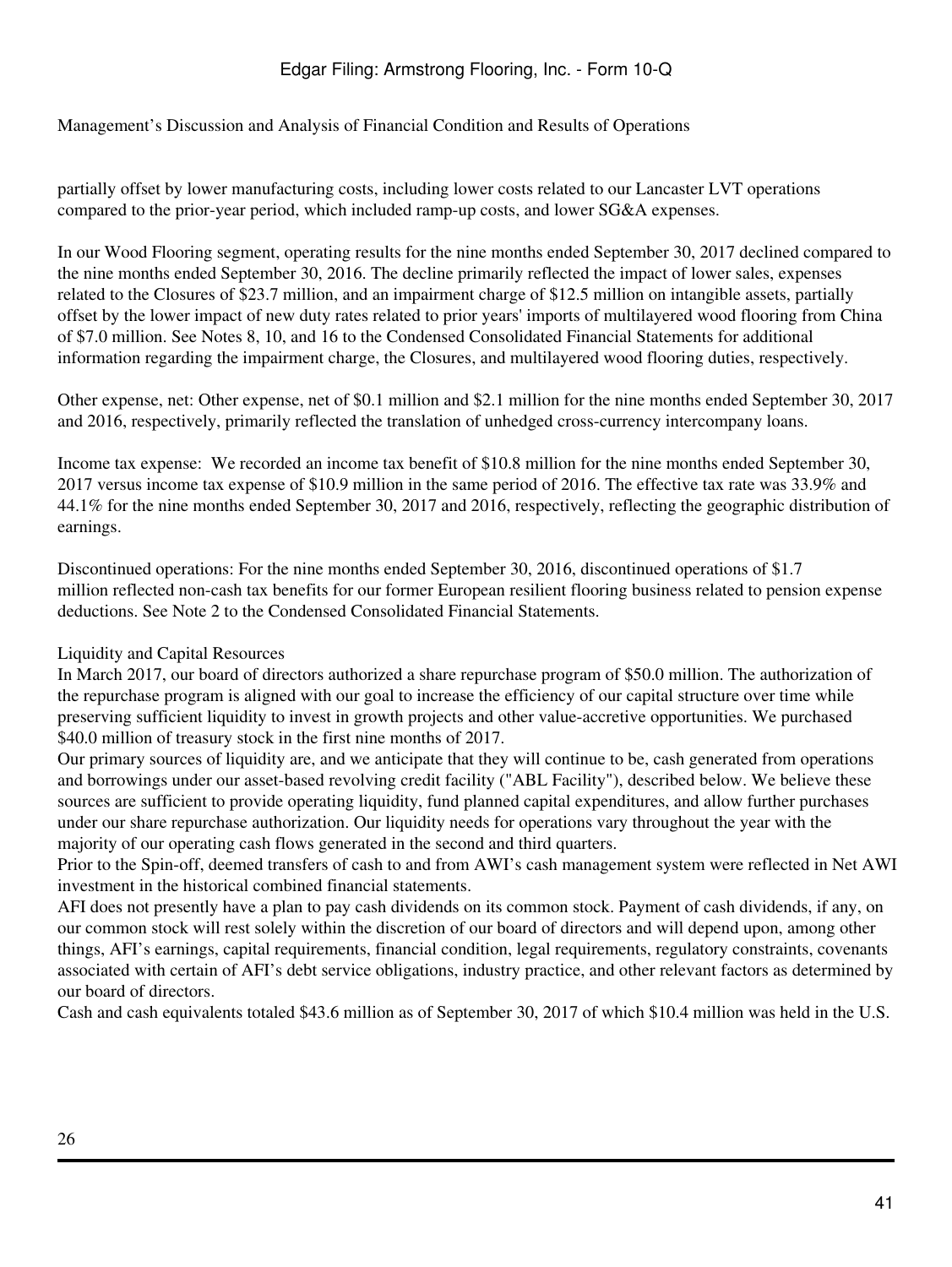Management's Discussion and Analysis of Financial Condition and Results of Operations

partially offset by lower manufacturing costs, including lower costs related to our Lancaster LVT operations compared to the prior-year period, which included ramp-up costs, and lower SG&A expenses.

In our Wood Flooring segment, operating results for the nine months ended September 30, 2017 declined compared to the nine months ended September 30, 2016. The decline primarily reflected the impact of lower sales, expenses related to the Closures of \$23.7 million, and an impairment charge of \$12.5 million on intangible assets, partially offset by the lower impact of new duty rates related to prior years' imports of multilayered wood flooring from China of \$7.0 million. See Notes 8, 10, and 16 to the Condensed Consolidated Financial Statements for additional information regarding the impairment charge, the Closures, and multilayered wood flooring duties, respectively.

Other expense, net: Other expense, net of \$0.1 million and \$2.1 million for the nine months ended September 30, 2017 and 2016, respectively, primarily reflected the translation of unhedged cross-currency intercompany loans.

Income tax expense: We recorded an income tax benefit of \$10.8 million for the nine months ended September 30, 2017 versus income tax expense of \$10.9 million in the same period of 2016. The effective tax rate was 33.9% and 44.1% for the nine months ended September 30, 2017 and 2016, respectively, reflecting the geographic distribution of earnings.

Discontinued operations: For the nine months ended September 30, 2016, discontinued operations of \$1.7 million reflected non-cash tax benefits for our former European resilient flooring business related to pension expense deductions. See Note 2 to the Condensed Consolidated Financial Statements.

## Liquidity and Capital Resources

In March 2017, our board of directors authorized a share repurchase program of \$50.0 million. The authorization of the repurchase program is aligned with our goal to increase the efficiency of our capital structure over time while preserving sufficient liquidity to invest in growth projects and other value-accretive opportunities. We purchased \$40.0 million of treasury stock in the first nine months of 2017.

Our primary sources of liquidity are, and we anticipate that they will continue to be, cash generated from operations and borrowings under our asset-based revolving credit facility ("ABL Facility"), described below. We believe these sources are sufficient to provide operating liquidity, fund planned capital expenditures, and allow further purchases under our share repurchase authorization. Our liquidity needs for operations vary throughout the year with the majority of our operating cash flows generated in the second and third quarters.

Prior to the Spin-off, deemed transfers of cash to and from AWI's cash management system were reflected in Net AWI investment in the historical combined financial statements.

AFI does not presently have a plan to pay cash dividends on its common stock. Payment of cash dividends, if any, on our common stock will rest solely within the discretion of our board of directors and will depend upon, among other things, AFI's earnings, capital requirements, financial condition, legal requirements, regulatory constraints, covenants associated with certain of AFI's debt service obligations, industry practice, and other relevant factors as determined by our board of directors.

Cash and cash equivalents totaled \$43.6 million as of September 30, 2017 of which \$10.4 million was held in the U.S.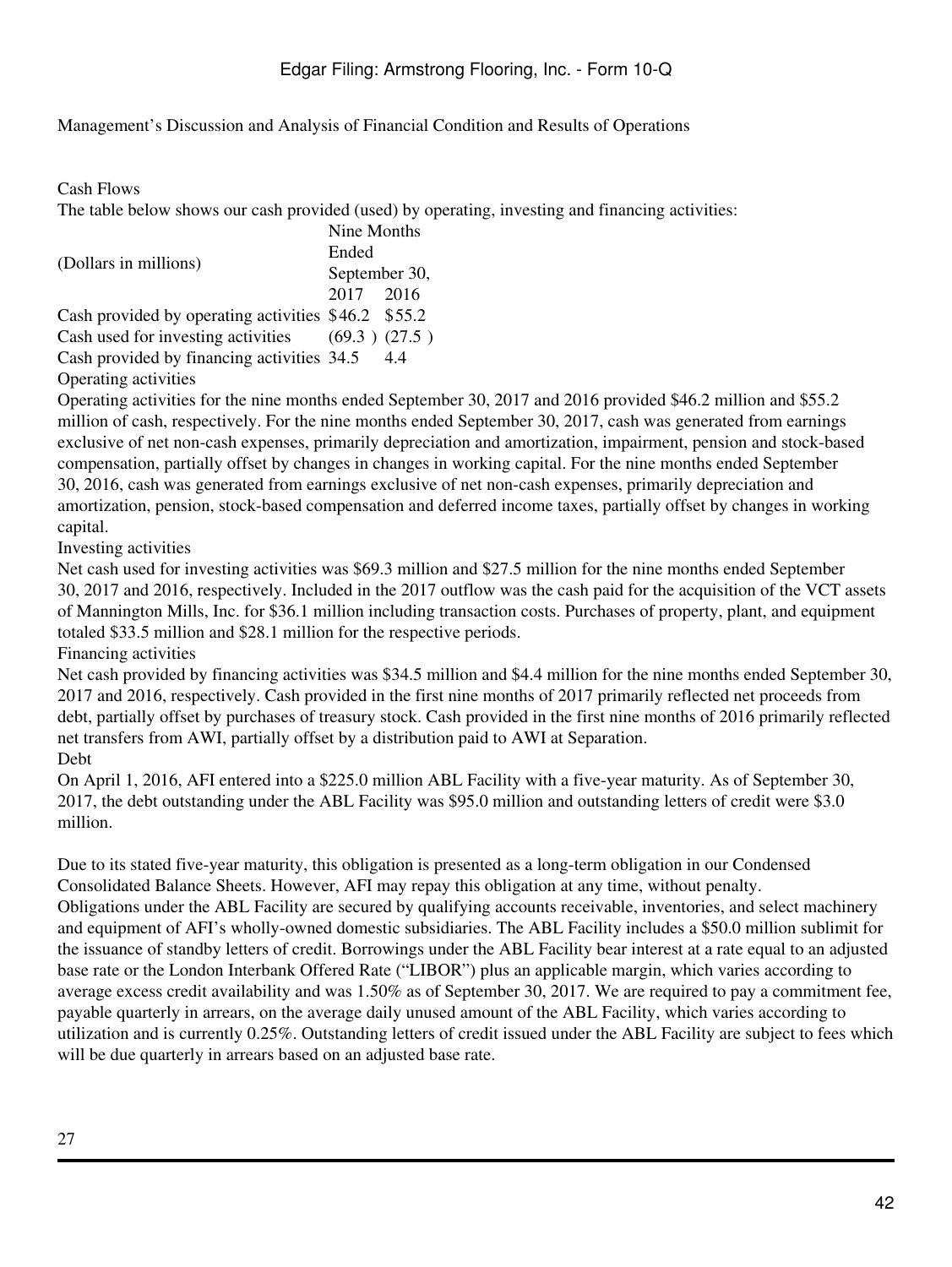Cash Flows

The table below shows our cash provided (used) by operating, investing and financing activities:

|                                                      | Nine Months   |     |  |  |
|------------------------------------------------------|---------------|-----|--|--|
| (Dollars in millions)                                | Ended         |     |  |  |
|                                                      | September 30, |     |  |  |
|                                                      | 2017 2016     |     |  |  |
| Cash provided by operating activities \$46.2 \$55.2  |               |     |  |  |
| Cash used for investing activities $(69.3)$ $(27.5)$ |               |     |  |  |
| Cash provided by financing activities 34.5           |               | 4.4 |  |  |

Operating activities

Operating activities for the nine months ended September 30, 2017 and 2016 provided \$46.2 million and \$55.2 million of cash, respectively. For the nine months ended September 30, 2017, cash was generated from earnings exclusive of net non-cash expenses, primarily depreciation and amortization, impairment, pension and stock-based compensation, partially offset by changes in changes in working capital. For the nine months ended September 30, 2016, cash was generated from earnings exclusive of net non-cash expenses, primarily depreciation and amortization, pension, stock-based compensation and deferred income taxes, partially offset by changes in working capital.

Investing activities

Net cash used for investing activities was \$69.3 million and \$27.5 million for the nine months ended September 30, 2017 and 2016, respectively. Included in the 2017 outflow was the cash paid for the acquisition of the VCT assets of Mannington Mills, Inc. for \$36.1 million including transaction costs. Purchases of property, plant, and equipment totaled \$33.5 million and \$28.1 million for the respective periods.

Financing activities

Net cash provided by financing activities was \$34.5 million and \$4.4 million for the nine months ended September 30, 2017 and 2016, respectively. Cash provided in the first nine months of 2017 primarily reflected net proceeds from debt, partially offset by purchases of treasury stock. Cash provided in the first nine months of 2016 primarily reflected net transfers from AWI, partially offset by a distribution paid to AWI at Separation.

Debt

On April 1, 2016, AFI entered into a \$225.0 million ABL Facility with a five-year maturity. As of September 30, 2017, the debt outstanding under the ABL Facility was \$95.0 million and outstanding letters of credit were \$3.0 million.

Due to its stated five-year maturity, this obligation is presented as a long-term obligation in our Condensed Consolidated Balance Sheets. However, AFI may repay this obligation at any time, without penalty.

Obligations under the ABL Facility are secured by qualifying accounts receivable, inventories, and select machinery and equipment of AFI's wholly-owned domestic subsidiaries. The ABL Facility includes a \$50.0 million sublimit for the issuance of standby letters of credit. Borrowings under the ABL Facility bear interest at a rate equal to an adjusted base rate or the London Interbank Offered Rate ("LIBOR") plus an applicable margin, which varies according to average excess credit availability and was 1.50% as of September 30, 2017. We are required to pay a commitment fee, payable quarterly in arrears, on the average daily unused amount of the ABL Facility, which varies according to utilization and is currently 0.25%. Outstanding letters of credit issued under the ABL Facility are subject to fees which will be due quarterly in arrears based on an adjusted base rate.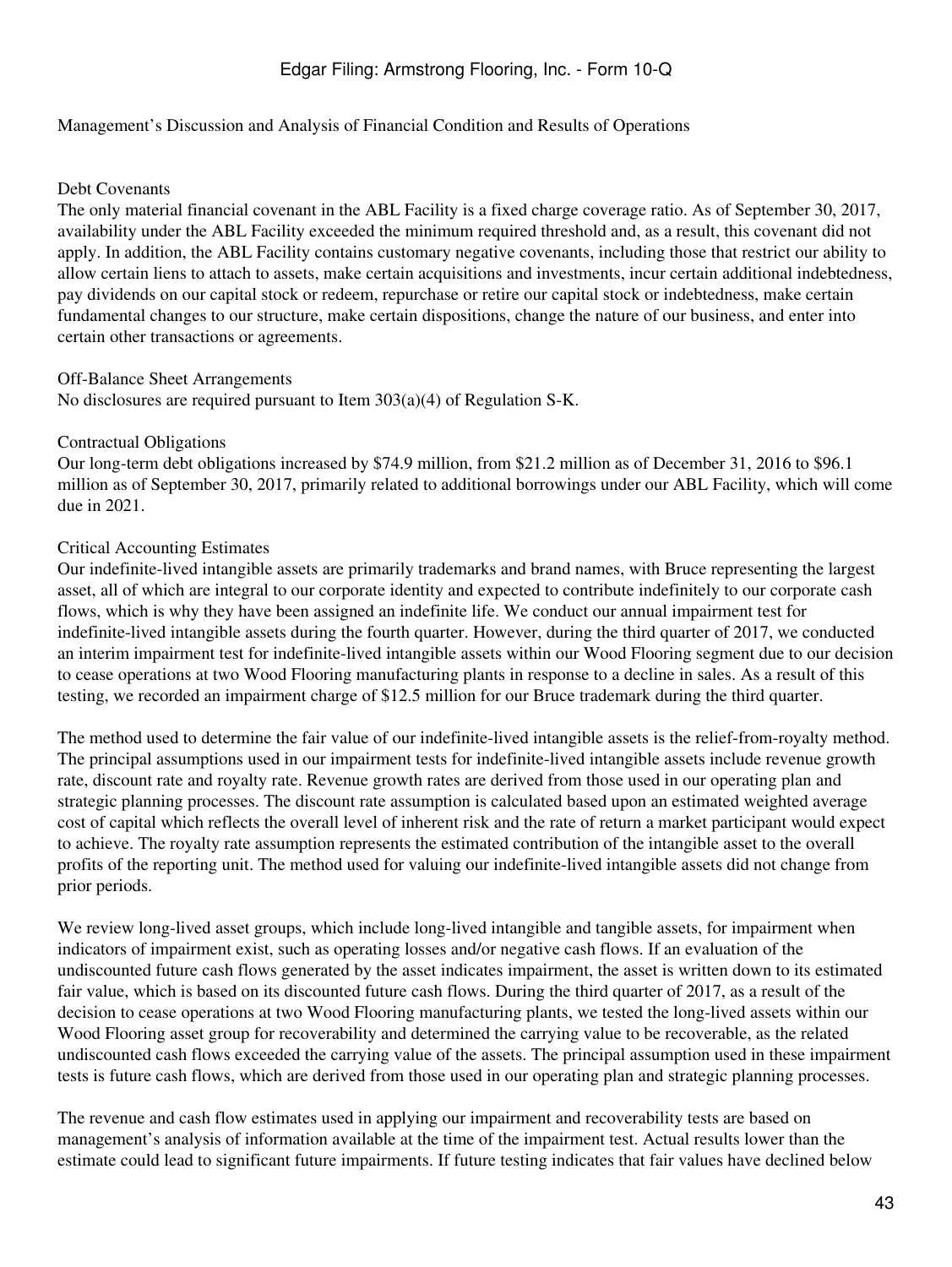#### Management's Discussion and Analysis of Financial Condition and Results of Operations

#### Debt Covenants

The only material financial covenant in the ABL Facility is a fixed charge coverage ratio. As of September 30, 2017, availability under the ABL Facility exceeded the minimum required threshold and, as a result, this covenant did not apply. In addition, the ABL Facility contains customary negative covenants, including those that restrict our ability to allow certain liens to attach to assets, make certain acquisitions and investments, incur certain additional indebtedness, pay dividends on our capital stock or redeem, repurchase or retire our capital stock or indebtedness, make certain fundamental changes to our structure, make certain dispositions, change the nature of our business, and enter into certain other transactions or agreements.

#### Off-Balance Sheet Arrangements

No disclosures are required pursuant to Item 303(a)(4) of Regulation S-K.

#### Contractual Obligations

Our long-term debt obligations increased by \$74.9 million, from \$21.2 million as of December 31, 2016 to \$96.1 million as of September 30, 2017, primarily related to additional borrowings under our ABL Facility, which will come due in 2021.

#### Critical Accounting Estimates

Our indefinite-lived intangible assets are primarily trademarks and brand names, with Bruce representing the largest asset, all of which are integral to our corporate identity and expected to contribute indefinitely to our corporate cash flows, which is why they have been assigned an indefinite life. We conduct our annual impairment test for indefinite-lived intangible assets during the fourth quarter. However, during the third quarter of 2017, we conducted an interim impairment test for indefinite-lived intangible assets within our Wood Flooring segment due to our decision to cease operations at two Wood Flooring manufacturing plants in response to a decline in sales. As a result of this testing, we recorded an impairment charge of \$12.5 million for our Bruce trademark during the third quarter.

The method used to determine the fair value of our indefinite-lived intangible assets is the relief-from-royalty method. The principal assumptions used in our impairment tests for indefinite-lived intangible assets include revenue growth rate, discount rate and royalty rate. Revenue growth rates are derived from those used in our operating plan and strategic planning processes. The discount rate assumption is calculated based upon an estimated weighted average cost of capital which reflects the overall level of inherent risk and the rate of return a market participant would expect to achieve. The royalty rate assumption represents the estimated contribution of the intangible asset to the overall profits of the reporting unit. The method used for valuing our indefinite-lived intangible assets did not change from prior periods.

We review long-lived asset groups, which include long-lived intangible and tangible assets, for impairment when indicators of impairment exist, such as operating losses and/or negative cash flows. If an evaluation of the undiscounted future cash flows generated by the asset indicates impairment, the asset is written down to its estimated fair value, which is based on its discounted future cash flows. During the third quarter of 2017, as a result of the decision to cease operations at two Wood Flooring manufacturing plants, we tested the long-lived assets within our Wood Flooring asset group for recoverability and determined the carrying value to be recoverable, as the related undiscounted cash flows exceeded the carrying value of the assets. The principal assumption used in these impairment tests is future cash flows, which are derived from those used in our operating plan and strategic planning processes.

The revenue and cash flow estimates used in applying our impairment and recoverability tests are based on management's analysis of information available at the time of the impairment test. Actual results lower than the estimate could lead to significant future impairments. If future testing indicates that fair values have declined below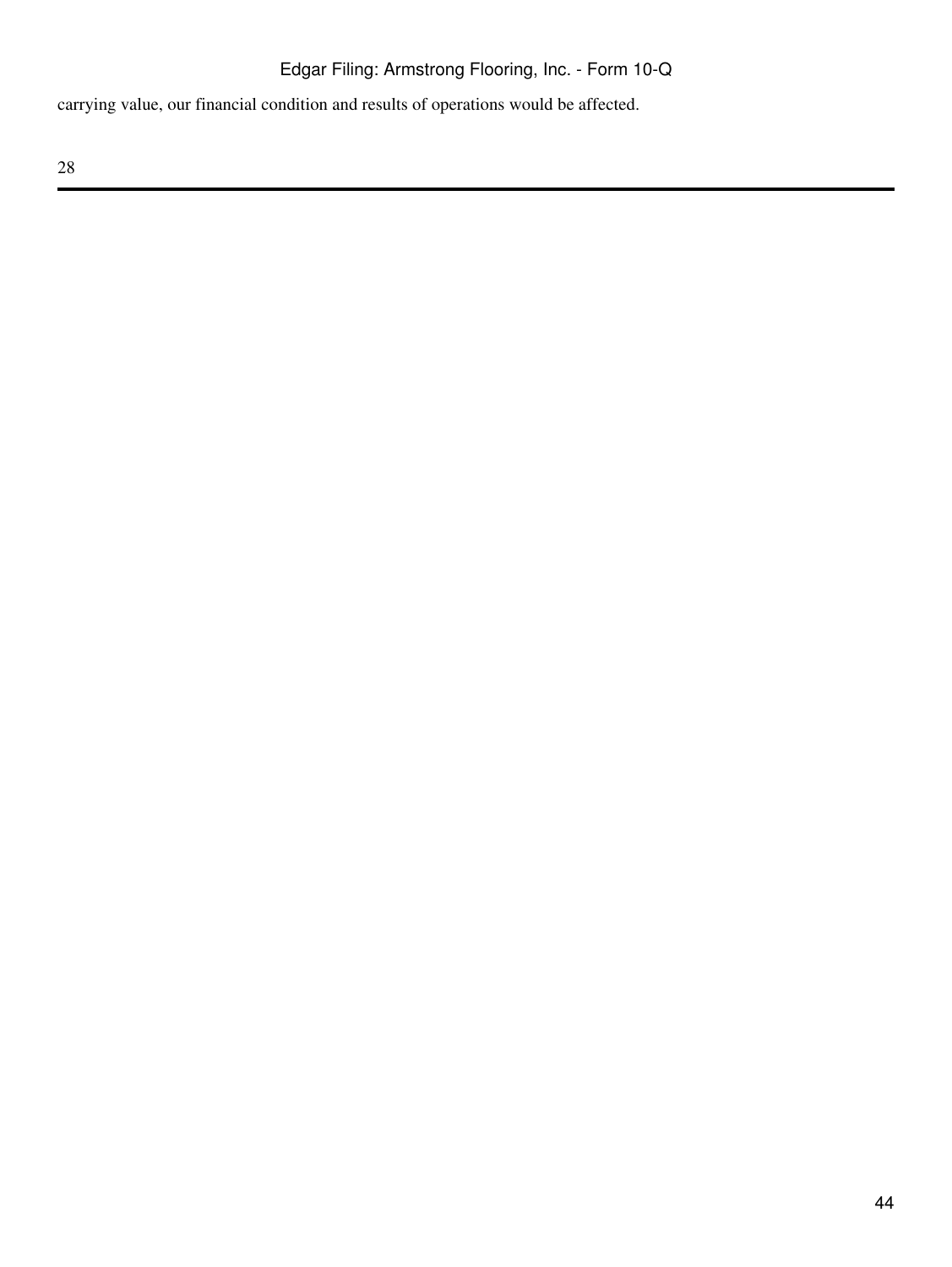carrying value, our financial condition and results of operations would be affected.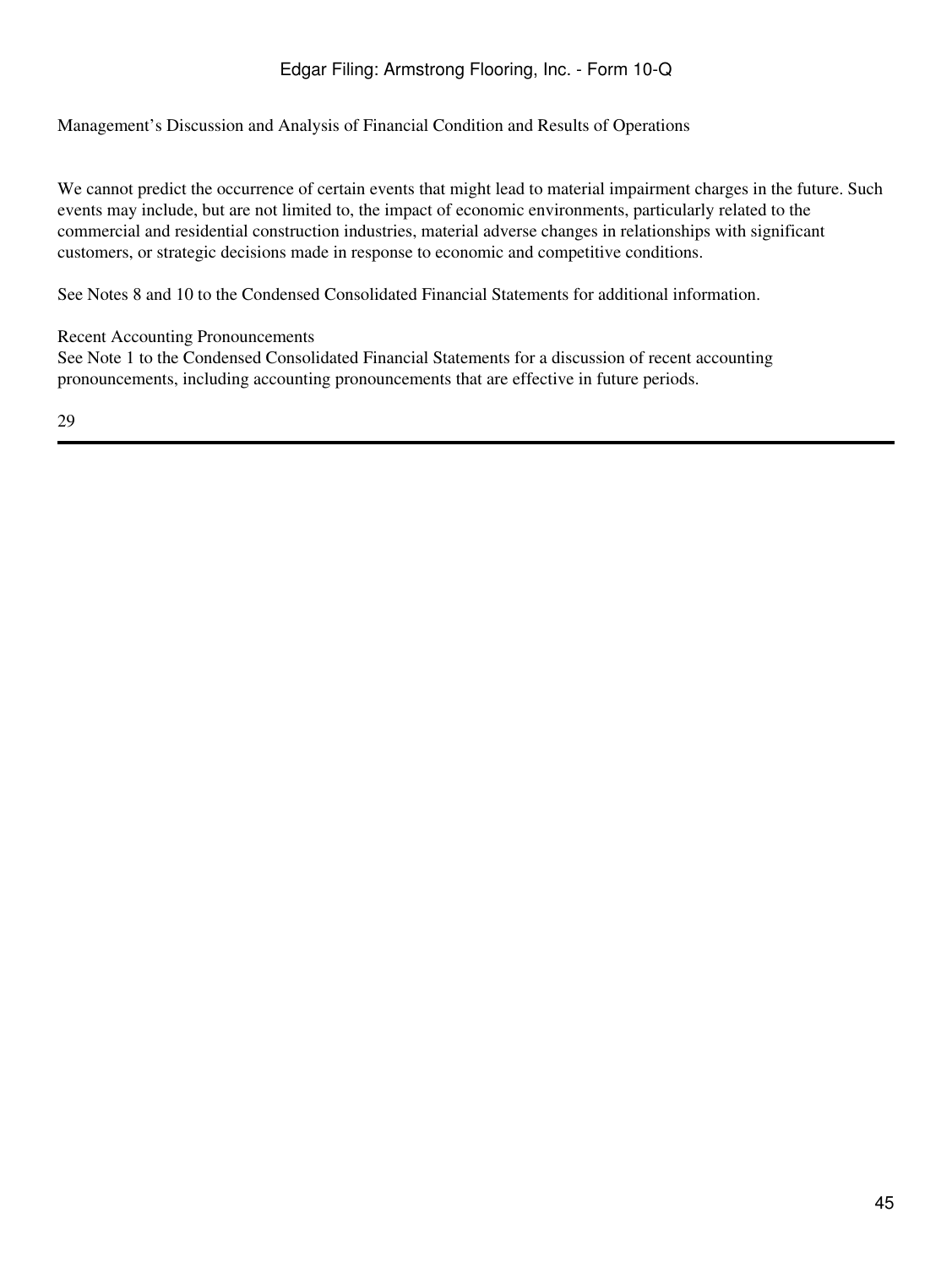Management's Discussion and Analysis of Financial Condition and Results of Operations

We cannot predict the occurrence of certain events that might lead to material impairment charges in the future. Such events may include, but are not limited to, the impact of economic environments, particularly related to the commercial and residential construction industries, material adverse changes in relationships with significant customers, or strategic decisions made in response to economic and competitive conditions.

See Notes 8 and 10 to the Condensed Consolidated Financial Statements for additional information.

### Recent Accounting Pronouncements

See Note 1 to the Condensed Consolidated Financial Statements for a discussion of recent accounting pronouncements, including accounting pronouncements that are effective in future periods.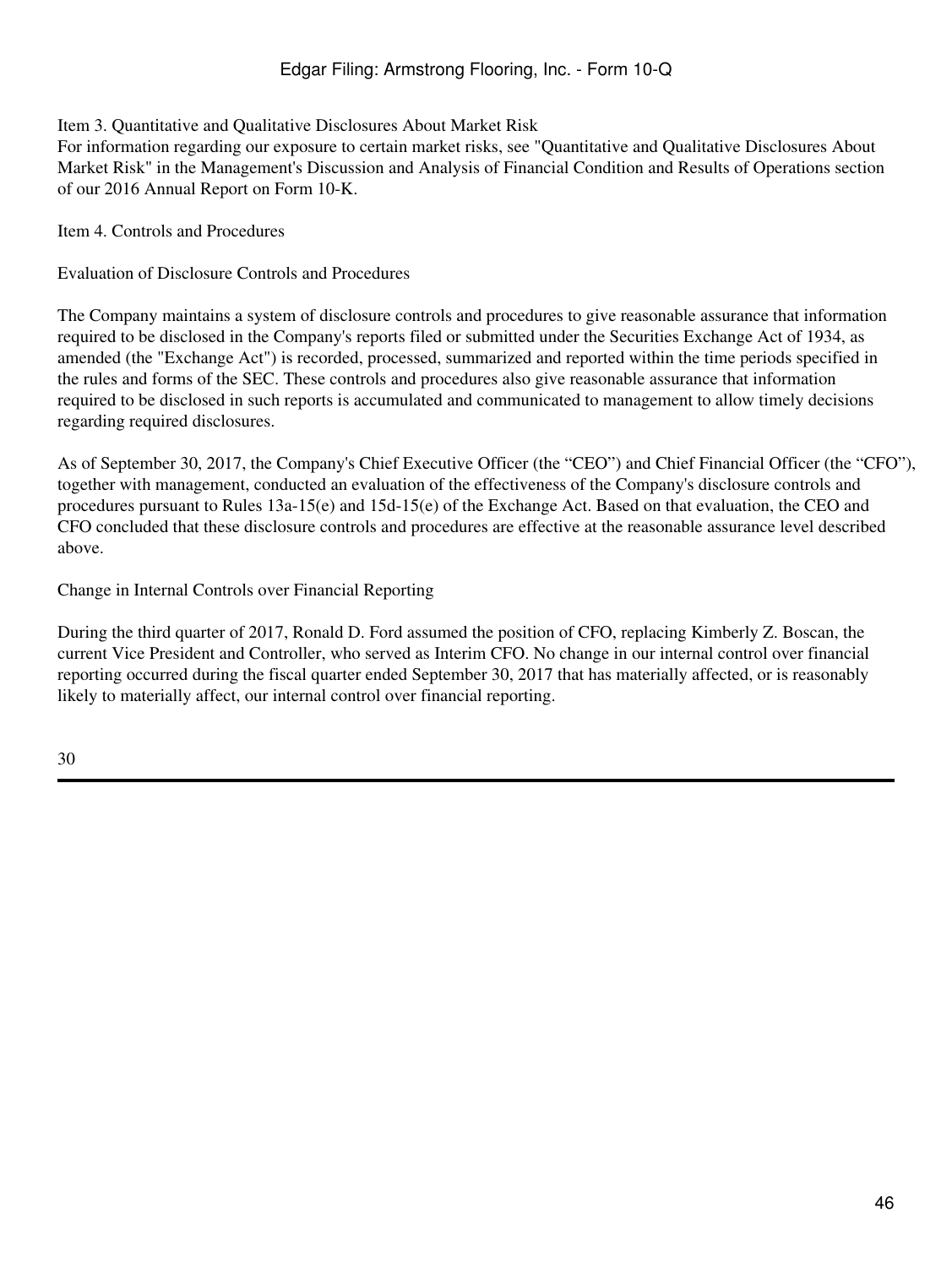## <span id="page-45-0"></span>Item 3. Quantitative and Qualitative Disclosures About Market Risk

For information regarding our exposure to certain market risks, see "Quantitative and Qualitative Disclosures About Market Risk" in the Management's Discussion and Analysis of Financial Condition and Results of Operations section of our 2016 Annual Report on Form 10-K.

<span id="page-45-1"></span>Item 4. Controls and Procedures

Evaluation of Disclosure Controls and Procedures

The Company maintains a system of disclosure controls and procedures to give reasonable assurance that information required to be disclosed in the Company's reports filed or submitted under the Securities Exchange Act of 1934, as amended (the "Exchange Act") is recorded, processed, summarized and reported within the time periods specified in the rules and forms of the SEC. These controls and procedures also give reasonable assurance that information required to be disclosed in such reports is accumulated and communicated to management to allow timely decisions regarding required disclosures.

As of September 30, 2017, the Company's Chief Executive Officer (the "CEO") and Chief Financial Officer (the "CFO"), together with management, conducted an evaluation of the effectiveness of the Company's disclosure controls and procedures pursuant to Rules 13a-15(e) and 15d-15(e) of the Exchange Act. Based on that evaluation, the CEO and CFO concluded that these disclosure controls and procedures are effective at the reasonable assurance level described above.

Change in Internal Controls over Financial Reporting

During the third quarter of 2017, Ronald D. Ford assumed the position of CFO, replacing Kimberly Z. Boscan, the current Vice President and Controller, who served as Interim CFO. No change in our internal control over financial reporting occurred during the fiscal quarter ended September 30, 2017 that has materially affected, or is reasonably likely to materially affect, our internal control over financial reporting.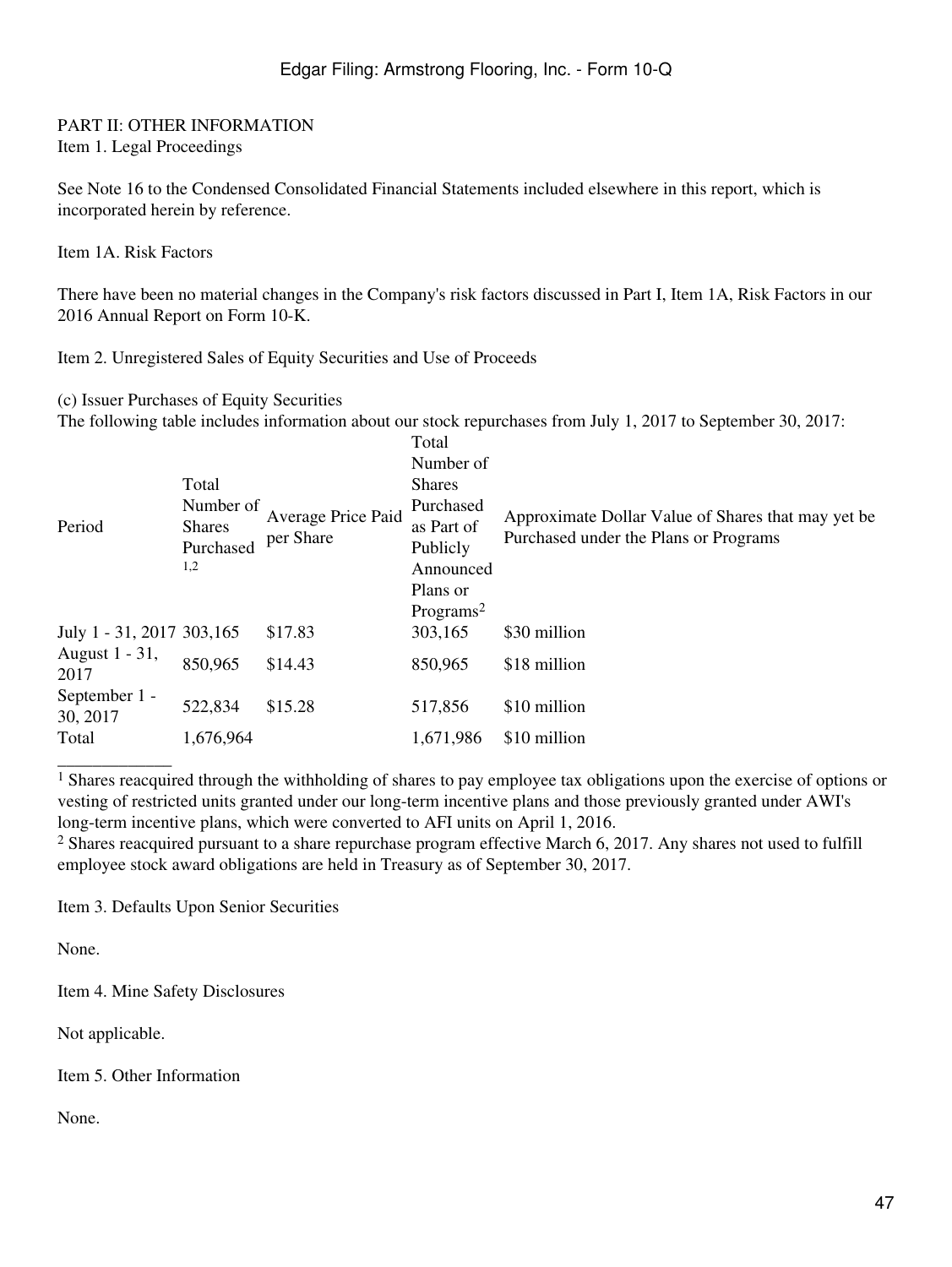### <span id="page-46-1"></span><span id="page-46-0"></span>PART II: OTHER INFORMATION Item 1. Legal Proceedings

See Note 16 to the Condensed Consolidated Financial Statements included elsewhere in this report, which is incorporated herein by reference.

<span id="page-46-2"></span>Item 1A. Risk Factors

There have been no material changes in the Company's risk factors discussed in Part I, Item 1A, Risk Factors in our 2016 Annual Report on Form 10-K.

<span id="page-46-3"></span>Item 2. Unregistered Sales of Equity Securities and Use of Proceeds

(c) Issuer Purchases of Equity Securities

The following table includes information about our stock repurchases from July 1, 2017 to September 30, 2017:

| Period                     | Total<br>Number of<br><b>Shares</b><br>Purchased<br>1,2 | Average Price Paid<br>per Share | Total<br>Number of<br><b>Shares</b><br>Purchased<br>as Part of<br>Publicly<br>Announced<br>Plans or<br>Programs <sup>2</sup> | Approximate Dollar Value of Shares that may yet be<br>Purchased under the Plans or Programs |
|----------------------------|---------------------------------------------------------|---------------------------------|------------------------------------------------------------------------------------------------------------------------------|---------------------------------------------------------------------------------------------|
| July 1 - 31, 2017 303, 165 |                                                         | \$17.83                         | 303,165                                                                                                                      | \$30 million                                                                                |
| August 1 - 31,<br>2017     | 850,965                                                 | \$14.43                         | 850,965                                                                                                                      | \$18 million                                                                                |
| September 1 -<br>30, 2017  | 522,834                                                 | \$15.28                         | 517,856                                                                                                                      | \$10 million                                                                                |
| Total                      | 1,676,964                                               |                                 | 1,671,986                                                                                                                    | \$10 million                                                                                |
|                            |                                                         |                                 |                                                                                                                              |                                                                                             |

<sup>1</sup> Shares reacquired through the withholding of shares to pay employee tax obligations upon the exercise of options or vesting of restricted units granted under our long-term incentive plans and those previously granted under AWI's long-term incentive plans, which were converted to AFI units on April 1, 2016.

<sup>2</sup> Shares reacquired pursuant to a share repurchase program effective March 6, 2017. Any shares not used to fulfill employee stock award obligations are held in Treasury as of September 30, 2017.

<span id="page-46-4"></span>Item 3. Defaults Upon Senior Securities

None.

<span id="page-46-5"></span>Item 4. Mine Safety Disclosures

Not applicable.

<span id="page-46-6"></span>Item 5. Other Information

None.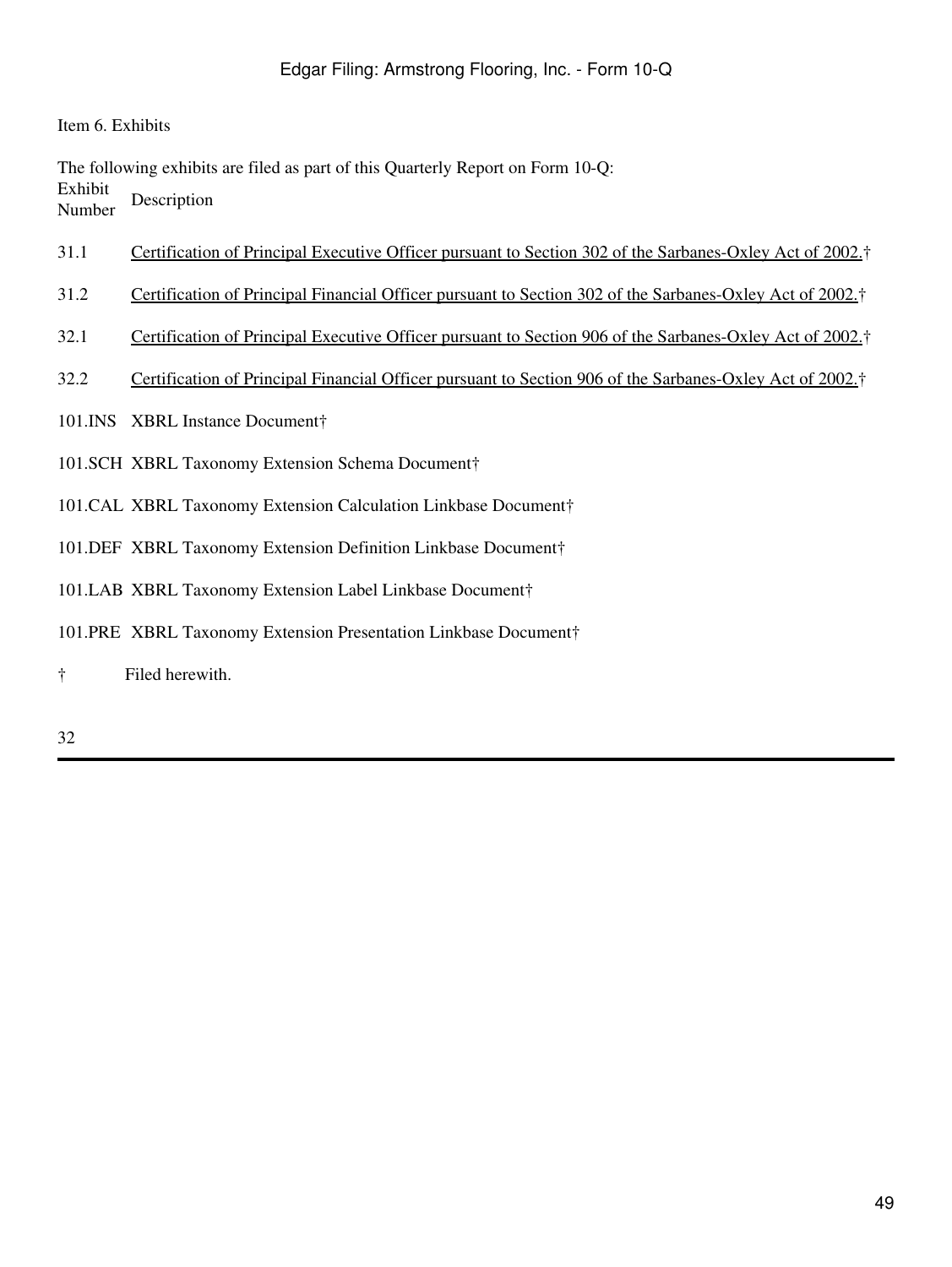<span id="page-48-0"></span>Item 6. Exhibits

The following exhibits are filed as part of this Quarterly Report on Form 10-Q: Exhibit **Number** Description

- 31.1 Certification of Principal Executive Officer pursuant to Section 302 of the Sarbanes-Oxley Act of 2002.†
- 31.2 Certification of Principal Financial Officer pursuant to Section 302 of the Sarbanes-Oxley Act of 2002.†
- 32.1 Certification of Principal Executive Officer pursuant to Section 906 of the Sarbanes-Oxley Act of 2002.†
- 32.2 Certification of Principal Financial Officer pursuant to Section 906 of the Sarbanes-Oxley Act of 2002.†
- 101.INS XBRL Instance Document†
- 101.SCH XBRL Taxonomy Extension Schema Document†
- 101.CAL XBRL Taxonomy Extension Calculation Linkbase Document†
- 101.DEF XBRL Taxonomy Extension Definition Linkbase Document†
- 101.LAB XBRL Taxonomy Extension Label Linkbase Document†
- 101.PRE XBRL Taxonomy Extension Presentation Linkbase Document†
- † Filed herewith.